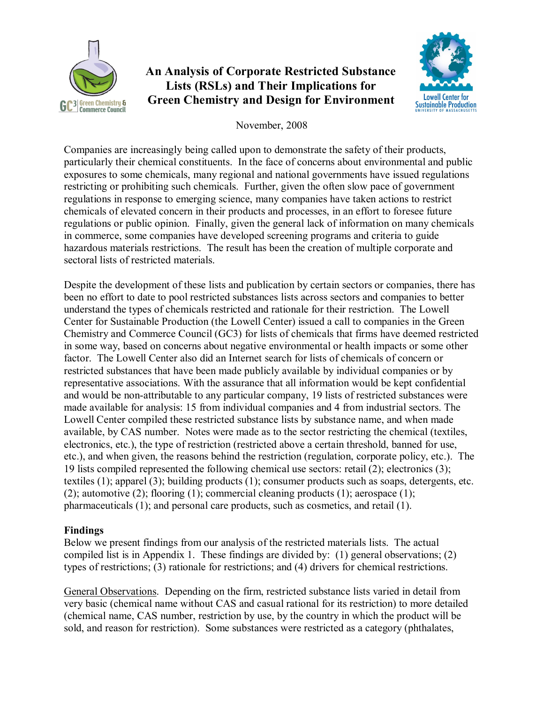

# **An Analysis of Corporate Restricted Substance Lists (RSLs) and Their Implications for Green Chemistry and Design for Environment**



November, 2008

Companies are increasingly being called upon to demonstrate the safety of their products, particularly their chemical constituents. In the face of concerns about environmental and public exposures to some chemicals, many regional and national governments have issued regulations restricting or prohibiting such chemicals. Further, given the often slow pace of government regulations in response to emerging science, many companies have taken actions to restrict chemicals of elevated concern in their products and processes, in an effort to foresee future regulations or public opinion. Finally, given the general lack of information on many chemicals in commerce, some companies have developed screening programs and criteria to guide hazardous materials restrictions. The result has been the creation of multiple corporate and sectoral lists of restricted materials.

Despite the development of these lists and publication by certain sectors or companies, there has been no effort to date to pool restricted substances lists across sectors and companies to better understand the types of chemicals restricted and rationale for their restriction. The Lowell Center for Sustainable Production (the Lowell Center) issued a call to companies in the Green Chemistry and Commerce Council (GC3) for lists of chemicals that firms have deemed restricted in some way, based on concerns about negative environmental or health impacts or some other factor. The Lowell Center also did an Internet search for lists of chemicals of concern or restricted substances that have been made publicly available by individual companies or by representative associations. With the assurance that all information would be kept confidential and would be non-attributable to any particular company, 19 lists of restricted substances were made available for analysis: 15 from individual companies and 4 from industrial sectors. The Lowell Center compiled these restricted substance lists by substance name, and when made available, by CAS number. Notes were made as to the sector restricting the chemical (textiles, electronics, etc.), the type of restriction (restricted above a certain threshold, banned for use, etc.), and when given, the reasons behind the restriction (regulation, corporate policy, etc.). The 19 lists compiled represented the following chemical use sectors: retail (2); electronics (3); textiles (1); apparel (3); building products (1); consumer products such as soaps, detergents, etc. (2); automotive (2); flooring (1); commercial cleaning products (1); aerospace (1); pharmaceuticals (1); and personal care products, such as cosmetics, and retail (1).

# **Findings**

Below we present findings from our analysis of the restricted materials lists. The actual compiled list is in Appendix 1. These findings are divided by: (1) general observations; (2) types of restrictions; (3) rationale for restrictions; and (4) drivers for chemical restrictions.

General Observations. Depending on the firm, restricted substance lists varied in detail from very basic (chemical name without CAS and casual rational for its restriction) to more detailed (chemical name, CAS number, restriction by use, by the country in which the product will be sold, and reason for restriction). Some substances were restricted as a category (phthalates,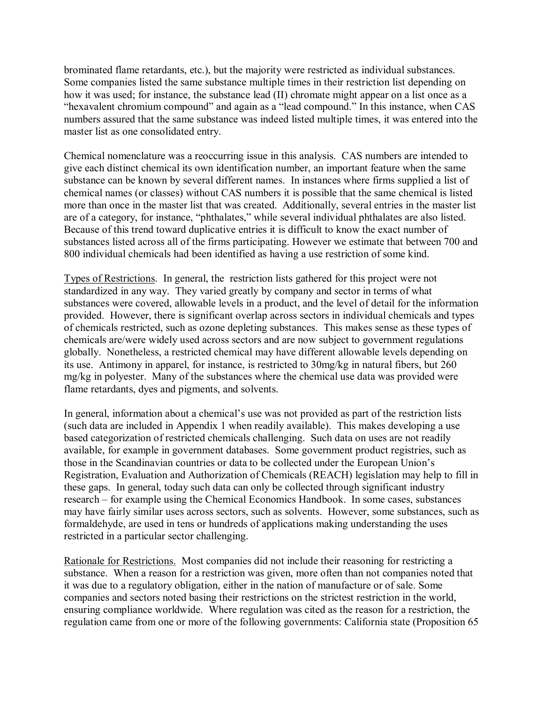brominated flame retardants, etc.), but the majority were restricted as individual substances. Some companies listed the same substance multiple times in their restriction list depending on how it was used; for instance, the substance lead (II) chromate might appear on a list once as a "hexavalent chromium compound" and again as a "lead compound." In this instance, when CAS numbers assured that the same substance was indeed listed multiple times, it was entered into the master list as one consolidated entry.

Chemical nomenclature was a reoccurring issue in this analysis. CAS numbers are intended to give each distinct chemical its own identification number, an important feature when the same substance can be known by several different names. In instances where firms supplied a list of chemical names (or classes) without CAS numbers it is possible that the same chemical is listed more than once in the master list that was created. Additionally, several entries in the master list are of a category, for instance, "phthalates," while several individual phthalates are also listed. Because of this trend toward duplicative entries it is difficult to know the exact number of substances listed across all of the firms participating. However we estimate that between 700 and 800 individual chemicals had been identified as having a use restriction of some kind.

Types of Restrictions. In general, the restriction lists gathered for this project were not standardized in any way. They varied greatly by company and sector in terms of what substances were covered, allowable levels in a product, and the level of detail for the information provided. However, there is significant overlap across sectors in individual chemicals and types of chemicals restricted, such as ozone depleting substances. This makes sense as these types of chemicals are/were widely used across sectors and are now subject to government regulations globally. Nonetheless, a restricted chemical may have different allowable levels depending on its use. Antimony in apparel, for instance, is restricted to 30mg/kg in natural fibers, but 260 mg/kg in polyester. Many of the substances where the chemical use data was provided were flame retardants, dyes and pigments, and solvents.

In general, information about a chemical's use was not provided as part of the restriction lists (such data are included in Appendix 1 when readily available). This makes developing a use based categorization of restricted chemicals challenging. Such data on uses are not readily available, for example in government databases. Some government product registries, such as those in the Scandinavian countries or data to be collected under the European Union's Registration, Evaluation and Authorization of Chemicals (REACH) legislation may help to fill in these gaps. In general, today such data can only be collected through significant industry research – for example using the Chemical Economics Handbook. In some cases, substances may have fairly similar uses across sectors, such as solvents. However, some substances, such as formaldehyde, are used in tens or hundreds of applications making understanding the uses restricted in a particular sector challenging.

Rationale for Restrictions. Most companies did not include their reasoning for restricting a substance. When a reason for a restriction was given, more often than not companies noted that it was due to a regulatory obligation, either in the nation of manufacture or of sale. Some companies and sectors noted basing their restrictions on the strictest restriction in the world, ensuring compliance worldwide. Where regulation was cited as the reason for a restriction, the regulation came from one or more of the following governments: California state (Proposition 65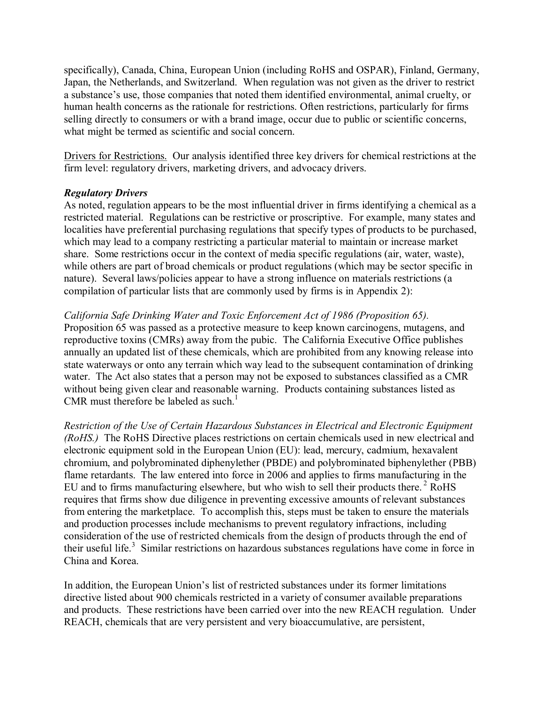specifically), Canada, China, European Union (including RoHS and OSPAR), Finland, Germany, Japan, the Netherlands, and Switzerland. When regulation was not given as the driver to restrict a substance's use, those companies that noted them identified environmental, animal cruelty, or human health concerns as the rationale for restrictions. Often restrictions, particularly for firms selling directly to consumers or with a brand image, occur due to public or scientific concerns, what might be termed as scientific and social concern.

Drivers for Restrictions. Our analysis identified three key drivers for chemical restrictions at the firm level: regulatory drivers, marketing drivers, and advocacy drivers.

#### *Regulatory Drivers*

As noted, regulation appears to be the most influential driver in firms identifying a chemical as a restricted material. Regulations can be restrictive or proscriptive. For example, many states and localities have preferential purchasing regulations that specify types of products to be purchased, which may lead to a company restricting a particular material to maintain or increase market share. Some restrictions occur in the context of media specific regulations (air, water, waste), while others are part of broad chemicals or product regulations (which may be sector specific in nature). Several laws/policies appear to have a strong influence on materials restrictions (a compilation of particular lists that are commonly used by firms is in Appendix 2):

#### *California Safe Drinking Water and Toxic Enforcement Act of 1986 (Proposition 65).*

Proposition 65 was passed as a protective measure to keep known carcinogens, mutagens, and reproductive toxins (CMRs) away from the pubic. The California Executive Office publishes annually an updated list of these chemicals, which are prohibited from any knowing release into state waterways or onto any terrain which way lead to the subsequent contamination of drinking water. The Act also states that a person may not be exposed to substances classified as a CMR without being given clear and reasonable warning. Products containing substances listed as CMR must therefore be labeled as such.<sup>1</sup>

*Restriction of the Use of Certain Hazardous Substances in Electrical and Electronic Equipment (RoHS.)* The RoHS Directive places restrictions on certain chemicals used in new electrical and electronic equipment sold in the European Union (EU): lead, mercury, cadmium, hexavalent chromium, and polybrominated diphenylether (PBDE) and polybrominated biphenylether (PBB) flame retardants. The law entered into force in 2006 and applies to firms manufacturing in the EU and to firms manufacturing elsewhere, but who wish to sell their products there.<sup>2</sup> RoHS requires that firms show due diligence in preventing excessive amounts of relevant substances from entering the marketplace. To accomplish this, steps must be taken to ensure the materials and production processes include mechanisms to prevent regulatory infractions, including consideration of the use of restricted chemicals from the design of products through the end of their useful life.<sup>3</sup> Similar restrictions on hazardous substances regulations have come in force in China and Korea.

In addition, the European Union's list of restricted substances under its former limitations directive listed about 900 chemicals restricted in a variety of consumer available preparations and products. These restrictions have been carried over into the new REACH regulation. Under REACH, chemicals that are very persistent and very bioaccumulative, are persistent,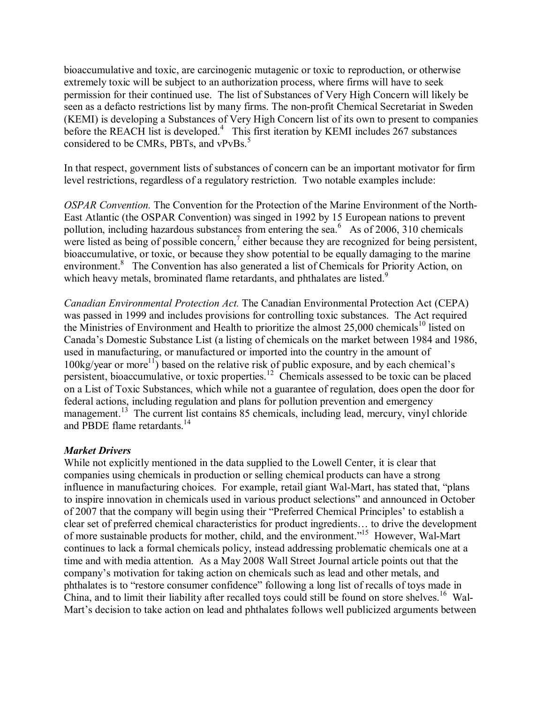bioaccumulative and toxic, are carcinogenic mutagenic or toxic to reproduction, or otherwise extremely toxic will be subject to an authorization process, where firms will have to seek permission for their continued use. The list of Substances of Very High Concern will likely be seen as a defacto restrictions list by many firms. The non-profit Chemical Secretariat in Sweden (KEMI) is developing a Substances of Very High Concern list of its own to present to companies before the REACH list is developed.<sup>4</sup> This first iteration by KEMI includes 267 substances considered to be CMRs, PBTs, and vPvBs.<sup>5</sup>

In that respect, government lists of substances of concern can be an important motivator for firm level restrictions, regardless of a regulatory restriction. Two notable examples include:

*OSPAR Convention.* The Convention for the Protection of the Marine Environment of the North East Atlantic (the OSPAR Convention) was singed in 1992 by 15 European nations to prevent pollution, including hazardous substances from entering the sea. $6$  As of 2006, 310 chemicals were listed as being of possible concern,<sup>7</sup> either because they are recognized for being persistent, bioaccumulative, or toxic, or because they show potential to be equally damaging to the marine environment.<sup>8</sup> The Convention has also generated a list of Chemicals for Priority Action, on which heavy metals, brominated flame retardants, and phthalates are listed.<sup>9</sup>

*Canadian Environmental Protection Act.* The Canadian Environmental Protection Act (CEPA) was passed in 1999 and includes provisions for controlling toxic substances. The Act required the Ministries of Environment and Health to prioritize the almost 25,000 chemicals<sup>10</sup> listed on Canada's Domestic Substance List (a listing of chemicals on the market between 1984 and 1986, used in manufacturing, or manufactured or imported into the country in the amount of  $100\text{kg/year}$  or more<sup>11</sup>) based on the relative risk of public exposure, and by each chemical's persistent, bioaccumulative, or toxic properties.<sup>12</sup> Chemicals assessed to be toxic can be placed on a List of Toxic Substances, which while not a guarantee of regulation, does open the door for federal actions, including regulation and plans for pollution prevention and emergency management.<sup>13</sup> The current list contains 85 chemicals, including lead, mercury, vinyl chloride and PBDE flame retardants.<sup>14</sup>

#### *Market Drivers*

While not explicitly mentioned in the data supplied to the Lowell Center, it is clear that companies using chemicals in production or selling chemical products can have a strong influence in manufacturing choices. For example, retail giant Wal-Mart, has stated that, "plans to inspire innovation in chemicals used in various product selections" and announced in October of 2007 that the company will begin using their "Preferred Chemical Principles' to establish a clear set of preferred chemical characteristics for product ingredients… to drive the development of more sustainable products for mother, child, and the environment."<sup>15</sup> However, Wal-Mart continues to lack a formal chemicals policy, instead addressing problematic chemicals one at a time and with media attention. As a May 2008 Wall Street Journal article points out that the company's motivation for taking action on chemicals such as lead and other metals, and phthalates is to "restore consumer confidence" following a long list of recalls of toys made in China, and to limit their liability after recalled toys could still be found on store shelves.<sup>16</sup> Wal-Mart's decision to take action on lead and phthalates follows well publicized arguments between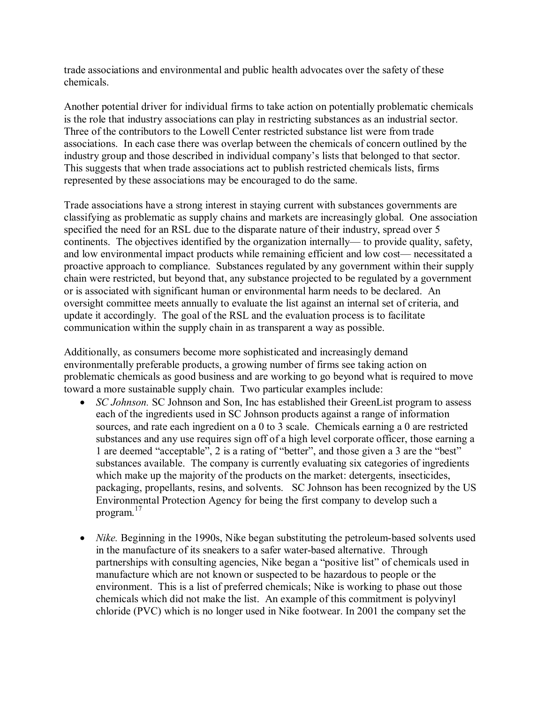trade associations and environmental and public health advocates over the safety of these chemicals.

Another potential driver for individual firms to take action on potentially problematic chemicals is the role that industry associations can play in restricting substances as an industrial sector. Three of the contributors to the Lowell Center restricted substance list were from trade associations. In each case there was overlap between the chemicals of concern outlined by the industry group and those described in individual company's lists that belonged to that sector. This suggests that when trade associations act to publish restricted chemicals lists, firms represented by these associations may be encouraged to do the same.

Trade associations have a strong interest in staying current with substances governments are classifying as problematic as supply chains and markets are increasingly global. One association specified the need for an RSL due to the disparate nature of their industry, spread over 5 continents. The objectives identified by the organization internally— to provide quality, safety, and low environmental impact products while remaining efficient and low cost— necessitated a proactive approach to compliance. Substances regulated by any government within their supply chain were restricted, but beyond that, any substance projected to be regulated by a government or is associated with significant human or environmental harm needs to be declared. An oversight committee meets annually to evaluate the list against an internal set of criteria, and update it accordingly. The goal of the RSL and the evaluation process is to facilitate communication within the supply chain in as transparent a way as possible.

Additionally, as consumers become more sophisticated and increasingly demand environmentally preferable products, a growing number of firms see taking action on problematic chemicals as good business and are working to go beyond what is required to move toward a more sustainable supply chain. Two particular examples include:

- · *SC Johnson.* SC Johnson and Son, Inc has established their GreenList program to assess each of the ingredients used in SC Johnson products against a range of information sources, and rate each ingredient on a 0 to 3 scale. Chemicals earning a 0 are restricted substances and any use requires sign off of a high level corporate officer, those earning a 1 are deemed "acceptable", 2 is a rating of "better", and those given a 3 are the "best" substances available. The company is currently evaluating six categories of ingredients which make up the majority of the products on the market: detergents, insecticides, packaging, propellants, resins, and solvents. SC Johnson has been recognized by the US Environmental Protection Agency for being the first company to develop such a program.<sup>17</sup>
- *Nike.* Beginning in the 1990s, Nike began substituting the petroleum-based solvents used in the manufacture of its sneakers to a safer water-based alternative. Through partnerships with consulting agencies, Nike began a "positive list" of chemicals used in manufacture which are not known or suspected to be hazardous to people or the environment. This is a list of preferred chemicals; Nike is working to phase out those chemicals which did not make the list. An example of this commitment is polyvinyl chloride (PVC) which is no longer used in Nike footwear. In 2001 the company set the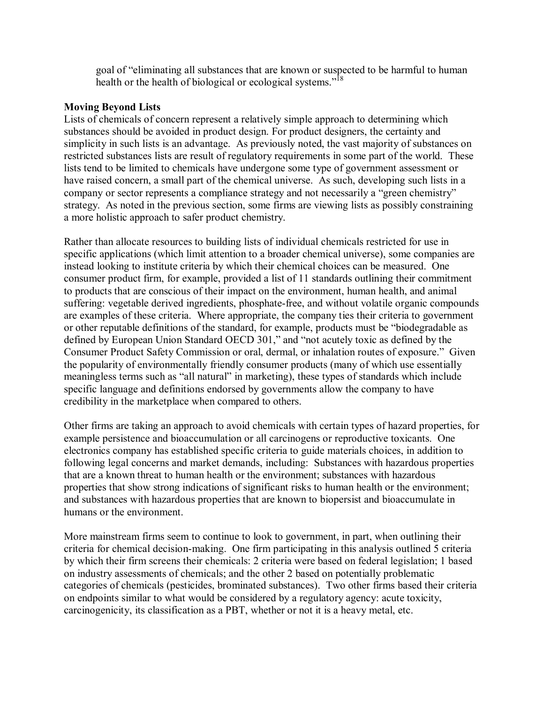goal of "eliminating all substances that are known or suspected to be harmful to human health or the health of biological or ecological systems."<sup>18</sup>

#### **Moving Beyond Lists**

Lists of chemicals of concern represent a relatively simple approach to determining which substances should be avoided in product design. For product designers, the certainty and simplicity in such lists is an advantage. As previously noted, the vast majority of substances on restricted substances lists are result of regulatory requirements in some part of the world. These lists tend to be limited to chemicals have undergone some type of government assessment or have raised concern, a small part of the chemical universe. As such, developing such lists in a company or sector represents a compliance strategy and not necessarily a "green chemistry" strategy. As noted in the previous section, some firms are viewing lists as possibly constraining a more holistic approach to safer product chemistry.

Rather than allocate resources to building lists of individual chemicals restricted for use in specific applications (which limit attention to a broader chemical universe), some companies are instead looking to institute criteria by which their chemical choices can be measured. One consumer product firm, for example, provided a list of 11 standards outlining their commitment to products that are conscious of their impact on the environment, human health, and animal suffering: vegetable derived ingredients, phosphate-free, and without volatile organic compounds are examples of these criteria. Where appropriate, the company ties their criteria to government or other reputable definitions of the standard, for example, products must be "biodegradable as defined by European Union Standard OECD 301," and "not acutely toxic as defined by the Consumer Product Safety Commission or oral, dermal, or inhalation routes of exposure." Given the popularity of environmentally friendly consumer products (many of which use essentially meaningless terms such as "all natural" in marketing), these types of standards which include specific language and definitions endorsed by governments allow the company to have credibility in the marketplace when compared to others.

Other firms are taking an approach to avoid chemicals with certain types of hazard properties, for example persistence and bioaccumulation or all carcinogens or reproductive toxicants. One electronics company has established specific criteria to guide materials choices, in addition to following legal concerns and market demands, including: Substances with hazardous properties that are a known threat to human health or the environment; substances with hazardous properties that show strong indications of significant risks to human health or the environment; and substances with hazardous properties that are known to biopersist and bioaccumulate in humans or the environment.

More mainstream firms seem to continue to look to government, in part, when outlining their criteria for chemical decision-making. One firm participating in this analysis outlined 5 criteria by which their firm screens their chemicals: 2 criteria were based on federal legislation; 1 based on industry assessments of chemicals; and the other 2 based on potentially problematic categories of chemicals (pesticides, brominated substances). Two other firms based their criteria on endpoints similar to what would be considered by a regulatory agency: acute toxicity, carcinogenicity, its classification as a PBT, whether or not it is a heavy metal, etc.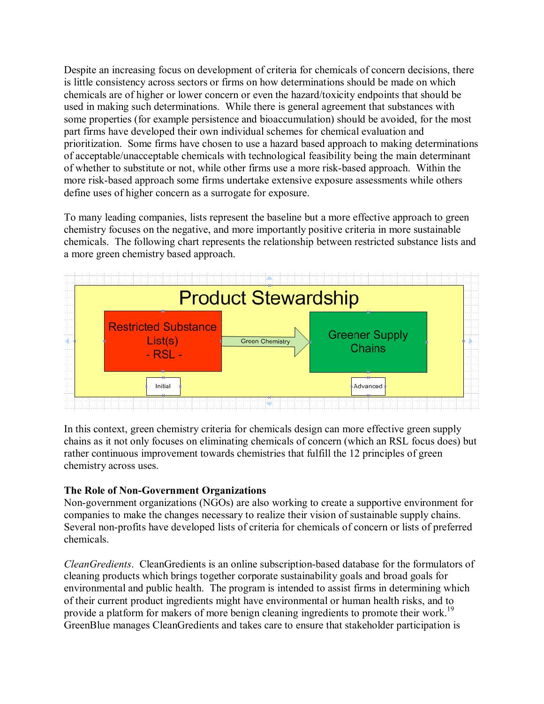Despite an increasing focus on development of criteria for chemicals of concern decisions, there is little consistency across sectors or firms on how determinations should be made on which chemicals are of higher or lower concern or even the hazard/toxicity endpoints that should be used in making such determinations. While there is general agreement that substances with some properties (for example persistence and bioaccumulation) should be avoided, for the most part firms have developed their own individual schemes for chemical evaluation and prioritization. Some firms have chosen to use a hazard based approach to making determinations of acceptable/unacceptable chemicals with technological feasibility being the main determinant of whether to substitute or not, while other firms use a more risk-based approach. Within the more risk-based approach some firms undertake extensive exposure assessments while others define uses of higher concern as a surrogate for exposure.

To many leading companies, lists represent the baseline but a more effective approach to green chemistry focuses on the negative, and more importantly positive criteria in more sustainable chemicals. The following chart represents the relationship between restricted substance lists and a more green chemistry based approach.



In this context, green chemistry criteria for chemicals design can more effective green supply chains as it not only focuses on eliminating chemicals of concern (which an RSL focus does) but rather continuous improvement towards chemistries that fulfill the 12 principles of green chemistry across uses.

## **The Role of Non-Government Organizations**

Non-government organizations (NGOs) are also working to create a supportive environment for companies to make the changes necessary to realize their vision of sustainable supply chains. Several non-profits have developed lists of criteria for chemicals of concern or lists of preferred chemicals.

*CleanGredients.* CleanGredients is an online subscription-based database for the formulators of cleaning products which brings together corporate sustainability goals and broad goals for environmental and public health. The program is intended to assist firms in determining which of their current product ingredients might have environmental or human health risks, and to provide a platform for makers of more benign cleaning ingredients to promote their work.<sup>19</sup> GreenBlue manages CleanGredients and takes care to ensure that stakeholder participation is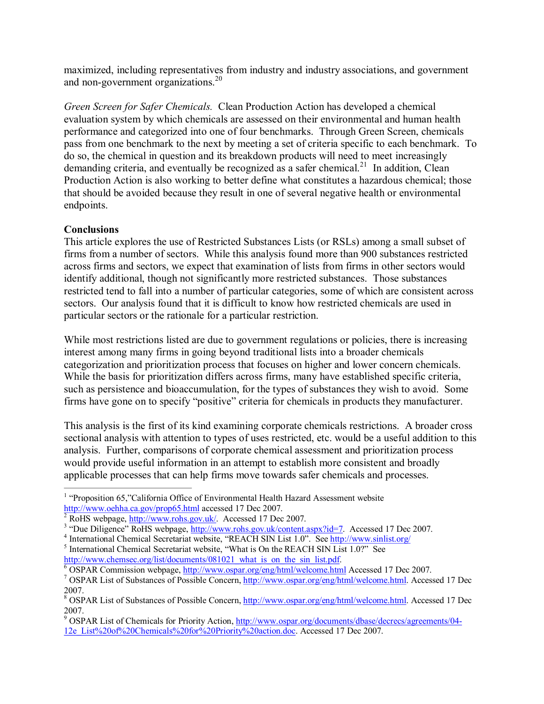maximized, including representatives from industry and industry associations, and government and non-government organizations. $^{20}$ 

*Green Screen for Safer Chemicals.* Clean Production Action has developed a chemical evaluation system by which chemicals are assessed on their environmental and human health performance and categorized into one of four benchmarks. Through Green Screen, chemicals pass from one benchmark to the next by meeting a set of criteria specific to each benchmark. To do so, the chemical in question and its breakdown products will need to meet increasingly demanding criteria, and eventually be recognized as a safer chemical.<sup>21</sup> In addition, Clean Production Action is also working to better define what constitutes a hazardous chemical; those that should be avoided because they result in one of several negative health or environmental endpoints.

## **Conclusions**

This article explores the use of Restricted Substances Lists (or RSLs) among a small subset of firms from a number of sectors. While this analysis found more than 900 substances restricted across firms and sectors, we expect that examination of lists from firms in other sectors would identify additional, though not significantly more restricted substances. Those substances restricted tend to fall into a number of particular categories, some of which are consistent across sectors. Our analysis found that it is difficult to know how restricted chemicals are used in particular sectors or the rationale for a particular restriction.

While most restrictions listed are due to government regulations or policies, there is increasing interest among many firms in going beyond traditional lists into a broader chemicals categorization and prioritization process that focuses on higher and lower concern chemicals. While the basis for prioritization differs across firms, many have established specific criteria, such as persistence and bioaccumulation, for the types of substances they wish to avoid. Some firms have gone on to specify "positive" criteria for chemicals in products they manufacturer.

This analysis is the first of its kind examining corporate chemicals restrictions. A broader cross sectional analysis with attention to types of uses restricted, etc. would be a useful addition to this analysis. Further, comparisons of corporate chemical assessment and prioritization process would provide useful information in an attempt to establish more consistent and broadly applicable processes that can help firms move towards safer chemicals and processes.

<sup>&</sup>lt;sup>1</sup> "Proposition 65,"California Office of Environmental Health Hazard Assessment website  $\frac{http://www.oehha.ca.gov/prop65.html}{http://www.oehha.ca.gov/prop65.html}$  accessed 17 Dec 2007.

<sup>&</sup>lt;sup>2</sup> RoHS webpage, <u><http://www.rohs.gov.uk/></u>. Accessed 17 Dec 2007.<br>
<sup>3</sup> "Due Diligence" RoHS webpage, <u>http://www.rohs.gov.uk/content.aspx?id=7</u>. Accessed 17 Dec 2007.<br>
<sup>4</sup> International Chemical Secretariat website, "REA

 $\frac{6}{1}$  OSPAR Commission webpage, <http://www.ospar.org/eng/html/welcome.html> Accessed 17 Dec 2007.<br><sup>7</sup> OSPAR List of Substances of Possible Concern, http://www.ospar.org/eng/html/welcome.html. Accessed 17 Dec 2007.

<sup>&</sup>lt;sup>8</sup> OSPAR List of Substances of Possible Concern, <http://www.ospar.org/eng/html/welcome.html>. Accessed 17 Dec 2007.

<sup>&</sup>lt;sup>9</sup> OSPAR List of Chemicals for Priority Action, http://www.ospar.org/documents/dbase/decrecs/agreements/04-[12e\\_List%20of%20Chemicals%20for%20Priority%20action.doc.](http://www.ospar.org/documents/dbase/decrecs/agreements/04-12e_List%20of%20Chemicals%20for%20Priority%20action.doc) Accessed 17 Dec 2007.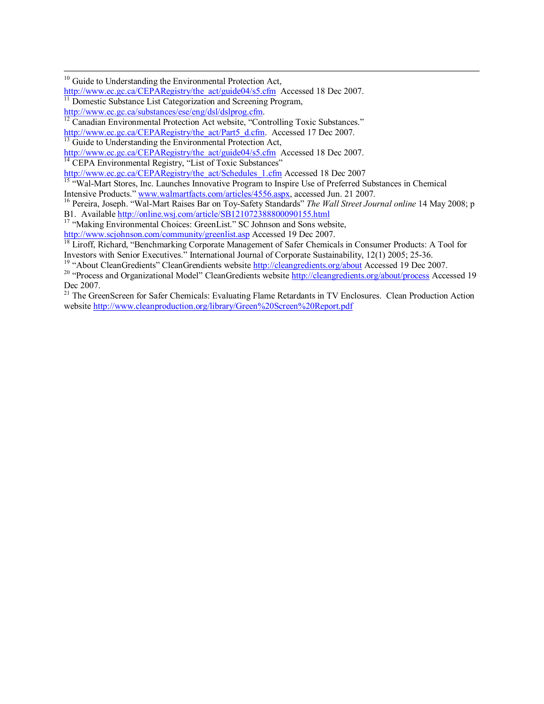[http://www.ec.gc.ca/substances/ese/eng/dsl/dslprog.cfm.](http://www.ec.gc.ca/substances/ese/eng/dsl/dslprog.cfm)<br><sup>12</sup> Canadian Environmental Protection Act website, "Controlling Toxic Substances."

[http://www.ec.gc.ca/CEPARegistry/the\\_act/Part5\\_d.cfm](http://www.ec.gc.ca/CEPARegistry/the_act/Part5_d.cfm). Accessed 17 Dec 2007.<br><sup>13</sup> Guide to Understanding the Environmental Protection Act,

[http://www.ec.gc.ca/CEPARegistry/the\\_act/guide04/s5.cfm](http://www.ec.gc.ca/CEPARegistry/the_act/guide04/s5.cfm) Accessed 18 Dec 2007.<br><sup>14</sup> CEPA Environmental Registry, "List of Toxic Substances"<br>http://www.ec.gc.ca/CEPARegistry/the act/Schedules 1.cfm Accessed 18 Dec 2007

http://www.ec.gc.ca/CEPARegistry/the\_actual\_communical\_communical\_communical\_communical\_communical\_communical\_communical\_communical\_communical\_communical\_communical\_communical\_communical\_communical\_communical\_communical\_co

<sup>16</sup> Pereira, Joseph. "Wal-Mart Raises Bar on Toy-Safety Standards" The Wall Street Journal online 14 May 2008; p B1. Available http://online.wsj.com/article/SB121072388800090155.html

<sup>17</sup> "Making Environmental Choices: GreenList." SC Johnson and Sons website, http://www.scjohnson.com/community/greenlist.asp Accessed 19 Dec 2007.

 $\frac{1}{18}$  Liroff, Richard, "Benchmarking Corporate Management of Safer Chemicals in Consumer Products: A Tool for Investors with Senior Executives." International Journal of Corporate Sustainability, 12(1) 2005; 25-36.

<sup>19</sup> "About CleanGredients" CleanGrendients website  $\frac{http://cleangredients.org/about/Accessed 19$  $\frac{http://cleangredients.org/about/Accessed 19$  $\frac{http://cleangredients.org/about/Accessed 19$  Dec 2007.<br><sup>20</sup> "Process and Organizational Model" CleanGredients website  $\frac{http://cleangredients.org/about/process}{http://cleangredients.org/about/process}$  $\frac{http://cleangredients.org/about/process}{http://cleangredients.org/about/process}$  $\frac{http://cleangredients.org/about/process}{http://cleangredients.org/about/process}$  Accessed 19<br>Dec 2007.

 $21$  The GreenScreen for Safer Chemicals: Evaluating Flame Retardants in TV Enclosures. Clean Production Action website <http://www.cleanproduction.org/library/Green%20Screen%20Report.pdf>

<sup>&</sup>lt;sup>10</sup> Guide to Understanding the Environmental Protection Act,<br>http://www.ec.gc.ca/CEPARegistry/the act/guide04/s5.cfm Accessed 18 Dec 2007. <sup>11</sup> Domestic Substance List Categorization and Screening Program, http://www.ec.gc.ca/substances/ese/eng/dsl/dslprog.cfm.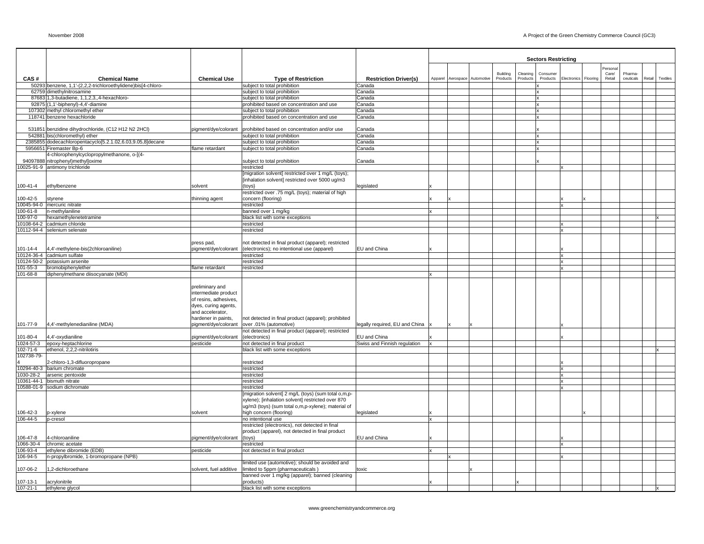|                              |                                                                                       |                                               |                                                                                                       |                                |         |                      |          |          | <b>Sectors Restricting</b> |                      |                   |           |        |          |
|------------------------------|---------------------------------------------------------------------------------------|-----------------------------------------------|-------------------------------------------------------------------------------------------------------|--------------------------------|---------|----------------------|----------|----------|----------------------------|----------------------|-------------------|-----------|--------|----------|
|                              |                                                                                       |                                               |                                                                                                       |                                |         |                      | Building | Cleaning | Consumer                   |                      | Personal<br>Care/ | Pharma-   |        |          |
| CAS#                         | <b>Chemical Name</b>                                                                  | <b>Chemical Use</b>                           | <b>Type of Restriction</b>                                                                            | <b>Restriction Driver(s)</b>   | Apparel | Aerospace Automotive | Products | Products | Products                   | Electronics Flooring | Retail            | ceuticals | Retail | Textiles |
|                              | 50293 benzene, 1,1'-(2,2,2-trichloroethylidene)bis[4-chloro-                          |                                               | subject to total prohibition                                                                          | Canada<br>Canada               |         |                      |          |          |                            |                      |                   |           |        |          |
|                              | 62759 dimethylnitrosamine<br>87683 1,3-butadiene, 1,1,2,3,,4-hexachloro-              |                                               | subject to total prohibition<br>subject to total prohibition                                          | Canada                         |         |                      |          |          | Ιx                         |                      |                   |           |        |          |
|                              | 92875 (1,1'-biphenyl)-4,4'-diamine                                                    |                                               | prohibited based on concentration and use                                                             | Canada                         |         |                      |          |          |                            |                      |                   |           |        |          |
|                              | 107302 methyl chloromethyl ether                                                      |                                               | subject to total prohibition                                                                          | Canada                         |         |                      |          |          |                            |                      |                   |           |        |          |
|                              | 118741 benzene hexachloride                                                           |                                               | prohibited based on concentration and use                                                             | Canada                         |         |                      |          |          |                            |                      |                   |           |        |          |
|                              |                                                                                       |                                               |                                                                                                       |                                |         |                      |          |          |                            |                      |                   |           |        |          |
|                              | 531851 benzidine dihydrochloride, (C12 H12 N2 2HCl)<br>542881 bis(chloromethyl) ether | pigment/dye/colorant                          | prohibited based on concentration and/or use<br>subject to total prohibition                          | Canada<br>Canada               |         |                      |          |          |                            |                      |                   |           |        |          |
|                              | 2385855 dodecachloropentacyclo[5.2.1.02,6.03,9.05,8]decane                            |                                               | subject to total prohibition                                                                          | Canada                         |         |                      |          |          |                            |                      |                   |           |        |          |
|                              | 5956651 Firemaster Bp-6                                                               | flame retardant                               | subject to total prohibition                                                                          | Canada                         |         |                      |          |          |                            |                      |                   |           |        |          |
|                              | 4-chlorophenylcyclopropylmethanone, o-[(4-                                            |                                               |                                                                                                       |                                |         |                      |          |          |                            |                      |                   |           |        |          |
|                              | 94097888 nitrophenyl)methylloxime                                                     |                                               | subject to total prohibition                                                                          | Canada                         |         |                      |          |          |                            |                      |                   |           |        |          |
|                              | 10025-91-9 antimony trichloride                                                       |                                               | restricted                                                                                            |                                |         |                      |          |          |                            |                      |                   |           |        |          |
|                              |                                                                                       |                                               | [migration solvent] restricted over 1 mg/L (toys);<br>[inhalation solvent] restricted over 5000 ug/m3 |                                |         |                      |          |          |                            |                      |                   |           |        |          |
| $100 - 41 - 4$               | ethylbenzene                                                                          | solvent                                       | (toys}                                                                                                | legislated                     |         |                      |          |          |                            |                      |                   |           |        |          |
|                              |                                                                                       |                                               | restricted over .75 mg/L (toys); material of high                                                     |                                |         |                      |          |          |                            |                      |                   |           |        |          |
| 100-42-5                     | styrene                                                                               | thinning agent                                | concern (flooring)                                                                                    |                                |         |                      |          |          |                            |                      |                   |           |        |          |
|                              | 10045-94-0 mercuric nitrate                                                           |                                               | restricted                                                                                            |                                |         |                      |          |          |                            |                      |                   |           |        |          |
| 100-61-8                     | n-methylaniline                                                                       |                                               | banned over 1 mg/kg                                                                                   |                                |         |                      |          |          |                            |                      |                   |           |        |          |
| 100-97-0                     | hexamethylenetetramine                                                                |                                               | black list with some exceptions                                                                       |                                |         |                      |          |          |                            |                      |                   |           |        |          |
|                              | 10108-64-2 cadmium chloride                                                           |                                               | restricted                                                                                            |                                |         |                      |          |          |                            |                      |                   |           |        |          |
|                              | 10112-94-4 selenium selenate                                                          |                                               | restricted                                                                                            |                                |         |                      |          |          |                            |                      |                   |           |        |          |
|                              |                                                                                       | press pad,                                    | not detected in final product (apparel); restricted                                                   |                                |         |                      |          |          |                            |                      |                   |           |        |          |
| 101-14-4                     | 4,4'-methylene-bis(2chloroaniline)                                                    | pigment/dye/colorant                          | (electronics); no intentional use (apparel)                                                           | EU and China                   |         |                      |          |          |                            |                      |                   |           |        |          |
|                              | 10124-36-4 cadmium sulfate                                                            |                                               | restricted                                                                                            |                                |         |                      |          |          |                            |                      |                   |           |        |          |
|                              | 10124-50-2 potassium arsenite                                                         |                                               | restricted                                                                                            |                                |         |                      |          |          |                            |                      |                   |           |        |          |
| 101-55-3                     | bromobiphenylether                                                                    | flame retardant                               | restricted                                                                                            |                                |         |                      |          |          |                            |                      |                   |           |        |          |
| $101 - 68 - 8$               | diphenylmethane diisocyanate (MDI)                                                    |                                               |                                                                                                       |                                |         |                      |          |          |                            |                      |                   |           |        |          |
|                              |                                                                                       |                                               |                                                                                                       |                                |         |                      |          |          |                            |                      |                   |           |        |          |
|                              |                                                                                       | preliminary and                               |                                                                                                       |                                |         |                      |          |          |                            |                      |                   |           |        |          |
|                              |                                                                                       | intermediate product<br>of resins, adhesives, |                                                                                                       |                                |         |                      |          |          |                            |                      |                   |           |        |          |
|                              |                                                                                       | dyes, curing agents,                          |                                                                                                       |                                |         |                      |          |          |                            |                      |                   |           |        |          |
|                              |                                                                                       | and accelerator,                              |                                                                                                       |                                |         |                      |          |          |                            |                      |                   |           |        |          |
|                              |                                                                                       | hardener in paints,                           | not detected in final product (apparel); prohibited                                                   |                                |         |                      |          |          |                            |                      |                   |           |        |          |
| 101-77-9                     | 4,4'-methylenedianiline (MDA)                                                         | pigment/dye/colorant                          | over .01% (automotive)                                                                                | legally required, EU and China |         |                      |          |          |                            |                      |                   |           |        |          |
|                              |                                                                                       |                                               | not detected in final product (apparel); restricted                                                   |                                |         |                      |          |          |                            |                      |                   |           |        |          |
| 101-80-4                     | 4,4'-oxydianiline                                                                     | pigment/dye/colorant                          | (electronics)                                                                                         | EU and China                   |         |                      |          |          |                            |                      |                   |           |        |          |
|                              | 1024-57-3 epoxy-heptachlorine                                                         | pesticide                                     | not detected in final product                                                                         | Swiss and Finnish regulation   |         |                      |          |          |                            |                      |                   |           |        |          |
| $102 - 71 - 6$<br>102738-79- | ethenol, 2,2,2-nitrilotiris                                                           |                                               | black list with some exceptions                                                                       |                                |         |                      |          |          |                            |                      |                   |           |        |          |
|                              | 2-chloro-1,3-difluoropropane                                                          |                                               | restricted                                                                                            |                                |         |                      |          |          |                            |                      |                   |           |        |          |
|                              | 10294-40-3 barium chromate                                                            |                                               | restricted                                                                                            |                                |         |                      |          |          |                            |                      |                   |           |        |          |
|                              | 1030-28-2 arsenic pentoxide                                                           |                                               | restricted                                                                                            |                                |         |                      |          |          |                            |                      |                   |           |        |          |
|                              | 10361-44-1 bismuth nitrate                                                            |                                               | restricted                                                                                            |                                |         |                      |          |          |                            |                      |                   |           |        |          |
|                              | 10588-01-9 sodium dichromate                                                          |                                               | restricted                                                                                            |                                |         |                      |          |          |                            |                      |                   |           |        |          |
|                              |                                                                                       |                                               | migration solvent] 2 mg/L (toys) (sum total o,m,p-                                                    |                                |         |                      |          |          |                            |                      |                   |           |        |          |
|                              |                                                                                       |                                               | xylene); [inhalation solvent] restricted over 870                                                     |                                |         |                      |          |          |                            |                      |                   |           |        |          |
|                              |                                                                                       |                                               | ug/m3 (toys) (sum total o,m,p-xylene); material of                                                    |                                |         |                      |          |          |                            |                      |                   |           |        |          |
| 106-42-3<br>106-44-5         | p-xylene<br>p-cresol                                                                  | solvent                                       | high concern (flooring)<br>no intentional use                                                         | legislated                     |         |                      |          |          |                            |                      |                   |           |        |          |
|                              |                                                                                       |                                               | restricted (electronics), not detected in final                                                       |                                |         |                      |          |          |                            |                      |                   |           |        |          |
|                              |                                                                                       |                                               | product (apparel), not detected in final product                                                      |                                |         |                      |          |          |                            |                      |                   |           |        |          |
| 106-47-8                     | 4-chloroaniline                                                                       | pigment/dye/colorant                          | (toys)                                                                                                | EU and China                   |         |                      |          |          |                            |                      |                   |           |        |          |
| 1066-30-4                    | chromic acetate                                                                       |                                               | restricted                                                                                            |                                |         |                      |          |          |                            |                      |                   |           |        |          |
| 106-93-4                     | ethylene dibromide (EDB)                                                              | pesticide                                     | not detected in final product                                                                         |                                | x       |                      |          |          |                            |                      |                   |           |        |          |
| 106-94-5                     | n-propylbromide, 1-bromopropane (NPB)                                                 |                                               |                                                                                                       |                                |         |                      |          |          |                            |                      |                   |           |        |          |
|                              | 1,2-dichloroethane                                                                    | solvent, fuel additive                        | limited use (automotive); should be avoided and                                                       |                                |         |                      |          |          |                            |                      |                   |           |        |          |
| 107-06-2                     |                                                                                       |                                               | limited to 5ppm (pharmaceuticals)<br>banned over 1 mg/kg (apparel); banned (cleaning                  | toxic                          |         |                      |          |          |                            |                      |                   |           |        |          |
| 107-13-1                     | acrylonitrile                                                                         |                                               | products)                                                                                             |                                |         |                      |          |          |                            |                      |                   |           |        |          |
| 107-21-1                     | ethylene glycol                                                                       |                                               | black list with some exceptions                                                                       |                                |         |                      |          |          |                            |                      |                   |           |        |          |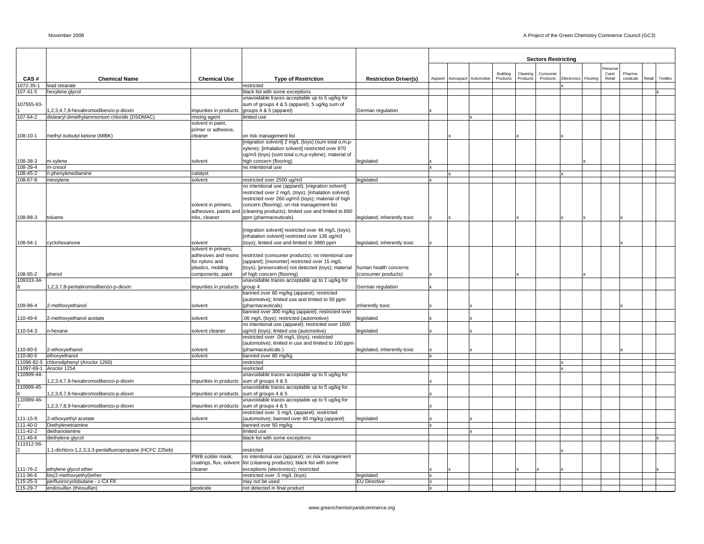|                      |                                                                                      |                                            |                                                                                                          |                              |         |                      |                      |                      | <b>Sectors Restricting</b> |             |          |                 |                     |        |                 |
|----------------------|--------------------------------------------------------------------------------------|--------------------------------------------|----------------------------------------------------------------------------------------------------------|------------------------------|---------|----------------------|----------------------|----------------------|----------------------------|-------------|----------|-----------------|---------------------|--------|-----------------|
|                      |                                                                                      |                                            |                                                                                                          |                              |         |                      |                      |                      |                            |             |          | Persona         |                     |        |                 |
| CAS#                 | <b>Chemical Name</b>                                                                 | <b>Chemical Use</b>                        |                                                                                                          |                              | Apparel | Aerospace Automotive | Building<br>Products | Cleaning<br>Products | Consumer<br>Products       | Electronics | Flooring | Care/<br>Retail | Pharma<br>ceuticals | Retail | <b>Textiles</b> |
| 1072-35-1            | lead stearate                                                                        |                                            | <b>Type of Restriction</b><br>restricted                                                                 | <b>Restriction Driver(s)</b> |         |                      |                      |                      |                            |             |          |                 |                     |        |                 |
| 107-41-5             | hexylene glycol                                                                      |                                            | black list with some exceptions                                                                          |                              |         |                      |                      |                      |                            |             |          |                 |                     |        |                 |
|                      |                                                                                      |                                            | unavoidable traces acceptable up to 5 ug/kg for                                                          |                              |         |                      |                      |                      |                            |             |          |                 |                     |        |                 |
| 107555-93-           |                                                                                      |                                            | sum of groups 4 & 5 (apparel), 5 ug/kg sum of                                                            |                              |         |                      |                      |                      |                            |             |          |                 |                     |        |                 |
| 107-64-2             | ,2,3,4,7,8-hexabromodibenzo-p-dioxin<br>distearyl dimethylammonium chloride (DSDMAC) | impurities in products<br>rinsing agent    | groups 4 & 5 (apparel)<br>imited use                                                                     | German regulation            |         |                      |                      |                      |                            |             |          |                 |                     |        |                 |
|                      |                                                                                      | solvent in paint,                          |                                                                                                          |                              |         |                      |                      |                      |                            |             |          |                 |                     |        |                 |
|                      |                                                                                      | primer or adhesive,                        |                                                                                                          |                              |         |                      |                      |                      |                            |             |          |                 |                     |        |                 |
| 108-10-1             | methyl isobutyl ketone (MIBK)                                                        | cleaner                                    | on risk management list                                                                                  |                              |         |                      |                      |                      |                            |             |          |                 |                     |        |                 |
|                      |                                                                                      |                                            | [migration solvent] 2 mg/L (toys) (sum total o,m,p-<br>xylene); [inhalation solvent] restricted over 870 |                              |         |                      |                      |                      |                            |             |          |                 |                     |        |                 |
|                      |                                                                                      |                                            | ug/m3 (toys) (sum total o,m,p-xylene); material of                                                       |                              |         |                      |                      |                      |                            |             |          |                 |                     |        |                 |
| 108-38-3             | m-xylene                                                                             | solvent                                    | high concern (flooring)                                                                                  | legislated                   |         |                      |                      |                      |                            |             |          |                 |                     |        |                 |
| 108-39-4             | m-cresol                                                                             |                                            | no intentional use                                                                                       |                              |         |                      |                      |                      |                            |             |          |                 |                     |        |                 |
| 108-45-2             | n-phenylenediamine                                                                   | catalyst                                   |                                                                                                          |                              |         |                      |                      |                      |                            |             |          |                 |                     |        |                 |
| 108-67-8             | mesiylene                                                                            | solvent                                    | restricted over 2500 ug/m3<br>no intentional use (apparel); [migration solvent]                          | legislated                   |         |                      |                      |                      |                            |             |          |                 |                     |        |                 |
|                      |                                                                                      |                                            | restricted over 2 mg/L (toys); [inhalation solvent]                                                      |                              |         |                      |                      |                      |                            |             |          |                 |                     |        |                 |
|                      |                                                                                      |                                            | restricted over 260 ug/m3 (toys); material of high                                                       |                              |         |                      |                      |                      |                            |             |          |                 |                     |        |                 |
|                      |                                                                                      | solvent in primers,                        | concern (flooring); on risk management list                                                              |                              |         |                      |                      |                      |                            |             |          |                 |                     |        |                 |
|                      |                                                                                      | adhesives, paints and                      | (cleaning products); limited use and limited to 890                                                      |                              |         |                      |                      |                      |                            |             |          |                 |                     |        |                 |
| 108-88-3             | toluene                                                                              | inks, cleaner                              | ppm (pharmaceuticals)                                                                                    | legislated, inherently toxic |         |                      |                      |                      |                            |             |          |                 |                     |        |                 |
|                      |                                                                                      |                                            | [migration solvent] restricted over 46 mg/L (toys);                                                      |                              |         |                      |                      |                      |                            |             |          |                 |                     |        |                 |
|                      |                                                                                      |                                            | [inhalation solvent] restricted over 136 ug/m3                                                           |                              |         |                      |                      |                      |                            |             |          |                 |                     |        |                 |
| 108-94-1             | cyclohexanone                                                                        | solvent                                    | (toys); limited use and limited to 3880 ppm                                                              | legislated, inherently toxic |         |                      |                      |                      |                            |             |          |                 |                     |        |                 |
|                      |                                                                                      | solvent in primers,                        |                                                                                                          |                              |         |                      |                      |                      |                            |             |          |                 |                     |        |                 |
|                      |                                                                                      | adhesives and resins<br>for nylons and     | restricted (consumer products); no intentional use<br>(apparel); [monomer] restricted over 15 mg/L       |                              |         |                      |                      |                      |                            |             |          |                 |                     |        |                 |
|                      |                                                                                      | plastics, molding                          | (toys); [preservative] not detected (toys); material                                                     | human health concerns        |         |                      |                      |                      |                            |             |          |                 |                     |        |                 |
| 108-95-2             | phenol                                                                               | components, paint                          | of high concern (flooring)                                                                               | (consumer products)          |         |                      |                      |                      |                            |             |          |                 |                     |        |                 |
| 109333-34-           |                                                                                      |                                            | unavoidable traces acceptable up to 1 ug/kg for                                                          |                              |         |                      |                      |                      |                            |             |          |                 |                     |        |                 |
| 8                    | ,2,3,7,8-pentabromodibenzo-p-dioxin                                                  | impurities in products                     | group 4<br>banned over 80 mg/kg (apparel); restricted                                                    | German regulation            |         |                      |                      |                      |                            |             |          |                 |                     |        |                 |
|                      |                                                                                      |                                            | (automotive); limited use and limited to 50 ppm                                                          |                              |         |                      |                      |                      |                            |             |          |                 |                     |        |                 |
| 109-86-4             | 2-methoxyethanol                                                                     | solvent                                    | (pharmaceuticals)                                                                                        | inherently toxic             |         |                      |                      |                      |                            |             |          |                 |                     |        |                 |
|                      |                                                                                      |                                            | banned over 300 mg/kg (apparel); restricted over                                                         |                              |         |                      |                      |                      |                            |             |          |                 |                     |        |                 |
| 110-49-6             | 2-methoxyethanol acetate                                                             | solvent                                    | .06 mg/L (toys); restricted (automotive)                                                                 | legislated                   |         |                      |                      |                      |                            |             |          |                 |                     |        |                 |
| 110-54-3             | n-hexane                                                                             | solvent cleaner                            | no intentional use (apparel); restricted over 1800<br>ug/m3 (toys); limited use (automotive)             | legislated                   |         |                      |                      |                      |                            |             |          |                 |                     |        |                 |
|                      |                                                                                      |                                            | restricted over .06 mg/L (toys); restricted                                                              |                              |         |                      |                      |                      |                            |             |          |                 |                     |        |                 |
|                      |                                                                                      |                                            | (automotive); limited in use and limited to 160 ppm                                                      |                              |         |                      |                      |                      |                            |             |          |                 |                     |        |                 |
| 110-80-5             | 2-ethoxyethanol                                                                      | solvent                                    | (pharmaceuticals)                                                                                        | legislated, inherently toxic |         |                      |                      |                      |                            |             |          |                 |                     |        |                 |
| 110-80-5             | ethoxyethanol<br>11096-82-5 chlorodiphenyl (Aroclor 1260)                            | solvent                                    | banned over 80 mg/kg<br>restricted                                                                       |                              |         |                      |                      |                      |                            |             |          |                 |                     |        |                 |
| 11097-69-1           | Aroclor 1254                                                                         |                                            | restricted                                                                                               |                              |         |                      |                      |                      |                            |             |          |                 |                     |        |                 |
| 110999-44-           |                                                                                      |                                            | unavoidable traces acceptable up to 5 ug/kg for                                                          |                              |         |                      |                      |                      |                            |             |          |                 |                     |        |                 |
| 5.                   | ,2,3,4,7,8-hexabromodibenzo-p-dioxin                                                 | impurities in products                     | sum of groups 4 & 5                                                                                      |                              |         |                      |                      |                      |                            |             |          |                 |                     |        |                 |
| 110999-45-<br>6      | ,2,3,6,7,8-hexabromodibenzo-p-dioxin                                                 |                                            | unavoidable traces acceptable up to 5 ug/kg for                                                          |                              |         |                      |                      |                      |                            |             |          |                 |                     |        |                 |
| 110999-46-           |                                                                                      | impurities in products sum of groups 4 & 5 | unavoidable traces acceptable up to 5 ug/kg for                                                          |                              |         |                      |                      |                      |                            |             |          |                 |                     |        |                 |
| $\overline{7}$       | ,2,3,7,8,9-hexabromodibenzo-p-dioxin                                                 | impurities in products sum of groups 4 & 5 |                                                                                                          |                              |         |                      |                      |                      |                            |             |          |                 |                     |        |                 |
|                      |                                                                                      |                                            | restricted over .5 mg/L (apparel); restricted                                                            |                              |         |                      |                      |                      |                            |             |          |                 |                     |        |                 |
| 111-15-9             | 2-ethoxyethyl acetate                                                                | solvent                                    | (automotive); banned over 80 mg/kg (apparel)                                                             | legislated                   |         |                      |                      |                      |                            |             |          |                 |                     |        |                 |
| 111-40-0<br>111-42-2 | Diethylenetriamine<br>diethanolamine                                                 |                                            | banned over 50 mg/kg<br>limited use                                                                      |                              |         |                      |                      |                      |                            |             |          |                 |                     |        |                 |
| 111-46-6             | diethylene glycol                                                                    |                                            | black list with some exceptions                                                                          |                              |         |                      |                      |                      |                            |             |          |                 |                     |        |                 |
| 111512-56-           |                                                                                      |                                            |                                                                                                          |                              |         |                      |                      |                      |                            |             |          |                 |                     |        |                 |
|                      | ,1-dichloro-1,2,3,3,3-pentafluoropropane (HCFC 225eb)                                |                                            | restricted                                                                                               |                              |         |                      |                      |                      |                            |             |          |                 |                     |        |                 |
|                      |                                                                                      | PWB solder mask,                           | no intentional use (apparel); on risk management                                                         |                              |         |                      |                      |                      |                            |             |          |                 |                     |        |                 |
| 111-76-2             | ethylene glycol ether                                                                | coatings, flux, solvent<br>cleaner         | list (cleaning products); black list with some<br>exceptions (electronics); restricted                   |                              |         |                      |                      |                      |                            |             |          |                 |                     |        |                 |
| 111-96-6             | bis(2-methoxyethyl)ether                                                             |                                            | restricted over .5 mg/L (toys)                                                                           | legislated                   |         |                      |                      |                      |                            |             |          |                 |                     |        |                 |
| 115-25-3             | perfluorocyclobutane - c-C4 F8                                                       |                                            | may not be used                                                                                          | <b>EU Directive</b>          |         |                      |                      |                      |                            |             |          |                 |                     |        |                 |
| $115 - 29 - 7$       | endosulfan (thiosulfan)                                                              | pesticide                                  | not detected in final product                                                                            |                              | lx      |                      |                      |                      |                            |             |          |                 |                     |        |                 |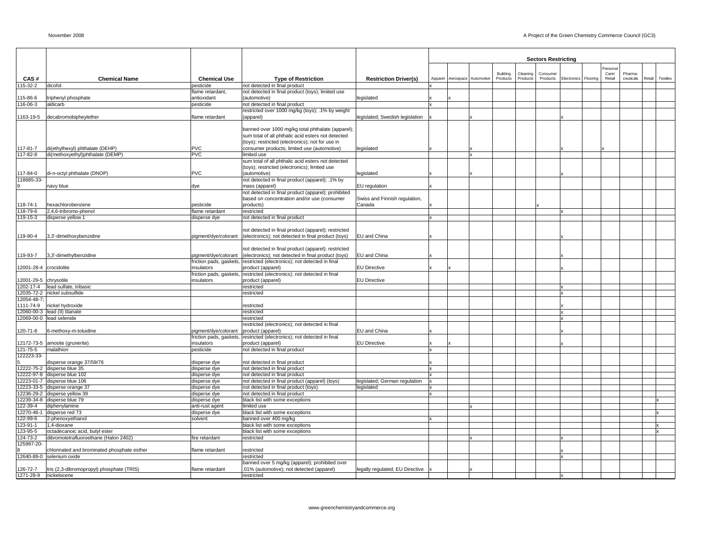|                        |                                                                          |                                       |                                                                                                         |                                 |                              |    |          |          | <b>Sectors Restricting</b> |             |          |         |           |        |          |
|------------------------|--------------------------------------------------------------------------|---------------------------------------|---------------------------------------------------------------------------------------------------------|---------------------------------|------------------------------|----|----------|----------|----------------------------|-------------|----------|---------|-----------|--------|----------|
|                        |                                                                          |                                       |                                                                                                         |                                 |                              |    |          |          |                            |             |          | Persona |           |        |          |
|                        |                                                                          |                                       |                                                                                                         |                                 |                              |    | Building | Cleaning | Consumer                   |             |          | Care/   | Pharma-   |        |          |
| CAS#<br>115-32-2       | <b>Chemical Name</b><br>dicofol                                          | <b>Chemical Use</b><br>pesticide      | <b>Type of Restriction</b><br>not detected in final product                                             | <b>Restriction Driver(s)</b>    | Apparel Aerospace Automotive |    | Products | Products | Products                   | Electronics | Flooring | Retail  | ceuticals | Retail | Textiles |
|                        |                                                                          | flame retardant,                      | not detected in final product (toys); limited use                                                       |                                 |                              |    |          |          |                            |             |          |         |           |        |          |
| 115-86-6               | triphenyl phosphate                                                      | antioxidant                           | (automotive)                                                                                            | legislated                      |                              |    |          |          |                            |             |          |         |           |        |          |
| 116-06-3               | aldicarb                                                                 | pesticide                             | not detected in final product                                                                           |                                 |                              |    |          |          |                            |             |          |         |           |        |          |
|                        |                                                                          |                                       | restricted over 1000 mg/kg (toys); .1% by weight                                                        |                                 |                              |    |          |          |                            |             |          |         |           |        |          |
| 1163-19-5              | decabromobipheylether                                                    | flame retardant                       | (apparel)                                                                                               | legislated; Swedish legislation |                              |    |          |          |                            |             |          |         |           |        |          |
|                        |                                                                          |                                       |                                                                                                         |                                 |                              |    |          |          |                            |             |          |         |           |        |          |
|                        |                                                                          |                                       | banned over 1000 mg/kg total phthalate (apparel);<br>sum total of all phthalic acid esters not detected |                                 |                              |    |          |          |                            |             |          |         |           |        |          |
|                        |                                                                          |                                       | (toys); restricted (electronics); not for use in                                                        |                                 |                              |    |          |          |                            |             |          |         |           |        |          |
| 117-81-7               | di(ethylhexyl) phthalate (DEHP)                                          | <b>PVC</b>                            | consumer products; limited use (automotive)                                                             | legislated                      |                              |    |          |          |                            |             |          |         |           |        |          |
| 117-82-8               | di(methoxyethyl)phthalate (DEMP)                                         | PVC                                   | limited use                                                                                             |                                 |                              | Ιx |          |          |                            |             |          |         |           |        |          |
|                        |                                                                          |                                       | sum total of all phthalic acid esters not detected                                                      |                                 |                              |    |          |          |                            |             |          |         |           |        |          |
|                        |                                                                          |                                       | (toys); restricted (electronics); limited use                                                           |                                 |                              |    |          |          |                            |             |          |         |           |        |          |
| 117-84-0               | di-n-octyl phthalate (DNOP)                                              | <b>PVC</b>                            | (automotive)                                                                                            | legislated                      |                              |    |          |          |                            |             |          |         |           |        |          |
| 118685-33-             |                                                                          |                                       | not detected in final product (apparel); .1% by                                                         |                                 |                              |    |          |          |                            |             |          |         |           |        |          |
|                        | navy blue                                                                | dye                                   | mass (apparel)                                                                                          | EU regulation                   |                              |    |          |          |                            |             |          |         |           |        |          |
|                        |                                                                          |                                       | not detected in final product (apparel); prohibited<br>based on concentration and/or use (consumer      | Swiss and Finnish regulation,   |                              |    |          |          |                            |             |          |         |           |        |          |
| 118-74-1               | hexachlorobenzene                                                        | pesticide                             | products)                                                                                               | Canada                          |                              |    |          |          |                            |             |          |         |           |        |          |
| 118-79-6               | 2,4,6-tribromo-phenol                                                    | flame retardant                       | restricted                                                                                              |                                 |                              |    |          |          |                            |             |          |         |           |        |          |
| 119-15-3               | disperse yellow 1                                                        | disperse dye                          | not detected in final product                                                                           |                                 |                              |    |          |          |                            |             |          |         |           |        |          |
|                        |                                                                          |                                       |                                                                                                         |                                 |                              |    |          |          |                            |             |          |         |           |        |          |
|                        |                                                                          |                                       | not detected in final product (apparel); restricted                                                     |                                 |                              |    |          |          |                            |             |          |         |           |        |          |
| 119-90-4               | 3,3'-dimethoxybenzidine                                                  | pigment/dye/colorant                  | (electronics); not detected in final product (toys)                                                     | EU and China                    |                              |    |          |          |                            |             |          |         |           |        |          |
|                        |                                                                          |                                       |                                                                                                         |                                 |                              |    |          |          |                            |             |          |         |           |        |          |
|                        |                                                                          |                                       | not detected in final product (apparel); restricted                                                     |                                 |                              |    |          |          |                            |             |          |         |           |        |          |
| 119-93-7               | 3,3'-dimethylbenzidine                                                   | pigment/dye/colorant                  | (electronics); not detected in final product (toys)                                                     | EU and China                    |                              |    |          |          |                            |             |          |         |           |        |          |
| 12001-28-4 crocidolite |                                                                          | friction pads, gaskets,<br>insulators | restricted (electronics); not detected in final<br>product (apparel)                                    | <b>EU Directive</b>             |                              |    |          |          |                            |             |          |         |           |        |          |
|                        |                                                                          | friction pads, gaskets,               | restricted (electronics); not detected in final                                                         |                                 |                              |    |          |          |                            |             |          |         |           |        |          |
| 12001-29-5             | chrysotile                                                               | insulators                            | product (apparel)                                                                                       | <b>EU Directive</b>             |                              |    |          |          |                            |             |          |         |           |        |          |
| 1202-17-4              | lead sulfate, tribasic                                                   |                                       | restricted                                                                                              |                                 |                              |    |          |          |                            |             |          |         |           |        |          |
|                        | 12035-72-2 nickel subsulfide                                             |                                       | restricted                                                                                              |                                 |                              |    |          |          |                            |             |          |         |           |        |          |
| 12054-48-7             |                                                                          |                                       |                                                                                                         |                                 |                              |    |          |          |                            |             |          |         |           |        |          |
| 1111-74-9              | nickel hydroxide                                                         |                                       | restricted                                                                                              |                                 |                              |    |          |          |                            |             |          |         |           |        |          |
|                        | 12060-00-3 lead (II) titanate                                            |                                       | restricted                                                                                              |                                 |                              |    |          |          |                            |             |          |         |           |        |          |
|                        | 12069-00-0 lead selenide                                                 |                                       | restricted                                                                                              |                                 |                              |    |          |          |                            |             |          |         |           |        |          |
| 120-71-8               | 6-methoxy-m-toluidine                                                    | pigment/dye/colorant                  | restricted (electronics); not detected in final<br>product (apparel)                                    | EU and China                    |                              |    |          |          |                            |             |          |         |           |        |          |
|                        |                                                                          | friction pads, gaskets,               | restricted (electronics); not detected in final                                                         |                                 |                              |    |          |          |                            |             |          |         |           |        |          |
|                        | 12172-73-5 amosite (grunerite)                                           | insulators                            | product (apparel)                                                                                       | <b>EU Directive</b>             |                              |    |          |          |                            |             |          |         |           |        |          |
| 121-75-5               | malathion                                                                | pesticide                             | not detected in final product                                                                           |                                 |                              |    |          |          |                            |             |          |         |           |        |          |
| 122223-33-             |                                                                          |                                       |                                                                                                         |                                 |                              |    |          |          |                            |             |          |         |           |        |          |
| 5                      | disperse orange 37/59/76                                                 | disperse dye                          | not detected in final product                                                                           |                                 |                              |    |          |          |                            |             |          |         |           |        |          |
|                        | 12222-75-2 disperse blue 35                                              | disperse dye                          | not detected in final product                                                                           |                                 |                              |    |          |          |                            |             |          |         |           |        |          |
|                        | 12222-97-8 disperse blue 102                                             | disperse dye                          | not detected in final product                                                                           |                                 |                              |    |          |          |                            |             |          |         |           |        |          |
|                        | 12223-01-7 disperse blue 106<br>12223-33-5 disperse orange 37            | disperse dye                          | not detected in final product (apparel) (toys)<br>not detected in final product (toys)                  | legislated; German regulation   |                              |    |          |          |                            |             |          |         |           |        |          |
|                        | 12236-29-2 disperse yellow 39                                            | disperse dye<br>disperse dye          | not detected in final product                                                                           | legislated                      |                              |    |          |          |                            |             |          |         |           |        |          |
|                        | 12239-34-8 disperse blue 79                                              | disperse dye                          | black list with some exceptions                                                                         |                                 |                              |    |          |          |                            |             |          |         |           |        |          |
| 122-39-4               | diphenylamine                                                            | anti-rust agent                       | limited use                                                                                             |                                 |                              |    |          |          |                            |             |          |         |           |        |          |
|                        | 12270-46-1 disperse red 73                                               | disperse dye                          | black list with some exceptions                                                                         |                                 |                              |    |          |          |                            |             |          |         |           |        |          |
| 122-99-6               | 2-phenoxyethanol                                                         | solvent                               | banned over 400 mg/kg                                                                                   |                                 |                              |    |          |          |                            |             |          |         |           |        |          |
| 123-91-1               | 1,4-dioxane                                                              |                                       | black list with some exceptions                                                                         |                                 |                              |    |          |          |                            |             |          |         |           |        |          |
| 123-95-5               | octadecanoic acid, butyl ester                                           |                                       | black list with some exceptions                                                                         |                                 |                              |    |          |          |                            |             |          |         |           |        |          |
| 124-73-2               | dibromotetrafluoroethane (Halon 2402)                                    | fire retardant                        | restricted                                                                                              |                                 |                              |    |          |          |                            |             |          |         |           |        |          |
| 125997-20-             |                                                                          |                                       |                                                                                                         |                                 |                              |    |          |          |                            |             |          |         |           |        |          |
|                        | chlorinated and brominated phosphate esther<br>12640-89-0 selenium oxide | flame retardant                       | restricted<br>restricted                                                                                |                                 |                              |    |          |          |                            |             |          |         |           |        |          |
|                        |                                                                          |                                       | banned over 5 mg/kg (apparel); prohibited over                                                          |                                 |                              |    |          |          |                            |             |          |         |           |        |          |
| 126-72-7               | tris (2,3-dibromopropyl) phosphate (TRIS)                                | flame retardant                       | .01% (automotive); not detected (apparel)                                                               | legally regulated; EU Directive |                              |    |          |          |                            |             |          |         |           |        |          |
| 1271-28-9 nickelocene  |                                                                          |                                       | restricted                                                                                              |                                 |                              |    |          |          |                            | l۷          |          |         |           |        |          |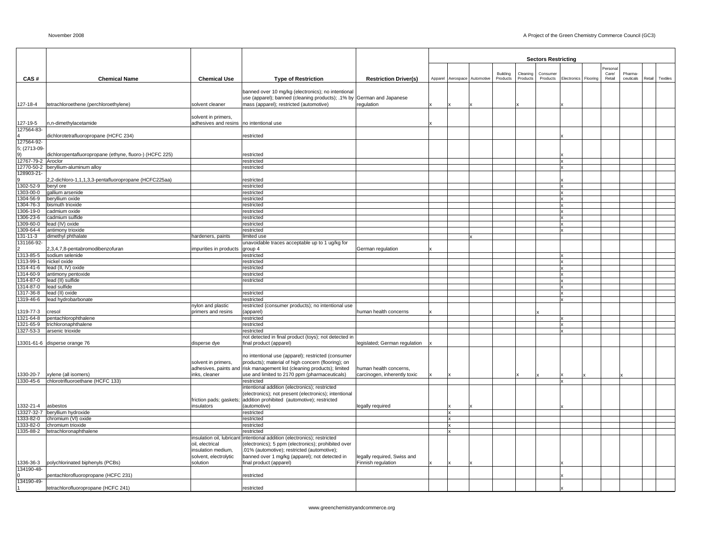|                            |                                                         |                                             |                                                                                                                             |                               |                              |          |          | <b>Sectors Restricting</b> |                              |         |           |                    |
|----------------------------|---------------------------------------------------------|---------------------------------------------|-----------------------------------------------------------------------------------------------------------------------------|-------------------------------|------------------------------|----------|----------|----------------------------|------------------------------|---------|-----------|--------------------|
|                            |                                                         |                                             |                                                                                                                             |                               |                              |          |          |                            |                              | ersonal |           |                    |
|                            |                                                         |                                             |                                                                                                                             |                               |                              | Building | Cleaning | Consumer                   |                              | Care/   | Pharma-   |                    |
| CAS#                       | <b>Chemical Name</b>                                    | <b>Chemical Use</b>                         | <b>Type of Restriction</b>                                                                                                  | <b>Restriction Driver(s)</b>  | Apparel Aerospace Automotive | Products | Products | Products                   | Electronics Flooring         | Retail  | ceuticals | Retail<br>Textiles |
|                            |                                                         |                                             | banned over 10 mg/kg (electronics); no intentional<br>use (apparel); banned (cleaning products); .1% by German and Japanese |                               |                              |          |          |                            |                              |         |           |                    |
| 127-18-4                   | tetrachloroethene (perchloroethylene)                   | solvent cleaner                             | mass (apparel); restricted (automotive)                                                                                     | regulation                    |                              |          |          |                            |                              |         |           |                    |
|                            |                                                         | solvent in primers,                         |                                                                                                                             |                               |                              |          |          |                            |                              |         |           |                    |
| 127-19-5<br>127564-83-     | n,n-dimethylacetamide                                   | adhesives and resins no intentional use     |                                                                                                                             |                               |                              |          |          |                            |                              |         |           |                    |
|                            | dichlorotetrafluoropropane (HCFC 234)                   |                                             | restricted                                                                                                                  |                               |                              |          |          |                            |                              |         |           |                    |
| 127564-92-<br>5; (2713-09- |                                                         |                                             |                                                                                                                             |                               |                              |          |          |                            |                              |         |           |                    |
| 9)                         | dichloropentafluoropropane (ethyne, fluoro-) (HCFC 225) |                                             | restricted                                                                                                                  |                               |                              |          |          |                            |                              |         |           |                    |
| 12767-79-2 Aroclor         |                                                         |                                             | restricted                                                                                                                  |                               |                              |          |          |                            | x                            |         |           |                    |
|                            | 12770-50-2 beryllium-aluminum alloy                     |                                             | restricted                                                                                                                  |                               |                              |          |          |                            | ×                            |         |           |                    |
| 28903-21-                  | 2,2-dichloro-1,1,1,3,3-pentafluoropropane (HCFC225aa)   |                                             | restricted                                                                                                                  |                               |                              |          |          |                            |                              |         |           |                    |
| 1302-52-9                  | beryl ore                                               |                                             | restricted                                                                                                                  |                               |                              |          |          |                            | $\mathbf{x}$                 |         |           |                    |
| 1303-00-0                  | gallium arsenide                                        |                                             | restricted                                                                                                                  |                               |                              |          |          |                            | <b>x</b>                     |         |           |                    |
| 304-56-9                   | beryllium oxide                                         |                                             | restricted                                                                                                                  |                               |                              |          |          |                            | x                            |         |           |                    |
| 304-76-3                   | bismuth trioxide                                        |                                             | restricted                                                                                                                  |                               |                              |          |          |                            | x                            |         |           |                    |
| 306-19-0<br>306-23-6       | cadmium oxide<br>cadmium sulfide                        |                                             | restricted                                                                                                                  |                               |                              |          |          |                            | $\mathsf{x}$<br>$\mathbf{x}$ |         |           |                    |
| 309-60-0                   | lead (IV) oxide                                         |                                             | restricted<br>restricted                                                                                                    |                               |                              |          |          |                            | x                            |         |           |                    |
| 309-64-4                   | antimony trioxide                                       |                                             | restricted                                                                                                                  |                               |                              |          |          |                            | $\mathbf{x}$                 |         |           |                    |
| 31-11-3                    | dimethyl phthalate                                      | hardeners, paints                           | limited use                                                                                                                 |                               |                              |          |          |                            |                              |         |           |                    |
| 131166-92-                 |                                                         |                                             | unavoidable traces acceptable up to 1 ug/kg for                                                                             |                               |                              |          |          |                            |                              |         |           |                    |
|                            | 2,3,4,7,8-pentabromodibenzofuran                        | impurities in products                      | group 4                                                                                                                     | German regulation             |                              |          |          |                            |                              |         |           |                    |
| 1313-85-5                  | sodium selenide<br>nickel oxide                         |                                             | restricted                                                                                                                  |                               |                              |          |          |                            | $\mathsf{x}$<br>$\mathbf{x}$ |         |           |                    |
| 1313-99-1<br>314-41-6      | lead (II, IV) oxide                                     |                                             | restricted<br>restricted                                                                                                    |                               |                              |          |          |                            | x                            |         |           |                    |
| 1314-60-9                  | antimony pentoxide                                      |                                             | restricted                                                                                                                  |                               |                              |          |          |                            | <b>x</b>                     |         |           |                    |
| 1314-87-0                  | lead (II) sulfide                                       |                                             | restricted                                                                                                                  |                               |                              |          |          |                            | $\mathbf{x}$                 |         |           |                    |
| 1314-87-0                  | lead sulfide                                            |                                             |                                                                                                                             |                               |                              |          |          |                            | x                            |         |           |                    |
| 1317-36-8                  | lead (II) oxide                                         |                                             | restricted                                                                                                                  |                               |                              |          |          |                            | x                            |         |           |                    |
| 1319-46-6                  | lead hydrobarbonate                                     |                                             | restricted                                                                                                                  |                               |                              |          |          |                            | x                            |         |           |                    |
|                            |                                                         | nylon and plastic                           | restricted (consumer products); no intentional use                                                                          |                               |                              |          |          |                            |                              |         |           |                    |
| 1319-77-3                  | cresol<br>pentachlorophthalene                          | primers and resins                          | (apparel)                                                                                                                   | human health concerns         |                              |          |          |                            | x                            |         |           |                    |
| 321-64-8<br>321-65-9       | trichloronaphthalene                                    |                                             | restricted<br>restricted                                                                                                    |                               |                              |          |          |                            | $\mathbf{x}$                 |         |           |                    |
| 327-53-3                   | arsenic trioxide                                        |                                             | restricted                                                                                                                  |                               |                              |          |          |                            | $\mathbf{x}$                 |         |           |                    |
|                            |                                                         |                                             | not detected in final product (toys); not detected in                                                                       |                               |                              |          |          |                            |                              |         |           |                    |
|                            | 13301-61-6 disperse orange 76                           | disperse dye                                | final product (apparel)                                                                                                     | legislated; German regulation |                              |          |          |                            |                              |         |           |                    |
|                            |                                                         |                                             | no intentional use (apparel); restricted (consumer                                                                          |                               |                              |          |          |                            |                              |         |           |                    |
|                            |                                                         | solvent in primers,                         | products); material of high concern (flooring); on                                                                          |                               |                              |          |          |                            |                              |         |           |                    |
|                            |                                                         | adhesives, paints and                       | risk management list (cleaning products); limited                                                                           | human health concerns,        |                              |          |          |                            |                              |         |           |                    |
| 1330-20-7                  | xylene (all isomers)                                    | inks, cleaner                               | use and limited to 2170 ppm (pharmaceuticals)                                                                               | carcinogen, inherently toxic  |                              |          |          |                            |                              |         |           |                    |
| 1330-45-6                  | chlorotrifluoroethane (HCFC 133)                        |                                             | restricted                                                                                                                  |                               |                              |          |          |                            | $\mathbf{x}$                 |         |           |                    |
|                            |                                                         |                                             | ntentional addition (electronics); restricted                                                                               |                               |                              |          |          |                            |                              |         |           |                    |
|                            |                                                         |                                             | (electronics); not present (electronics); intentional                                                                       |                               |                              |          |          |                            |                              |         |           |                    |
| 332-21-4 asbestos          |                                                         | friction pads; gaskets;<br>insulators       | addition prohibited (automotive); restricted<br>(automotive)                                                                | legally required              |                              |          |          |                            |                              |         |           |                    |
|                            | 3327-32-7 beryllium hydroxide                           |                                             | restricted                                                                                                                  |                               | Ιx                           |          |          |                            |                              |         |           |                    |
| 333-82-0                   | chromium (VI) oxide                                     |                                             | restricted                                                                                                                  |                               | <b>x</b>                     |          |          |                            |                              |         |           |                    |
| 333-82-0                   | chromium trioxide                                       |                                             | restricted                                                                                                                  |                               | Ιx                           |          |          |                            |                              |         |           |                    |
| 1335-88-2                  | tetrachloronaphthalene                                  |                                             | restricted                                                                                                                  |                               |                              |          |          |                            |                              |         |           |                    |
|                            |                                                         | insulation oil, lubricant                   | intentional addition (electronics); restricted                                                                              |                               |                              |          |          |                            |                              |         |           |                    |
|                            |                                                         | oil, electrical                             | (electronics); 5 ppm (electronics); prohibited over                                                                         |                               |                              |          |          |                            |                              |         |           |                    |
|                            |                                                         | insulation medium,<br>solvent, electrolytic | .01% (automotive); restricted (automotive);<br>banned over 1 mg/kg (apparel); not detected in                               | legally required, Swiss and   |                              |          |          |                            |                              |         |           |                    |
| 1336-36-3                  | polychlorinated biphenyls (PCBs)                        | solution                                    | final product (apparel)                                                                                                     | Finnish regulation            |                              |          |          |                            |                              |         |           |                    |
| 134190-48-                 |                                                         |                                             |                                                                                                                             |                               |                              |          |          |                            |                              |         |           |                    |
|                            | pentachlorofluoropropane (HCFC 231)                     |                                             | restricted                                                                                                                  |                               |                              |          |          |                            |                              |         |           |                    |
| 134190-49-                 | tetrachlorofluoropropane (HCFC 241)                     |                                             | restricted                                                                                                                  |                               |                              |          |          |                            |                              |         |           |                    |
|                            |                                                         |                                             |                                                                                                                             |                               |                              |          |          |                            |                              |         |           |                    |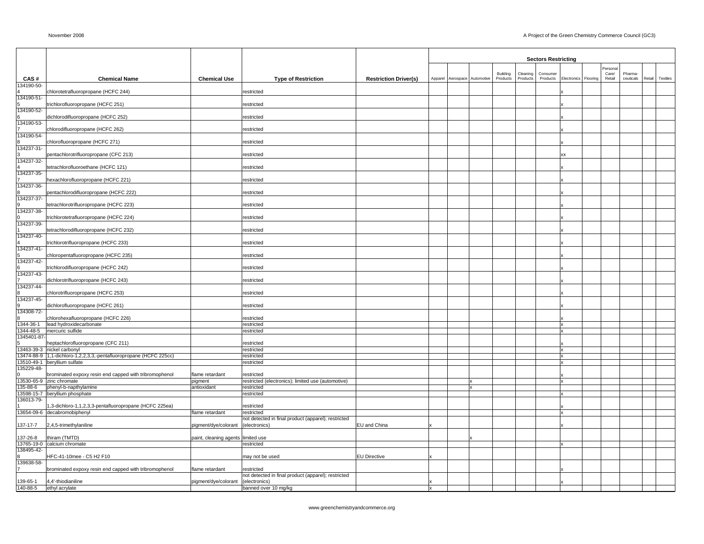|                       |                                                                   |                                    |                                                                      |                              |                              |          |          | <b>Sectors Restricting</b> |                    |          |                  |           |        |          |
|-----------------------|-------------------------------------------------------------------|------------------------------------|----------------------------------------------------------------------|------------------------------|------------------------------|----------|----------|----------------------------|--------------------|----------|------------------|-----------|--------|----------|
|                       |                                                                   |                                    |                                                                      |                              |                              | Building | Cleaning | Consumer                   |                    |          | Persona<br>Care/ | Pharma-   |        |          |
| CAS#                  | <b>Chemical Name</b>                                              | <b>Chemical Use</b>                | <b>Type of Restriction</b>                                           | <b>Restriction Driver(s)</b> | Apparel Aerospace Automotive | Products | Products | Products                   | <b>Electronics</b> | Flooring | Retail           | ceuticals | Retail | Textiles |
| 34190-50-             | chlorotetrafluoropropane (HCFC 244)                               |                                    | restricted                                                           |                              |                              |          |          |                            |                    |          |                  |           |        |          |
| 34190-51              |                                                                   |                                    |                                                                      |                              |                              |          |          |                            |                    |          |                  |           |        |          |
| 34190-52-             | trichlorofluoropropane (HCFC 251)                                 |                                    | restricted                                                           |                              |                              |          |          |                            |                    |          |                  |           |        |          |
|                       | dichlorodifluoropropane (HCFC 252)                                |                                    | restricted                                                           |                              |                              |          |          |                            |                    |          |                  |           |        |          |
| 134190-53-            |                                                                   |                                    |                                                                      |                              |                              |          |          |                            |                    |          |                  |           |        |          |
| 34190-54-             | chlorodifluoropropane (HCFC 262)                                  |                                    | restricted                                                           |                              |                              |          |          |                            |                    |          |                  |           |        |          |
|                       | chlorofluoropropane (HCFC 271)                                    |                                    | restricted                                                           |                              |                              |          |          |                            |                    |          |                  |           |        |          |
| 34237-31-             | pentachlorotrifluoropropane (CFC 213)                             |                                    | restricted                                                           |                              |                              |          |          |                            | xx                 |          |                  |           |        |          |
| 34237-32-             |                                                                   |                                    |                                                                      |                              |                              |          |          |                            |                    |          |                  |           |        |          |
|                       | tetrachlorofluoroethane (HCFC 121)                                |                                    | restricted                                                           |                              |                              |          |          |                            |                    |          |                  |           |        |          |
| 34237-35-             | hexachlorofluoropropane (HCFC 221)                                |                                    | restricted                                                           |                              |                              |          |          |                            |                    |          |                  |           |        |          |
| 34237-36-             |                                                                   |                                    |                                                                      |                              |                              |          |          |                            |                    |          |                  |           |        |          |
| 34237-37-             | pentachlorodifluoropropane (HCFC 222)                             |                                    | restricted                                                           |                              |                              |          |          |                            |                    |          |                  |           |        |          |
|                       | tetrachlorotrifluoropropane (HCFC 223)                            |                                    | restricted                                                           |                              |                              |          |          |                            |                    |          |                  |           |        |          |
| 34237-38-             |                                                                   |                                    |                                                                      |                              |                              |          |          |                            |                    |          |                  |           |        |          |
| 34237-39-             | trichlorotetrafluoropropane (HCFC 224)                            |                                    | restricted                                                           |                              |                              |          |          |                            |                    |          |                  |           |        |          |
|                       | tetrachlorodifluoropropane (HCFC 232)                             |                                    | restricted                                                           |                              |                              |          |          |                            |                    |          |                  |           |        |          |
| 34237-40-             | trichlorotrifluoropropane (HCFC 233)                              |                                    | restricted                                                           |                              |                              |          |          |                            |                    |          |                  |           |        |          |
| 34237-41-             |                                                                   |                                    |                                                                      |                              |                              |          |          |                            |                    |          |                  |           |        |          |
|                       | chloropentafluoropropane (HCFC 235)                               |                                    | restricted                                                           |                              |                              |          |          |                            |                    |          |                  |           |        |          |
| 34237-42-             | trichlorodifluoropropane (HCFC 242)                               |                                    | restricted                                                           |                              |                              |          |          |                            |                    |          |                  |           |        |          |
| 34237-43-             |                                                                   |                                    |                                                                      |                              |                              |          |          |                            |                    |          |                  |           |        |          |
|                       | dichlorotrifluoropropane (HCFC 243)                               |                                    | restricted                                                           |                              |                              |          |          |                            |                    |          |                  |           |        |          |
| 34237-44-             | chlorotrifluoropropane (HCFC 253)                                 |                                    | restricted                                                           |                              |                              |          |          |                            |                    |          |                  |           |        |          |
| 34237-45-             |                                                                   |                                    |                                                                      |                              |                              |          |          |                            |                    |          |                  |           |        |          |
| 34308-72-             | dichlorofluoropropane (HCFC 261)                                  |                                    | restricted                                                           |                              |                              |          |          |                            |                    |          |                  |           |        |          |
|                       | chlorohexafluoropropane (HCFC 226)                                |                                    | restricted                                                           |                              |                              |          |          |                            |                    |          |                  |           |        |          |
| 344-36-1              | lead hydroxidecarbonate                                           |                                    | restricted                                                           |                              |                              |          |          |                            | x                  |          |                  |           |        |          |
| 344-48-5<br>345401-87 | mercuric sulfide                                                  |                                    | restricted                                                           |                              |                              |          |          |                            |                    |          |                  |           |        |          |
|                       | heptachlorofluoropropane (CFC 211)                                |                                    | restricted                                                           |                              |                              |          |          |                            |                    |          |                  |           |        |          |
|                       | 3463-39-3 nickel carbonyl                                         |                                    | restricted                                                           |                              |                              |          |          |                            |                    |          |                  |           |        |          |
|                       | 3474-88-9 1,1-dichloro-1,2,2,3,3,-pentafluoropropane (HCFC 225cc) |                                    | restricted                                                           |                              |                              |          |          |                            | x                  |          |                  |           |        |          |
| 35229-48-             | 13510-49-1 beryllium sulfate                                      |                                    | restricted                                                           |                              |                              |          |          |                            |                    |          |                  |           |        |          |
|                       | brominated expoxy resin end capped with tribromophenol            | flame retardant                    | restricted                                                           |                              |                              |          |          |                            |                    |          |                  |           |        |          |
|                       | 3530-65-9 zinc chromate                                           | pigment                            | restricted (electronics); limited use (automotive)                   |                              |                              |          |          |                            |                    |          |                  |           |        |          |
| 35-88-6               | phenyl-b-napthylamine                                             | antioxidant                        | restricted                                                           |                              |                              |          |          |                            |                    |          |                  |           |        |          |
|                       | 3598-15-7 beryllium phosphate                                     |                                    | restricted                                                           |                              |                              |          |          |                            |                    |          |                  |           |        |          |
| 36013-79-             |                                                                   |                                    |                                                                      |                              |                              |          |          |                            |                    |          |                  |           |        |          |
|                       | 1,3-dichloro-1,1,2,3,3-pentafluoropropane (HCFC 225ea)            |                                    | restricted                                                           |                              |                              |          |          |                            |                    |          |                  |           |        |          |
|                       | 3654-09-6 decabromobiphenyl                                       | flame retardant                    | restricted                                                           |                              |                              |          |          |                            |                    |          |                  |           |        |          |
| 137-17-7              |                                                                   |                                    | not detected in final product (apparel); restricted<br>(electronics) | EU and China                 |                              |          |          |                            |                    |          |                  |           |        |          |
|                       | 2,4,5-trimethylaniline                                            | pigment/dye/colorant               |                                                                      |                              |                              |          |          |                            |                    |          |                  |           |        |          |
| 37-26-8               | thiram (TMTD)                                                     | paint, cleaning agents limited use |                                                                      |                              |                              |          |          |                            |                    |          |                  |           |        |          |
|                       | 3765-19-0 calcium chromate                                        |                                    | restricted                                                           |                              |                              |          |          |                            |                    |          |                  |           |        |          |
| 38495-42-             |                                                                   |                                    |                                                                      |                              |                              |          |          |                            |                    |          |                  |           |        |          |
| 39638-58-             | HFC-41-10mee - C5 H2 F10                                          |                                    | may not be used                                                      | <b>EU Directive</b>          |                              |          |          |                            |                    |          |                  |           |        |          |
|                       | brominated expoxy resin end capped with tribromophenol            | flame retardant                    | restricted                                                           |                              |                              |          |          |                            |                    |          |                  |           |        |          |
|                       |                                                                   |                                    | not detected in final product (apparel); restricted                  |                              |                              |          |          |                            |                    |          |                  |           |        |          |
| 139-65-1<br>140-88-5  | 4,4'-thiodianiline<br>ethyl acrylate                              | pigment/dye/colorant               | (electronics)<br>banned over 10 mg/kg                                |                              |                              |          |          |                            |                    |          |                  |           |        |          |
|                       |                                                                   |                                    |                                                                      |                              |                              |          |          |                            |                    |          |                  |           |        |          |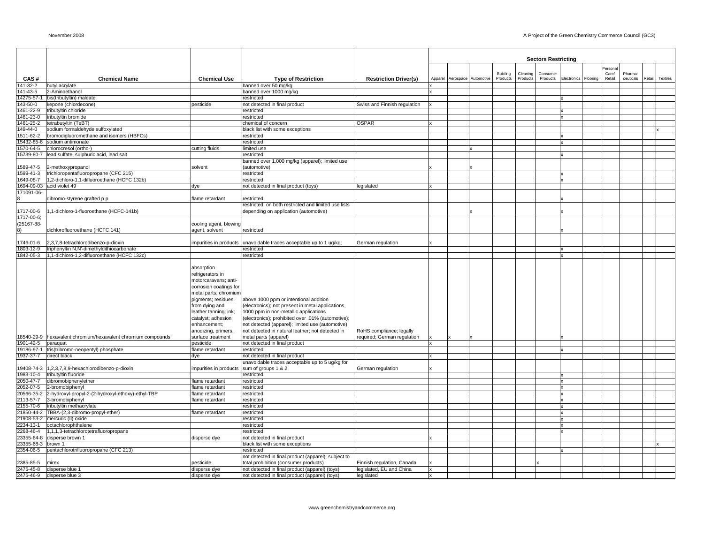|                          |                                                                      |                                                                                                                                                     |                                                                                                                                                                                                                                                                                                    |                              |                              |                                              | <b>Sectors Restricting</b> |                           |          |                 |                      |        |          |
|--------------------------|----------------------------------------------------------------------|-----------------------------------------------------------------------------------------------------------------------------------------------------|----------------------------------------------------------------------------------------------------------------------------------------------------------------------------------------------------------------------------------------------------------------------------------------------------|------------------------------|------------------------------|----------------------------------------------|----------------------------|---------------------------|----------|-----------------|----------------------|--------|----------|
|                          |                                                                      |                                                                                                                                                     |                                                                                                                                                                                                                                                                                                    |                              |                              |                                              |                            |                           |          | Persona         |                      |        |          |
| CAS#                     | <b>Chemical Name</b>                                                 | <b>Chemical Use</b>                                                                                                                                 | <b>Type of Restriction</b>                                                                                                                                                                                                                                                                         | <b>Restriction Driver(s)</b> | Apparel Aerospace Automotive | Building<br>Cleaning<br>Products<br>Products | Consumer<br>Products       | Electronics               | Flooring | Care/<br>Retail | Pharma-<br>ceuticals | Retail | Textiles |
| 141-32-2                 | butyl acrylate                                                       |                                                                                                                                                     | banned over 50 mg/kg                                                                                                                                                                                                                                                                               |                              |                              |                                              |                            |                           |          |                 |                      |        |          |
| 141-43-5                 | 2-Aminoethanol                                                       |                                                                                                                                                     | banned over 1000 mg/kg                                                                                                                                                                                                                                                                             |                              |                              |                                              |                            |                           |          |                 |                      |        |          |
|                          | 4275-57-1 bis(tributyltin) maleate                                   |                                                                                                                                                     | restricted                                                                                                                                                                                                                                                                                         |                              |                              |                                              |                            | $\mathbf{x}$              |          |                 |                      |        |          |
| 143-50-0                 | kepone (chlordecone)                                                 | pesticide                                                                                                                                           | not detected in final product                                                                                                                                                                                                                                                                      | Swiss and Finnish regulation |                              |                                              |                            |                           |          |                 |                      |        |          |
|                          | 461-22-9 tributyltin chloride<br>461-23-0 tributyltin bromide        |                                                                                                                                                     | restricted<br>restricted                                                                                                                                                                                                                                                                           |                              |                              |                                              |                            | X<br>x                    |          |                 |                      |        |          |
| 1461-25-2                | tetrabutyltin (TeBT)                                                 |                                                                                                                                                     | chemical of concern                                                                                                                                                                                                                                                                                | <b>OSPAR</b>                 |                              |                                              |                            |                           |          |                 |                      |        |          |
| 49-44-0                  | sodium formaldehyde sulfoxylated                                     |                                                                                                                                                     | black list with some exceptions                                                                                                                                                                                                                                                                    |                              |                              |                                              |                            |                           |          |                 |                      |        |          |
| 1511-62-2                | bromodigluoromethane and isomers (HBFCs)                             |                                                                                                                                                     | restricted                                                                                                                                                                                                                                                                                         |                              |                              |                                              |                            |                           |          |                 |                      |        |          |
|                          | 5432-85-6 sodium antimonate                                          |                                                                                                                                                     | restricted                                                                                                                                                                                                                                                                                         |                              |                              |                                              |                            | X                         |          |                 |                      |        |          |
| 1570-64-5                | chlorocresol (ortho-)                                                | cutting fluids                                                                                                                                      | limited use                                                                                                                                                                                                                                                                                        |                              |                              |                                              |                            |                           |          |                 |                      |        |          |
| 15739-80-7               | lead sulfate, sulphuric acid, lead salt                              |                                                                                                                                                     | restricted                                                                                                                                                                                                                                                                                         |                              |                              |                                              |                            | $\mathbf{x}$              |          |                 |                      |        |          |
|                          |                                                                      |                                                                                                                                                     | banned over 1,000 mg/kg (apparel); limited use                                                                                                                                                                                                                                                     |                              |                              |                                              |                            |                           |          |                 |                      |        |          |
| 1599-41-3                | 1589-47-5 2-methoxypropanol<br>trichloropentafluoropropane (CFC 215) | solvent                                                                                                                                             | (automotive)<br>restricted                                                                                                                                                                                                                                                                         |                              |                              |                                              |                            | x                         |          |                 |                      |        |          |
|                          | 1649-08-7 1,2-dichloro-1,1-difluoroethane (HCFC 132b)                |                                                                                                                                                     | restricted                                                                                                                                                                                                                                                                                         |                              |                              |                                              |                            | $\mathbf{x}$              |          |                 |                      |        |          |
|                          | 1694-09-03 acid violet 49                                            | dye                                                                                                                                                 | not detected in final product (toys)                                                                                                                                                                                                                                                               | legislated                   |                              |                                              |                            |                           |          |                 |                      |        |          |
| 171091-06-               |                                                                      |                                                                                                                                                     |                                                                                                                                                                                                                                                                                                    |                              |                              |                                              |                            |                           |          |                 |                      |        |          |
|                          | dibromo-styrene grafted p p                                          | flame retardant                                                                                                                                     | restricted                                                                                                                                                                                                                                                                                         |                              |                              |                                              |                            |                           |          |                 |                      |        |          |
|                          |                                                                      |                                                                                                                                                     | restricted; on both restricted and limited use lists                                                                                                                                                                                                                                               |                              |                              |                                              |                            |                           |          |                 |                      |        |          |
| 1717-00-6                | 1,1-dichloro-1-fluoroethane (HCFC-141b)                              |                                                                                                                                                     | depending on application (automotive)                                                                                                                                                                                                                                                              |                              |                              |                                              |                            |                           |          |                 |                      |        |          |
| 1717-00-6;<br>(25167-88- |                                                                      | cooling agent, blowing                                                                                                                              |                                                                                                                                                                                                                                                                                                    |                              |                              |                                              |                            |                           |          |                 |                      |        |          |
| 8)                       | dichlorofluoroethane (HCFC 141)                                      | agent, solvent                                                                                                                                      | restricted                                                                                                                                                                                                                                                                                         |                              |                              |                                              |                            |                           |          |                 |                      |        |          |
|                          |                                                                      |                                                                                                                                                     |                                                                                                                                                                                                                                                                                                    |                              |                              |                                              |                            |                           |          |                 |                      |        |          |
| 1746-01-6                | 2,3,7,8-tetrachlorodibenzo-p-dioxin                                  | impurities in products                                                                                                                              | unavoidable traces acceptable up to 1 ug/kg;                                                                                                                                                                                                                                                       | German regulation            |                              |                                              |                            |                           |          |                 |                      |        |          |
| 1803-12-9                | triphenyltin N,N'-dimethyldithiocarbonate                            |                                                                                                                                                     | restricted                                                                                                                                                                                                                                                                                         |                              |                              |                                              |                            | X                         |          |                 |                      |        |          |
| 1842-05-3                | 1,1-dichloro-1,2-difluoroethane (HCFC 132c)                          |                                                                                                                                                     | restricted                                                                                                                                                                                                                                                                                         |                              |                              |                                              |                            | $\mathbf x$               |          |                 |                      |        |          |
|                          |                                                                      | absorption<br>refrigerators in<br>motorcaravans; anti-<br>corrosion coatings for                                                                    |                                                                                                                                                                                                                                                                                                    |                              |                              |                                              |                            |                           |          |                 |                      |        |          |
|                          |                                                                      | metal parts; chromium<br>pigments; residues<br>from dying and<br>leather tanning; ink;<br>catalyst; adhesion<br>enhancement;<br>anodizing, primers, | above 1000 ppm or intentional addition<br>(electronics); not present in metal applications,<br>1000 ppm in non-metallic applications<br>(electronics); prohibited over .01% (automotive);<br>not detected (apparel); limited use (automotive);<br>not detected in natural leather; not detected in | RoHS compliance; legally     |                              |                                              |                            |                           |          |                 |                      |        |          |
|                          | 18540-29-9 hexavalent chromium/hexavalent chromium compounds         | surface treatment                                                                                                                                   | metal parts (apparel)                                                                                                                                                                                                                                                                              | required; German regulation  |                              |                                              |                            |                           |          |                 |                      |        |          |
| 1901-42-5                | paraquat                                                             | pesticide                                                                                                                                           | not detected in final product                                                                                                                                                                                                                                                                      |                              |                              |                                              |                            |                           |          |                 |                      |        |          |
|                          | 19186-97-1 tris(tribromo-neopentyl) phosphate                        | flame retardant                                                                                                                                     | restricted                                                                                                                                                                                                                                                                                         |                              |                              |                                              |                            | x                         |          |                 |                      |        |          |
| 1937-37-7                | direct black                                                         | dye                                                                                                                                                 | not detected in final product<br>unavoidable traces acceptable up to 5 ug/kg for                                                                                                                                                                                                                   |                              |                              |                                              |                            |                           |          |                 |                      |        |          |
|                          | 9408-74-3 1,2,3,7,8,9-hexachlorodibenzo-p-dioxin                     | impurities in products                                                                                                                              | sum of groups 1 & 2                                                                                                                                                                                                                                                                                | German regulation            |                              |                                              |                            |                           |          |                 |                      |        |          |
|                          | 1983-10-4 tributyltin fluoride                                       |                                                                                                                                                     | restricted                                                                                                                                                                                                                                                                                         |                              |                              |                                              |                            | $\boldsymbol{\mathsf{x}}$ |          |                 |                      |        |          |
| 2050-47-7                | dibromobiphenylether                                                 | flame retardant                                                                                                                                     | restricted                                                                                                                                                                                                                                                                                         |                              |                              |                                              |                            | x                         |          |                 |                      |        |          |
|                          | 2052-07-5 2-bromobiphenyl                                            | flame retardant                                                                                                                                     | restricted                                                                                                                                                                                                                                                                                         |                              |                              |                                              |                            | $\mathbf{x}$              |          |                 |                      |        |          |
|                          | 20566-35-2 2-hydroxyl-propyl-2-(2-hydroxyl-ethoxy)-ethyl-TBP         | flame retardant                                                                                                                                     | restricted                                                                                                                                                                                                                                                                                         |                              |                              |                                              |                            | x                         |          |                 |                      |        |          |
| 2113-57-7                | 3-bromobiphenyl                                                      | flame retardant                                                                                                                                     | restricted                                                                                                                                                                                                                                                                                         |                              |                              |                                              |                            | x                         |          |                 |                      |        |          |
| 2155-70-6                | tributyltin methacrylate                                             |                                                                                                                                                     | restricted                                                                                                                                                                                                                                                                                         |                              |                              |                                              |                            | $\mathbf{x}$              |          |                 |                      |        |          |
|                          | 21850-44-2 TBBA-(2,3-dibromo-propyl-ether)                           | flame retardant                                                                                                                                     | restricted                                                                                                                                                                                                                                                                                         |                              |                              |                                              |                            | x                         |          |                 |                      |        |          |
| 2234-13-1                | 21908-53-2 mercuric (II) oxide<br>octachlorophthalene                |                                                                                                                                                     | restricted                                                                                                                                                                                                                                                                                         |                              |                              |                                              |                            | x<br>$\mathbf{x}$         |          |                 |                      |        |          |
| 2268-46-4                | 1,1,1,3-tetrachlorotetrafluoropropane                                |                                                                                                                                                     | restricted<br>restricted                                                                                                                                                                                                                                                                           |                              |                              |                                              |                            | X                         |          |                 |                      |        |          |
|                          | 23355-64-8 disperse brown 1                                          | disperse dye                                                                                                                                        | not detected in final product                                                                                                                                                                                                                                                                      |                              |                              |                                              |                            |                           |          |                 |                      |        |          |
| 23355-68-3 brown 1       |                                                                      |                                                                                                                                                     | black list with some exceptions                                                                                                                                                                                                                                                                    |                              |                              |                                              |                            |                           |          |                 |                      |        |          |
|                          | 2354-06-5 pentachlorotrifluoropropane (CFC 213)                      |                                                                                                                                                     | restricted                                                                                                                                                                                                                                                                                         |                              |                              |                                              |                            | x                         |          |                 |                      |        |          |
|                          |                                                                      |                                                                                                                                                     | not detected in final product (apparel); subject to                                                                                                                                                                                                                                                |                              |                              |                                              |                            |                           |          |                 |                      |        |          |
| 2385-85-5                | mirex                                                                | pesticide                                                                                                                                           | total prohibition (consumer products)                                                                                                                                                                                                                                                              | Finnish regulation, Canada   |                              |                                              |                            |                           |          |                 |                      |        |          |
|                          | 2475-45-8 disperse blue 1                                            | disperse dye                                                                                                                                        | not detected in final product (apparel) (toys)                                                                                                                                                                                                                                                     | legislated, EU and China     |                              |                                              |                            |                           |          |                 |                      |        |          |
|                          | 2475-46-9 disperse blue 3                                            | disperse dve                                                                                                                                        | not detected in final product (apparel) (toys)                                                                                                                                                                                                                                                     | legislated                   |                              |                                              |                            |                           |          |                 |                      |        |          |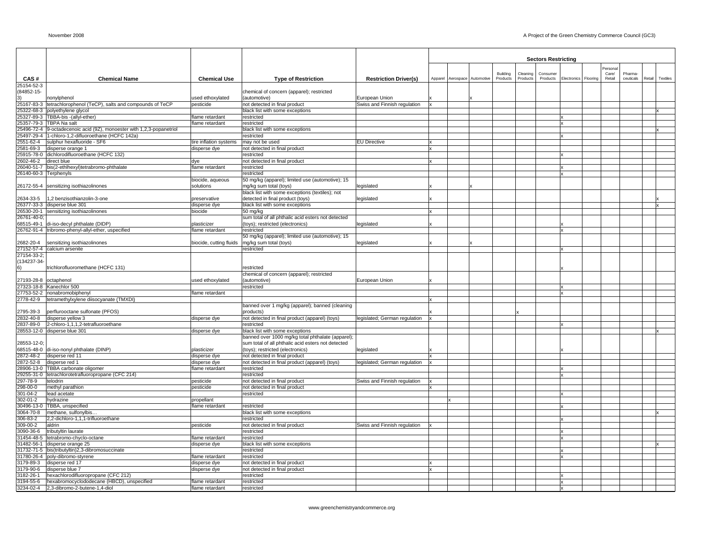|                       |                                                                              |                               |                                                                                 |                               |              |                              |          |          | <b>Sectors Restricting</b> |                      |          |           |        |          |
|-----------------------|------------------------------------------------------------------------------|-------------------------------|---------------------------------------------------------------------------------|-------------------------------|--------------|------------------------------|----------|----------|----------------------------|----------------------|----------|-----------|--------|----------|
|                       |                                                                              |                               |                                                                                 |                               |              |                              |          |          |                            |                      | Personal |           |        |          |
|                       |                                                                              |                               |                                                                                 |                               |              |                              | Building | Cleaning | Consumer                   |                      | Care/    | Pharma    |        |          |
| CAS#<br>25154-52-3    | <b>Chemical Name</b>                                                         | <b>Chemical Use</b>           | <b>Type of Restriction</b>                                                      | <b>Restriction Driver(s)</b>  |              | Apparel Aerospace Automotive | Products | Products | Products                   | Electronics Flooring | Retail   | ceuticals | Retail | Textiles |
| (84852-15-            |                                                                              |                               | chemical of concern (apparel); restricted                                       |                               |              |                              |          |          |                            |                      |          |           |        |          |
| 3)                    | nonylphenol                                                                  | used ethoxylated              | (automotive)                                                                    | European Union                |              |                              |          |          |                            |                      |          |           |        |          |
|                       | 25167-83-3 tetrachlorophenol (TeCP), salts and compounds of TeCP             | pesticide                     | not detected in final product                                                   | Swiss and Finnish regulation  |              |                              |          |          |                            |                      |          |           |        |          |
|                       | 25322-68-3 polyethylene glycol<br>25327-89-3 TBBA-bis -(allyl-ether)         | flame retardant               | black list with some exceptions<br>restricted                                   |                               |              |                              |          |          |                            |                      |          |           |        |          |
|                       | 25357-79-3 TBPA Na salt                                                      | flame retardant               | restricted                                                                      |                               |              |                              |          |          |                            |                      |          |           |        |          |
|                       | 25496-72-4 9-octadecenoic acid (9Z), monoester with 1,2,3-popanetriol        |                               | black list with some exceptions                                                 |                               |              |                              |          |          |                            |                      |          |           |        |          |
|                       | 25497-29-4 1-chloro-1,2-difluoroethane (HCFC 142a)                           |                               | restricted                                                                      |                               |              |                              |          |          |                            |                      |          |           |        |          |
|                       | 2551-62-4 sulphur hexafluoride - SF6<br>2581-69-3 disperse orange 1          | tire inflation systems        | may not be used<br>not detected in final product                                | <b>EU Directive</b>           |              |                              |          |          |                            |                      |          |           |        |          |
|                       | 25915-78-0 dichlorodifluoroethane (HCFC 132)                                 | disperse dye                  | restricted                                                                      |                               |              |                              |          |          |                            |                      |          |           |        |          |
| 2602-46-2 direct blue |                                                                              | dye                           | not detected in final product                                                   |                               |              |                              |          |          |                            |                      |          |           |        |          |
|                       | 26040-51-7 bis(2-ethlhexyl)tetrabromo-phthalate                              | flame retardant               | restricted                                                                      |                               |              |                              |          |          |                            |                      |          |           |        |          |
|                       | 26140-60-3 Terphenyls                                                        |                               | restricted<br>50 mg/kg (apparel); limited use (automotive); 15                  |                               |              |                              |          |          |                            |                      |          |           |        |          |
|                       | 26172-55-4 sensitizing isothiazolinones                                      | biocide, aqueous<br>solutions | mg/kg sum total (toys)                                                          | legislated                    |              |                              |          |          |                            |                      |          |           |        |          |
|                       |                                                                              |                               | black list with some exceptions (textiles); not                                 |                               |              |                              |          |          |                            |                      |          |           |        |          |
|                       | 2634-33-5 1,2 benzisothianzolin-3-one                                        | preservative                  | detected in final product (toys)                                                | legislated                    |              |                              |          |          |                            |                      |          |           |        |          |
|                       | 26377-33-3 disperse blue 301                                                 | disperse dye                  | black list with some exceptions                                                 |                               |              |                              |          |          |                            |                      |          |           |        |          |
| 26761-40-0;           | 26530-20-1 sensitizing isothiazolinones                                      | biocide                       | 50 mg/kg<br>sum total of all phthalic acid esters not detected                  |                               |              |                              |          |          |                            |                      |          |           |        |          |
|                       | 68515-49-1 di-iso-decyl phthalate (DIDP)                                     | plasticizer                   | (toys); restricted (electronics)                                                | legislated                    |              |                              |          |          |                            |                      |          |           |        |          |
|                       | 26762-91-4 tribromo-phenyl-allyl-ether, uspecified                           | flame retardant               | restricted                                                                      |                               |              |                              |          |          |                            |                      |          |           |        |          |
|                       |                                                                              |                               | 50 mg/kg (apparel); limited use (automotive); 15                                |                               |              |                              |          |          |                            |                      |          |           |        |          |
|                       | 2682-20-4 sensitizing isothiazolinones                                       | biocide, cutting fluids       | mg/kg sum total (toys)                                                          | legislated                    |              |                              |          |          |                            |                      |          |           |        |          |
| 27154-33-2;           | 27152-57-4 calcium arsenite                                                  |                               | restricted                                                                      |                               |              |                              |          |          |                            |                      |          |           |        |          |
| (134237-34-           |                                                                              |                               |                                                                                 |                               |              |                              |          |          |                            |                      |          |           |        |          |
| 6)                    | trichlorofluoromethane (HCFC 131)                                            |                               | restricted                                                                      |                               |              |                              |          |          |                            |                      |          |           |        |          |
|                       |                                                                              |                               | chemical of concern (apparel); restricted                                       |                               |              |                              |          |          |                            |                      |          |           |        |          |
|                       | 27193-28-8 octaphenol                                                        | used ethoxylated              | (automotive)                                                                    | European Union                |              |                              |          |          |                            |                      |          |           |        |          |
|                       | 27323-18-8 Kanechlor 500<br>27753-52-2 nonabromobiphenyl                     | flame retardant               | restricted                                                                      |                               |              |                              |          |          |                            |                      |          |           |        |          |
|                       | 2778-42-9   tetramethylxylene diisocyanate (TMXDI)                           |                               |                                                                                 |                               |              |                              |          |          |                            |                      |          |           |        |          |
|                       |                                                                              |                               | banned over 1 mg/kg (apparel); banned (cleaning                                 |                               |              |                              |          |          |                            |                      |          |           |        |          |
| 2795-39-3             | perflurooctane sulfonate (PFOS)                                              |                               | products)                                                                       |                               |              |                              |          |          |                            |                      |          |           |        |          |
|                       | 2832-40-8 disperse yellow 3                                                  | disperse dye                  | not detected in final product (apparel) (toys)                                  | legislated; German regulation |              |                              |          |          |                            |                      |          |           |        |          |
|                       | 2837-89-0 2-chloro-1,1,1,2-tetrafluoroethane<br>28553-12-0 disperse blue 301 | disperse dye                  | restricted<br>black list with some exceptions                                   |                               |              |                              |          |          |                            |                      |          |           |        |          |
|                       |                                                                              |                               | banned over 1000 mg/kg total phthalate (apparel);                               |                               |              |                              |          |          |                            |                      |          |           |        |          |
| 28553-12-0:           |                                                                              |                               | sum total of all phthalic acid esters not detected                              |                               |              |                              |          |          |                            |                      |          |           |        |          |
|                       | 68515-48-0 di-iso-nonyl phthalate (DINP)                                     | plasticizer                   | (toys); restricted (electronics)                                                | legislated                    |              |                              |          |          |                            |                      |          |           |        |          |
| 2872-52-8             | 2872-48-2 disperse red 11<br>disperse red 1                                  | disperse dye<br>disperse dye  | not detected in final product<br>not detected in final product (apparel) (toys) | legislated; German regulation |              |                              |          |          |                            |                      |          |           |        |          |
|                       | 28906-13-0 TBBA carbonate oligomer                                           | flame retardant               | restricted                                                                      |                               |              |                              |          |          |                            |                      |          |           |        |          |
|                       | 29255-31-0 tetrachlorotetrafluoropropane (CFC 214)                           |                               | restricted                                                                      |                               |              |                              |          |          |                            |                      |          |           |        |          |
| 297-78-9              | telodrin                                                                     | pesticide                     | not detected in final product                                                   | Swiss and Finnish regulation  |              |                              |          |          |                            |                      |          |           |        |          |
| 298-00-0              | methyl parathion                                                             | pesticide                     | not detected in final product                                                   |                               |              |                              |          |          |                            |                      |          |           |        |          |
| 301-04-2<br>302-01-2  | lead acetate<br>hydrazine                                                    | propellant                    | restricted                                                                      |                               |              |                              |          |          |                            |                      |          |           |        |          |
|                       | 30496-13-0 TBBA, unspecified                                                 | flame retardant               | restricted                                                                      |                               |              |                              |          |          |                            |                      |          |           |        |          |
|                       | 3064-70-8 methane, sulfonylbis.                                              |                               | black list with some exceptions                                                 |                               |              |                              |          |          |                            |                      |          |           |        |          |
| 306-83-2              | 2,2-dichloro-1,1,1-trifluoroethane                                           |                               | restricted                                                                      |                               |              |                              |          |          |                            |                      |          |           |        |          |
| $309 - 00 - 2$        | aldrin                                                                       | pesticide                     | not detected in final product                                                   | Swiss and Finnish regulation  |              |                              |          |          |                            |                      |          |           |        |          |
|                       | 3090-36-6 tributyltin laurate<br>31454-48-5 tetrabromo-chyclo-octane         | flame retardant               | restricted<br>restricted                                                        |                               |              |                              |          |          |                            |                      |          |           |        |          |
|                       | 31482-56-1 disperse orange 25                                                | disperse dye                  | black list with some exceptions                                                 |                               |              |                              |          |          |                            |                      |          |           |        |          |
|                       | 31732-71-5 bis(tributyltin)2,3-dibromosuccinate                              |                               | restricted                                                                      |                               |              |                              |          |          |                            |                      |          |           |        |          |
|                       | 31780-26-4 poly-dibromo-styrene                                              | flame retardant               | restricted                                                                      |                               |              |                              |          |          |                            |                      |          |           |        |          |
|                       | 3179-89-3 disperse red 17<br>3179-90-6 disperse blue 7                       | disperse dye                  | not detected in final product                                                   |                               | $\mathbf{x}$ |                              |          |          |                            |                      |          |           |        |          |
|                       | 3182-26-1 hexachlorodifluoropropane (CFC 212)                                | disperse dye                  | not detected in final product<br>restricted                                     |                               |              |                              |          |          |                            |                      |          |           |        |          |
|                       | 3194-55-6 hexabromocyclododecane (HBCD), unspecified                         | flame retardant               | restricted                                                                      |                               |              |                              |          |          |                            |                      |          |           |        |          |
|                       | 3234-02-4 2,3-dibromo-2-butene-1,4-diol                                      | flame retardant               | restricted                                                                      |                               |              |                              |          |          |                            |                      |          |           |        |          |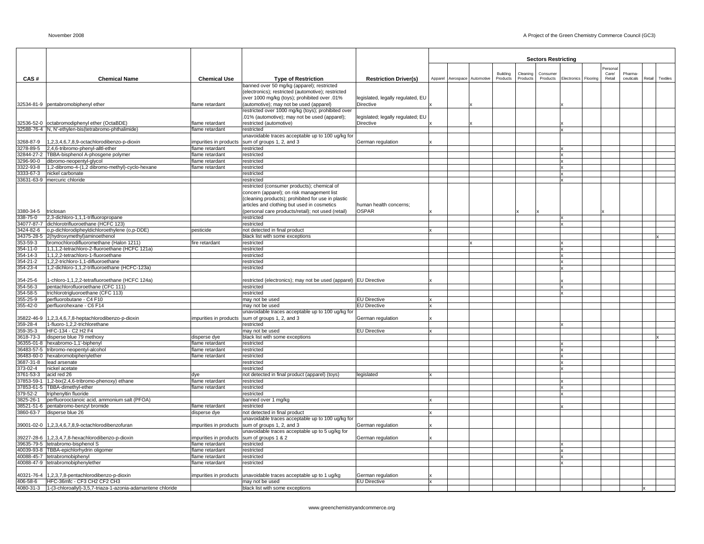|                        |                                                                          |                                          |                                                                                                       |                                   |   |                              |          |          | <b>Sectors Restricting</b> |                              |        |           |                 |
|------------------------|--------------------------------------------------------------------------|------------------------------------------|-------------------------------------------------------------------------------------------------------|-----------------------------------|---|------------------------------|----------|----------|----------------------------|------------------------------|--------|-----------|-----------------|
|                        |                                                                          |                                          |                                                                                                       |                                   |   |                              |          |          |                            |                              | ersona |           |                 |
|                        |                                                                          |                                          |                                                                                                       |                                   |   |                              | Building | Cleaning | Consumer                   |                              | Care/  | Pharma    |                 |
| CAS#                   | Chemical Name                                                            | <b>Chemical Use</b>                      | <b>Type of Restriction</b>                                                                            | <b>Restriction Driver(s)</b>      |   | Apparel Aerospace Automotive | Products | Products | Products                   | Electronics Flooring         | Retail | ceuticals | Retail Textiles |
|                        |                                                                          |                                          | banned over 50 mg/kg (apparel); restricted<br>(electronics); restricted (automotive); restricted      |                                   |   |                              |          |          |                            |                              |        |           |                 |
|                        |                                                                          |                                          | over 1000 mg/kg (toys); prohibited over .01%                                                          | legislated, legally regulated, EU |   |                              |          |          |                            |                              |        |           |                 |
|                        | 32534-81-9 pentabromobiphenyl ether                                      | lame retardant                           | (automotive); may not be used (apparel)                                                               | Directive                         |   |                              |          |          |                            |                              |        |           |                 |
|                        |                                                                          |                                          | restricted over 1000 mg/kg (toys); prohibited over                                                    |                                   |   |                              |          |          |                            |                              |        |           |                 |
|                        |                                                                          |                                          | .01% (automotive); may not be used (apparel);                                                         | legislated; legally regulated; EU |   |                              |          |          |                            |                              |        |           |                 |
|                        | 32536-52-0 octabromodiphenyl ether (OctaBDE)                             | flame retardant                          | restricted (automotive)                                                                               | Directive                         |   |                              |          |          |                            |                              |        |           |                 |
|                        | 32588-76-4 N, N'-ethylen-bis(tetrabromo-phthalimide)                     | flame retardant                          | restricted                                                                                            |                                   |   |                              |          |          |                            | x                            |        |           |                 |
|                        | 1,2,3,4,6,7,8,9-octachlorodibenzo-p-dioxin                               |                                          | unavoidable traces acceptable up to 100 ug/kg for                                                     |                                   |   |                              |          |          |                            |                              |        |           |                 |
| 3268-87-9<br>3278-89-5 | 2,4,6-tribromo-phenyl-alltl-ether                                        | impurities in products<br>lame retardant | sum of groups 1, 2, and 3<br>restricted                                                               | German regulation                 |   |                              |          |          |                            |                              |        |           |                 |
|                        | 32844-27-2 TBBA-bisphenol A-phosgene polymer                             | flame retardant                          | restricted                                                                                            |                                   |   |                              |          |          |                            | $\mathbf{x}$                 |        |           |                 |
|                        | 3296-90-0 dibromo-neopentyl-glycol                                       | lame retardant                           | restricted                                                                                            |                                   |   |                              |          |          |                            | x                            |        |           |                 |
| 3322-93-8              | 1,2-dibromo-4-(1,2 dibromo-methyl)-cyclo-hexane                          | flame retardant                          | restricted                                                                                            |                                   |   |                              |          |          |                            | $\mathbf{x}$                 |        |           |                 |
| 3333-67-3              | nickel carbonate                                                         |                                          | restricted                                                                                            |                                   |   |                              |          |          |                            | x                            |        |           |                 |
|                        | 33631-63-9 mercuric chloride                                             |                                          | restricted                                                                                            |                                   |   |                              |          |          |                            | $\mathbf{x}$                 |        |           |                 |
|                        |                                                                          |                                          | restricted (consumer products); chemical of                                                           |                                   |   |                              |          |          |                            |                              |        |           |                 |
|                        |                                                                          |                                          | concern (apparel); on risk management list<br>(cleaning products); prohibited for use in plastic      |                                   |   |                              |          |          |                            |                              |        |           |                 |
|                        |                                                                          |                                          | articles and clothing but used in cosmetics                                                           | human health concerns;            |   |                              |          |          |                            |                              |        |           |                 |
| 3380-34-5              | triclosan                                                                |                                          | (personal care products/retail); not used (retail)                                                    | <b>OSPAR</b>                      |   |                              |          |          |                            |                              |        |           |                 |
| 338-75-0               | 2,3-dichloro-1,1,1-trifluoropropane                                      |                                          | restricted                                                                                            |                                   |   |                              |          |          |                            | X                            |        |           |                 |
|                        | 34077-87-7 dichlorotrifluoroethane (HCFC 123)                            |                                          | restricted                                                                                            |                                   |   |                              |          |          |                            | $\mathbf{x}$                 |        |           |                 |
|                        | 3424-82-6 o.p-dichlorodipheyldichloroethylene (o.p-DDE)                  | pesticide                                | not detected in final product                                                                         |                                   |   |                              |          |          |                            |                              |        |           |                 |
|                        | 34375-28-5 2(hydroxymethyl)aminoethenol                                  |                                          | black list with some exceptions                                                                       |                                   |   |                              |          |          |                            |                              |        |           |                 |
| 353-59-3               | bromochlorodifluoromethane (Halon 1211)                                  | fire retardant                           | restricted                                                                                            |                                   |   |                              |          |          |                            | $\mathbf{x}$                 |        |           |                 |
| 354-11-0               | 1,1,1,2-tetrachloro-2-fluoroethane (HCFC 121a)                           |                                          | restricted                                                                                            |                                   |   |                              |          |          |                            | $\mathbf{x}$                 |        |           |                 |
| 354-14-3<br>354-21-2   | 1,1,2,2-tetrachloro-1-fluoroethane<br>1,2,2-trichloro-1,1-difluoroethane |                                          | restricted<br>restricted                                                                              |                                   |   |                              |          |          |                            | $\mathbf x$<br>X             |        |           |                 |
| 354-23-4               | 1,2-dichloro-1,1,2-trifluoroethane (HCFC-123a)                           |                                          | restricted                                                                                            |                                   |   |                              |          |          |                            | x                            |        |           |                 |
|                        |                                                                          |                                          |                                                                                                       |                                   |   |                              |          |          |                            |                              |        |           |                 |
| 354-25-6               | 1-chloro-1,1,2,2-tetrafluoroethane (HCFC 124a)                           |                                          | restricted (electronics); may not be used (apparel) EU Directive                                      |                                   |   |                              |          |          |                            |                              |        |           |                 |
| 354-56-3               | pentachlorofluoroethane (CFC 111)                                        |                                          | restricted                                                                                            |                                   |   |                              |          |          |                            | $\mathbf{x}$                 |        |           |                 |
| 354-58-5               | trichlorotrigluoroethane (CFC 113)                                       |                                          | restricted                                                                                            |                                   |   |                              |          |          |                            | x                            |        |           |                 |
| 355-25-9               | perfluorobutane - C4 F10                                                 |                                          | may not be used                                                                                       | <b>EU Directive</b>               |   |                              |          |          |                            |                              |        |           |                 |
| 355-42-0               | perfluorohexane - C6 F14                                                 |                                          | may not be used                                                                                       | <b>EU Directive</b>               |   |                              |          |          |                            |                              |        |           |                 |
|                        | 35822-46-9 1,2,3,4,6,7,8-heptachlorodibenzo-p-dioxin                     |                                          | unavoidable traces acceptable up to 100 ug/kg for<br>impurities in products sum of groups 1, 2, and 3 | German regulation                 |   |                              |          |          |                            |                              |        |           |                 |
| 359-28-4               | 1-fluoro-1,2,2-trichlorethane                                            |                                          | restricted                                                                                            |                                   |   |                              |          |          |                            | X                            |        |           |                 |
| 359-35-3               | HFC-134 - C2 H2 F4                                                       |                                          | may not be used                                                                                       | <b>EU Directive</b>               |   |                              |          |          |                            |                              |        |           |                 |
| 3618-73-3              | disperse blue 79 methoxy                                                 | disperse dye                             | black list with some exceptions                                                                       |                                   |   |                              |          |          |                            |                              |        |           |                 |
|                        | 36355-01-8 hexabromo-1,1'-biphenyl                                       | flame retardant                          | restricted                                                                                            |                                   |   |                              |          |          |                            | $\mathbf{x}$                 |        |           |                 |
|                        | 36483-57-5 tribromo-neopentyl-alcohol                                    | flame retardant                          | restricted                                                                                            |                                   |   |                              |          |          |                            | X                            |        |           |                 |
|                        | 36483-60-0 hexabromobiphenylether                                        | flame retardant                          | restricted                                                                                            |                                   |   |                              |          |          |                            | <b>x</b>                     |        |           |                 |
| 3687-31-8<br>373-02-4  | lead arsenate<br>nickel acetate                                          |                                          | restricted<br>restricted                                                                              |                                   |   |                              |          |          |                            | $\mathbf{x}$<br>$\mathbf{x}$ |        |           |                 |
| 3761-53-3              | acid red 26                                                              | dye                                      | not detected in final product (apparel) (toys)                                                        | legislated                        |   |                              |          |          |                            |                              |        |           |                 |
|                        | 37853-59-1 1,2-bix(2,4,6-tribromo-phenoxy) ethane                        | flame retardant                          | restricted                                                                                            |                                   |   |                              |          |          |                            | X                            |        |           |                 |
|                        | 37853-61-5 TBBA-dimethyl-ether                                           | flame retardant                          | restricted                                                                                            |                                   |   |                              |          |          |                            | x                            |        |           |                 |
| 379-52-2               | triphenyltin fluoride                                                    |                                          | restricted                                                                                            |                                   |   |                              |          |          |                            | x                            |        |           |                 |
| 3825-26-1              | perfluorooctanoic acid, ammonium salt (PFOA)                             |                                          | banned over 1 mg/kg                                                                                   |                                   |   |                              |          |          |                            |                              |        |           |                 |
|                        | 38521-51-6 pentabromo-benzyl bromide                                     | flame retardant                          | restricted                                                                                            |                                   |   |                              |          |          |                            | x                            |        |           |                 |
|                        | 3860-63-7 disperse blue 26                                               | disperse dye                             | not detected in final product                                                                         |                                   |   |                              |          |          |                            |                              |        |           |                 |
|                        |                                                                          |                                          | unavoidable traces acceptable up to 100 ug/kg for                                                     |                                   |   |                              |          |          |                            |                              |        |           |                 |
|                        | 39001-02-0 1.2,3,4,6,7,8,9-octachlorodibenzofuran                        |                                          | impurities in products sum of groups 1, 2, and 3<br>unavoidable traces acceptable up to 5 ug/kg for   | German regulation                 |   |                              |          |          |                            |                              |        |           |                 |
|                        | 39227-28-6 1,2,3,4,7,8-hexachlorodibenzo-p-dioxin                        | impurities in products                   | sum of groups 1 & 2                                                                                   | German regulation                 |   |                              |          |          |                            |                              |        |           |                 |
|                        | 39635-79-5 tetrabromo-bisphenol S                                        | flame retardant                          | restricted                                                                                            |                                   |   |                              |          |          |                            | x                            |        |           |                 |
|                        | 40039-93-8 TBBA-epichlorhydrin oligomer                                  | flame retardant                          | restricted                                                                                            |                                   |   |                              |          |          |                            | $\mathbf{x}$                 |        |           |                 |
|                        | 40088-45-7 tetrabromobiphenyl                                            | flame retardant                          | restricted                                                                                            |                                   |   |                              |          |          |                            | x                            |        |           |                 |
|                        | 40088-47-9 tetrabromobiphenylether                                       | flame retardant                          | restricted                                                                                            |                                   |   |                              |          |          |                            | x                            |        |           |                 |
|                        |                                                                          |                                          |                                                                                                       |                                   |   |                              |          |          |                            |                              |        |           |                 |
|                        | 40321-76-4 1,2,3,7,8-pentachlorodibenzo-p-dioxin                         | impurities in products                   | unavoidable traces acceptable up to 1 ug/kg                                                           | German regulation                 |   |                              |          |          |                            |                              |        |           |                 |
|                        | 406-58-6 HFC-36mfc - CF3 CH2 CF2 CH3                                     |                                          | may not be used<br>black list with some exceptions                                                    | <b>EU Directive</b>               | x |                              |          |          |                            |                              |        |           |                 |
|                        |                                                                          |                                          |                                                                                                       |                                   |   |                              |          |          |                            |                              |        |           |                 |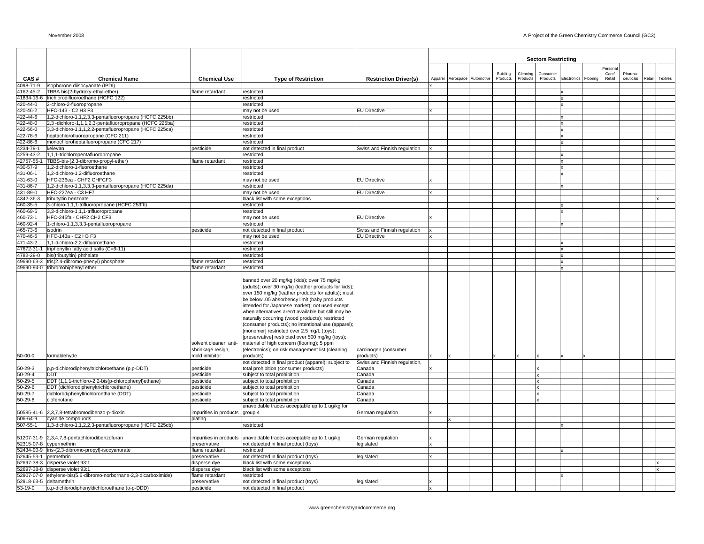|                      |                                                                                                     |                                             |                                                                                                                                                                                                                                                                                                                                                                                                                                                                                                                                                                                                                                |                                                     |                              |          |          | <b>Sectors Restricting</b> |                           |                   |           |        |          |
|----------------------|-----------------------------------------------------------------------------------------------------|---------------------------------------------|--------------------------------------------------------------------------------------------------------------------------------------------------------------------------------------------------------------------------------------------------------------------------------------------------------------------------------------------------------------------------------------------------------------------------------------------------------------------------------------------------------------------------------------------------------------------------------------------------------------------------------|-----------------------------------------------------|------------------------------|----------|----------|----------------------------|---------------------------|-------------------|-----------|--------|----------|
|                      |                                                                                                     |                                             |                                                                                                                                                                                                                                                                                                                                                                                                                                                                                                                                                                                                                                |                                                     |                              | Building | Cleaning | Consumer                   |                           | Personal<br>Care/ | Pharma-   |        |          |
| CAS#                 | <b>Chemical Name</b>                                                                                | <b>Chemical Use</b>                         | <b>Type of Restriction</b>                                                                                                                                                                                                                                                                                                                                                                                                                                                                                                                                                                                                     | <b>Restriction Driver(s)</b>                        | Apparel Aerospace Automotive | Products | Products | Products                   | Electronics Flooring      | Retail            | ceuticals | Retail | Textiles |
| 4098-71-9            | isophorone diisocyanate (IPDI)                                                                      |                                             |                                                                                                                                                                                                                                                                                                                                                                                                                                                                                                                                                                                                                                |                                                     |                              |          |          |                            |                           |                   |           |        |          |
| 162-45-2             | TBBA bis(2-hydroxy-ethyl-ether)<br>1834-16-6 trichlorodifluoroethane (HCFC 122)                     | lame retardant                              | restricted<br>restricted                                                                                                                                                                                                                                                                                                                                                                                                                                                                                                                                                                                                       |                                                     |                              |          |          |                            | X                         |                   |           |        |          |
| 420-44-0             | 2-chloro-2-fluoropropane                                                                            |                                             | restricted                                                                                                                                                                                                                                                                                                                                                                                                                                                                                                                                                                                                                     |                                                     |                              |          |          |                            | x                         |                   |           |        |          |
| 420-46-2             | HFC-143 - C2 H3 F3                                                                                  |                                             | may not be used                                                                                                                                                                                                                                                                                                                                                                                                                                                                                                                                                                                                                | <b>EU Directive</b>                                 |                              |          |          |                            |                           |                   |           |        |          |
| 422-44-6             | 1,2-dichloro-1,1,2,3,3-pentafluoropropane (HCFC 225bb)                                              |                                             | restricted                                                                                                                                                                                                                                                                                                                                                                                                                                                                                                                                                                                                                     |                                                     |                              |          |          |                            |                           |                   |           |        |          |
| 422-48-0             | 2,3 -dichloro-1,1,1,2,3-pentafluoropropane (HCFC 225ba)                                             |                                             | restricted                                                                                                                                                                                                                                                                                                                                                                                                                                                                                                                                                                                                                     |                                                     |                              |          |          |                            | $\boldsymbol{\mathsf{x}}$ |                   |           |        |          |
| 122-56-0             | 3,3-dichloro-1,1,1,2,2-pentafluoropropane (HCFC 225ca)                                              |                                             | restricted                                                                                                                                                                                                                                                                                                                                                                                                                                                                                                                                                                                                                     |                                                     |                              |          |          |                            |                           |                   |           |        |          |
| 122-78-6<br>22-86-6  | heptachlorofluoropropane (CFC 211)<br>monochloroheptafluoropropane (CFC 217)                        |                                             | restricted<br>restricted                                                                                                                                                                                                                                                                                                                                                                                                                                                                                                                                                                                                       |                                                     |                              |          |          |                            | x<br>x                    |                   |           |        |          |
| 234-79-1             | kelevan                                                                                             | pesticide                                   | not detected in final product                                                                                                                                                                                                                                                                                                                                                                                                                                                                                                                                                                                                  | Swiss and Finnish regulation                        |                              |          |          |                            |                           |                   |           |        |          |
| 4259-43-2            | 1,1,1-trichloropentafluoropropane                                                                   |                                             | restricted                                                                                                                                                                                                                                                                                                                                                                                                                                                                                                                                                                                                                     |                                                     |                              |          |          |                            | x                         |                   |           |        |          |
| 42757-55-1           | TBBS-bis-(2,3-dibromo-propyl-ether)                                                                 | lame retardant                              | restricted                                                                                                                                                                                                                                                                                                                                                                                                                                                                                                                                                                                                                     |                                                     |                              |          |          |                            | x                         |                   |           |        |          |
| 30-57-9              | 1,2-dichloro-1-fluoroethane                                                                         |                                             | restricted                                                                                                                                                                                                                                                                                                                                                                                                                                                                                                                                                                                                                     |                                                     |                              |          |          |                            | x                         |                   |           |        |          |
| 431-06-1             | 1,2-dichloro-1,2-difluoroethane                                                                     |                                             | restricted                                                                                                                                                                                                                                                                                                                                                                                                                                                                                                                                                                                                                     |                                                     |                              |          |          |                            | x                         |                   |           |        |          |
| 431-63-0<br>131-86-7 | HFC-236ea - CHF2 CHFCF3<br>1,2-dichloro-1,1,3,3,3-pentafluoropropane (HCFC 225da)                   |                                             | may not be used<br>restricted                                                                                                                                                                                                                                                                                                                                                                                                                                                                                                                                                                                                  | <b>EU Directive</b>                                 |                              |          |          |                            |                           |                   |           |        |          |
| 31-89-0              | HFC-227ea - C3 HF7                                                                                  |                                             | may not be used                                                                                                                                                                                                                                                                                                                                                                                                                                                                                                                                                                                                                | <b>EU Directive</b>                                 |                              |          |          |                            |                           |                   |           |        |          |
| 342-36-3             | tributyltin benzoate                                                                                |                                             | black list with some exceptions                                                                                                                                                                                                                                                                                                                                                                                                                                                                                                                                                                                                |                                                     |                              |          |          |                            |                           |                   |           |        |          |
| 460-35-5             | 3-chloro-1,1,1-trifluoropropane (HCFC 253fb)                                                        |                                             | restricted                                                                                                                                                                                                                                                                                                                                                                                                                                                                                                                                                                                                                     |                                                     |                              |          |          |                            |                           |                   |           |        |          |
| 460-69-5             | 3,3-dichloro-1,1,1-trifluoropropane                                                                 |                                             | restricted                                                                                                                                                                                                                                                                                                                                                                                                                                                                                                                                                                                                                     |                                                     |                              |          |          |                            | x                         |                   |           |        |          |
| 460-73-1             | HFC-245fa - CHF2 CH2 CF3                                                                            |                                             | may not be used                                                                                                                                                                                                                                                                                                                                                                                                                                                                                                                                                                                                                | <b>EU Directive</b>                                 |                              |          |          |                            |                           |                   |           |        |          |
| 460-92-4             | 1-chloro-1,1,3,3,3-pentafluoropropane                                                               |                                             | restricted                                                                                                                                                                                                                                                                                                                                                                                                                                                                                                                                                                                                                     |                                                     |                              |          |          |                            |                           |                   |           |        |          |
| 465-73-6<br>70-46-6  | isodrin<br>HFC-143a - C2 H3 F3                                                                      | pesticide                                   | not detected in final product<br>may not be used                                                                                                                                                                                                                                                                                                                                                                                                                                                                                                                                                                               | Swiss and Finnish regulation<br><b>EU Directive</b> |                              |          |          |                            |                           |                   |           |        |          |
| 71-43-2              | 1,1-dichloro-2,2-difluoroethane                                                                     |                                             | restricted                                                                                                                                                                                                                                                                                                                                                                                                                                                                                                                                                                                                                     |                                                     |                              |          |          |                            |                           |                   |           |        |          |
| 7672-31-1            | triphenyltin fatty acid salts (C=9-11)                                                              |                                             | restricted                                                                                                                                                                                                                                                                                                                                                                                                                                                                                                                                                                                                                     |                                                     |                              |          |          |                            | x                         |                   |           |        |          |
| 782-29-0             | bis(tributyltin) phthalate                                                                          |                                             | restricted                                                                                                                                                                                                                                                                                                                                                                                                                                                                                                                                                                                                                     |                                                     |                              |          |          |                            | x                         |                   |           |        |          |
|                      | 9690-63-3 tris(2,4-dibromo-phenyl) phosphate                                                        | lame retardant                              | restricted                                                                                                                                                                                                                                                                                                                                                                                                                                                                                                                                                                                                                     |                                                     |                              |          |          |                            | x                         |                   |           |        |          |
|                      | 49690-94-0 tribromobiphenyl ether                                                                   | lame retardant                              | restricted                                                                                                                                                                                                                                                                                                                                                                                                                                                                                                                                                                                                                     |                                                     |                              |          |          |                            |                           |                   |           |        |          |
|                      |                                                                                                     | solvent cleaner, anti-<br>shrinkage resign, | banned over 20 mg/kg (kids); over 75 mg/kg<br>(adults); over 30 mg/kg (leather products for kids);<br>over 150 mg/kg (leather products for adults); must<br>be below .05 absorbency limit (baby products<br>intended for Japanese market); not used except<br>when alternatives aren't available but still may be<br>naturally occurring (wood products); restricted<br>(consumer products); no intentional use (apparel);<br>[monomer] restricted over 2.5 mg/L (toys);<br>[preservative] restricted over 500 mg/kg (toys);<br>material of high concern (flooring); 5 ppm<br>(electronics); on risk management list (cleaning | carcinogen (consumer                                |                              |          |          |                            |                           |                   |           |        |          |
| $50 - 00 - 0$        | formaldehyde                                                                                        | mold inhibitor                              | products)                                                                                                                                                                                                                                                                                                                                                                                                                                                                                                                                                                                                                      | products)                                           |                              |          |          |                            |                           |                   |           |        |          |
|                      |                                                                                                     | pesticide                                   | not detected in final product (apparel); subject to                                                                                                                                                                                                                                                                                                                                                                                                                                                                                                                                                                            | Swiss and Finnish regulation,                       |                              |          |          |                            |                           |                   |           |        |          |
| 50-29-3<br>50-29-4   | p,p-dichlorodiphenyltrichloroethane (p,p-DDT)<br><b>DDT</b>                                         | pesticide                                   | total prohibition (consumer products)<br>subject to total prohibition                                                                                                                                                                                                                                                                                                                                                                                                                                                                                                                                                          | Canada<br>Canada                                    |                              |          |          |                            |                           |                   |           |        |          |
| 50-29-5              | DDT (1,1,1-trichloro-2,2-bis(p-chlorophenyl)ethane)                                                 | pesticide                                   | subject to total prohibition                                                                                                                                                                                                                                                                                                                                                                                                                                                                                                                                                                                                   | Canada                                              |                              |          |          |                            |                           |                   |           |        |          |
| 50-29-6              | DDT (dichlorodiphenyltrichloroethane)                                                               | pesticide                                   | subject to total prohibition                                                                                                                                                                                                                                                                                                                                                                                                                                                                                                                                                                                                   | Canada                                              |                              |          |          |                            |                           |                   |           |        |          |
| 50-29-7              | dichlorodiphenyltrichloroethane (DDT)                                                               | pesticide                                   | subject to total prohibition                                                                                                                                                                                                                                                                                                                                                                                                                                                                                                                                                                                                   | Canada                                              |                              |          |          |                            |                           |                   |           |        |          |
| $50 - 29 - 8$        | clofenotane                                                                                         | pesticide                                   | subject to total prohibition                                                                                                                                                                                                                                                                                                                                                                                                                                                                                                                                                                                                   | Canada                                              |                              |          |          |                            |                           |                   |           |        |          |
|                      |                                                                                                     |                                             | unavoidable traces acceptable up to 1 ug/kg for                                                                                                                                                                                                                                                                                                                                                                                                                                                                                                                                                                                |                                                     |                              |          |          |                            |                           |                   |           |        |          |
|                      | 50585-41-6 2,3,7,8-tetrabromodibenzo-p-dioxin                                                       | impurities in products                      | group 4                                                                                                                                                                                                                                                                                                                                                                                                                                                                                                                                                                                                                        | German regulation                                   |                              |          |          |                            |                           |                   |           |        |          |
| 06-64-9<br>507-55-1  | cyanide compounds<br>1,3-dichloro-1,1,2,2,3-pentafluoropropane (HCFC 225cb)                         | plating                                     | restricted                                                                                                                                                                                                                                                                                                                                                                                                                                                                                                                                                                                                                     |                                                     |                              |          |          |                            |                           |                   |           |        |          |
|                      |                                                                                                     |                                             |                                                                                                                                                                                                                                                                                                                                                                                                                                                                                                                                                                                                                                |                                                     |                              |          |          |                            |                           |                   |           |        |          |
|                      | 1207-31-9 2,3,4,7,8-pentachlorodibenzofuran                                                         | mpurities in products                       | unavoidable traces acceptable up to 1 ug/kg                                                                                                                                                                                                                                                                                                                                                                                                                                                                                                                                                                                    | German regulation                                   |                              |          |          |                            |                           |                   |           |        |          |
|                      | 2315-07-8 cypermethrin                                                                              | preservative                                | not detected in final product (toys)                                                                                                                                                                                                                                                                                                                                                                                                                                                                                                                                                                                           | legislated                                          |                              |          |          |                            |                           |                   |           |        |          |
|                      | 2434-90-9 tris-(2,3-dibromo-propyl)-isocyanurate                                                    | lame retardant                              | restricted                                                                                                                                                                                                                                                                                                                                                                                                                                                                                                                                                                                                                     |                                                     |                              |          |          |                            |                           |                   |           |        |          |
|                      | 2645-53-1 permethrin                                                                                | preservative                                | not detected in final product (toys)                                                                                                                                                                                                                                                                                                                                                                                                                                                                                                                                                                                           | egislated                                           |                              |          |          |                            |                           |                   |           |        |          |
|                      | 2697-38-3 disperse violet 93:1                                                                      | disperse dye                                | black list with some exceptions                                                                                                                                                                                                                                                                                                                                                                                                                                                                                                                                                                                                |                                                     |                              |          |          |                            |                           |                   |           |        |          |
|                      | 2697-38-8 disperse violet 93:1<br>52907-07-0 ethylene-bis(5,6-dibromo-norbornane-2,3-dicarboximide) | disperse dye<br>flame retardant             | black list with some exceptions<br>restricted                                                                                                                                                                                                                                                                                                                                                                                                                                                                                                                                                                                  |                                                     |                              |          |          |                            |                           |                   |           |        |          |
|                      | 2918-63-5 deltamethrin                                                                              | preservative                                | not detected in final product (toys)                                                                                                                                                                                                                                                                                                                                                                                                                                                                                                                                                                                           | legislated                                          |                              |          |          |                            |                           |                   |           |        |          |
| 53-19-0              | o,p-dichlorodiphenyldichloroethane (o-p-DDD)                                                        | pesticide                                   | not detected in final product                                                                                                                                                                                                                                                                                                                                                                                                                                                                                                                                                                                                  |                                                     |                              |          |          |                            |                           |                   |           |        |          |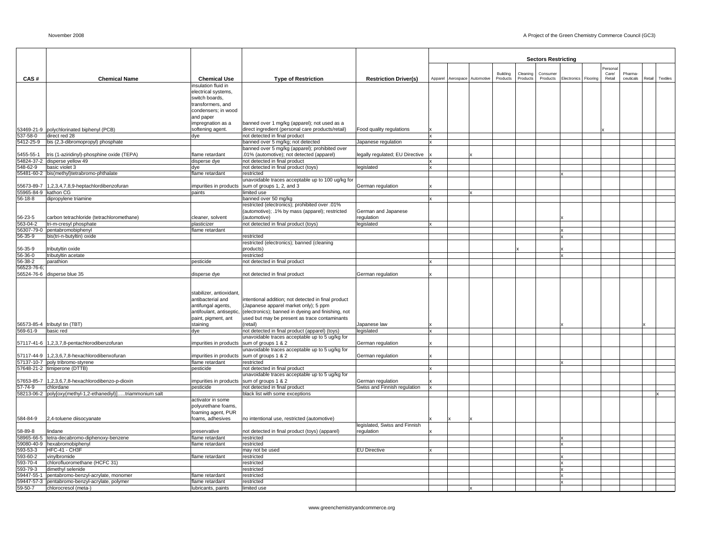|                           |                                                             |                                            |                                                                                    |                                 |  |                              |          |                 | <b>Sectors Restricting</b> |                      |                  |           |        |          |
|---------------------------|-------------------------------------------------------------|--------------------------------------------|------------------------------------------------------------------------------------|---------------------------------|--|------------------------------|----------|-----------------|----------------------------|----------------------|------------------|-----------|--------|----------|
|                           |                                                             |                                            |                                                                                    |                                 |  |                              |          |                 |                            |                      |                  |           |        |          |
|                           |                                                             |                                            |                                                                                    |                                 |  |                              | Building | Cleaning        | Consumer                   |                      | Persona<br>Care/ | Pharma    |        |          |
| CAS#                      | <b>Chemical Name</b>                                        | <b>Chemical Use</b>                        | <b>Type of Restriction</b>                                                         | <b>Restriction Driver(s)</b>    |  | Apparel Aerospace Automotive | Products | <b>Products</b> | Products                   | Electronics Flooring | Retail           | ceuticals | Retail | Textiles |
|                           |                                                             | insulation fluid in<br>electrical systems, |                                                                                    |                                 |  |                              |          |                 |                            |                      |                  |           |        |          |
|                           |                                                             | switch boards,                             |                                                                                    |                                 |  |                              |          |                 |                            |                      |                  |           |        |          |
|                           |                                                             | transformers, and                          |                                                                                    |                                 |  |                              |          |                 |                            |                      |                  |           |        |          |
|                           |                                                             | condensers; in wood                        |                                                                                    |                                 |  |                              |          |                 |                            |                      |                  |           |        |          |
|                           |                                                             | and paper                                  |                                                                                    |                                 |  |                              |          |                 |                            |                      |                  |           |        |          |
|                           |                                                             | impregnation as a                          | banned over 1 mg/kg (apparel); not used as a                                       |                                 |  |                              |          |                 |                            |                      |                  |           |        |          |
| 537-58-0                  | 53469-21-9 polychlorinated biphenyl (PCB)<br>direct red 28  | softening agent.<br>dye                    | direct ingredient (personal care products/retail)<br>not detected in final product | Food quality regulations        |  |                              |          |                 |                            |                      |                  |           |        |          |
| 5412-25-9                 | bis (2,3-dibromopropyl) phosphate                           |                                            | banned over 5 mg/kg; not detected                                                  | Japanese regulation             |  |                              |          |                 |                            |                      |                  |           |        |          |
|                           |                                                             |                                            | banned over 5 mg/kg (apparel); prohibited over                                     |                                 |  |                              |          |                 |                            |                      |                  |           |        |          |
| 5455-55-1                 | tris (1-aziridinyl)-phosphine oxide (TEPA)                  | flame retardant                            | .01% (automotive); not detected (apparel)                                          | legally regulated; EU Directive |  |                              |          |                 |                            |                      |                  |           |        |          |
|                           | 54824-37-2 disperse yellow 49                               | disperse dye                               | not detected in final product                                                      |                                 |  |                              |          |                 |                            |                      |                  |           |        |          |
| 548-62-9                  | basic violet 3                                              | dye                                        | not detected in final product (toys)                                               | legislated                      |  |                              |          |                 |                            |                      |                  |           |        |          |
|                           | 55481-60-2 bis(methyl)tetrabromo-phthalate                  | flame retardant                            | restricted<br>unavoidable traces acceptable up to 100 ug/kg for                    |                                 |  |                              |          |                 |                            |                      |                  |           |        |          |
| 55673-89-7                | 1,2,3,4,7,8,9-heptachlordibenzofuran                        | impurities in products                     | sum of groups 1, 2, and 3                                                          | German regulation               |  |                              |          |                 |                            |                      |                  |           |        |          |
| 55965-84-9 kathon CG      |                                                             | paints                                     | limited use                                                                        |                                 |  |                              |          |                 |                            |                      |                  |           |        |          |
| 56-18-8                   | dipropylene triamine                                        |                                            | banned over 50 mg/kg                                                               |                                 |  |                              |          |                 |                            |                      |                  |           |        |          |
|                           |                                                             |                                            | 01%.restricted (electronics); prohibited over                                      |                                 |  |                              |          |                 |                            |                      |                  |           |        |          |
|                           |                                                             |                                            | (automotive); .1% by mass (apparel); restricted                                    | German and Japanese             |  |                              |          |                 |                            |                      |                  |           |        |          |
| 56-23-5                   | carbon tetrachloride (tetrachloromethane)                   | cleaner, solvent                           | (automotive)                                                                       | regulation                      |  |                              |          |                 |                            |                      |                  |           |        |          |
| 563-04-2                  | tri-m-cresyl phosphate<br>56307-79-0 pentabromobiphenyl     | plasticizer<br>flame retardant             | not detected in final product (toys)                                               | legislated                      |  |                              |          |                 |                            |                      |                  |           |        |          |
| 56-35-9                   | bis(tri-n-butyltin) oxide                                   |                                            | restricted                                                                         |                                 |  |                              |          |                 |                            |                      |                  |           |        |          |
|                           |                                                             |                                            | restricted (electronics); banned (cleaning                                         |                                 |  |                              |          |                 |                            |                      |                  |           |        |          |
| 56-35-9                   | tributyltin oxide                                           |                                            | products)                                                                          |                                 |  |                              |          |                 |                            |                      |                  |           |        |          |
| 56-36-0                   | tributyltin acetate                                         |                                            | restricted                                                                         |                                 |  |                              |          |                 |                            |                      |                  |           |        |          |
| 56-38-2                   | parathion                                                   | pesticide                                  | not detected in final product                                                      |                                 |  |                              |          |                 |                            |                      |                  |           |        |          |
| 56523-76-6;<br>56524-76-6 | disperse blue 35                                            |                                            | not detected in final product                                                      |                                 |  |                              |          |                 |                            |                      |                  |           |        |          |
|                           |                                                             | disperse dye                               |                                                                                    | German regulation               |  |                              |          |                 |                            |                      |                  |           |        |          |
|                           |                                                             |                                            |                                                                                    |                                 |  |                              |          |                 |                            |                      |                  |           |        |          |
|                           |                                                             | stabilizer, antioxidant,                   |                                                                                    |                                 |  |                              |          |                 |                            |                      |                  |           |        |          |
|                           |                                                             | antibacterial and                          | intentional addition; not detected in final product                                |                                 |  |                              |          |                 |                            |                      |                  |           |        |          |
|                           |                                                             | antifungal agents,                         | (Japanese apparel market only); 5 ppm                                              |                                 |  |                              |          |                 |                            |                      |                  |           |        |          |
|                           |                                                             | antifoulant, antiseptic,                   | (electronics); banned in dyeing and finishing, not                                 |                                 |  |                              |          |                 |                            |                      |                  |           |        |          |
|                           |                                                             | paint, pigment, ant                        | used but may be present as trace contaminants                                      |                                 |  |                              |          |                 |                            |                      |                  |           |        |          |
| 569-61-9                  | 56573-85-4 tributyl tin (TBT)<br>basic red                  | staining<br>dye                            | (retail)<br>not detected in final product (apparel) (toys)                         | Japanese law<br>legislated      |  |                              |          |                 |                            |                      |                  |           |        |          |
|                           |                                                             |                                            | unavoidable traces acceptable up to 5 ug/kg for                                    |                                 |  |                              |          |                 |                            |                      |                  |           |        |          |
|                           | 57117-41-6 1,2,3,7,8-pentachlorodibenzofuran                | impurities in products                     | sum of groups 1 & 2                                                                | German regulation               |  |                              |          |                 |                            |                      |                  |           |        |          |
|                           |                                                             |                                            | unavoidable traces acceptable up to 5 ug/kg for                                    |                                 |  |                              |          |                 |                            |                      |                  |           |        |          |
|                           | 57117-44-9 1,2,3,6,7,8-hexachlorodibenxofuran               | impurities in products                     | sum of groups 1 & 2                                                                | German regulation               |  |                              |          |                 |                            |                      |                  |           |        |          |
|                           | 57137-10-7 poly tribromo-styrene                            | flame retardant                            | restricted                                                                         |                                 |  |                              |          |                 |                            |                      |                  |           |        |          |
|                           | 57648-21-2 timiperone (DTTB)                                | pesticide                                  | not detected in final product<br>unavoidable traces acceptable up to 5 ug/kg for   |                                 |  |                              |          |                 |                            |                      |                  |           |        |          |
| 57653-85-7                | 1,2,3,6,7,8-hexachlorodibenzo-p-dioxin                      | impurities in products                     | sum of groups 1 & 2                                                                | German regulation               |  |                              |          |                 |                            |                      |                  |           |        |          |
| 57-74-9                   | chlordane                                                   | pesticide                                  | not detected in final product                                                      | Swiss and Finnish regulation    |  |                              |          |                 |                            |                      |                  |           |        |          |
|                           | 58213-06-2 poly[oxy(methyl-1,2-ethanediyl)]triammonium salt |                                            | black list with some exceptions                                                    |                                 |  |                              |          |                 |                            |                      |                  |           |        |          |
|                           |                                                             | activator in some                          |                                                                                    |                                 |  |                              |          |                 |                            |                      |                  |           |        |          |
|                           |                                                             | polyurethane foams,                        |                                                                                    |                                 |  |                              |          |                 |                            |                      |                  |           |        |          |
|                           | 2,4-toluene diisocyanate                                    | foaming agent, PUR<br>foams, adhesives     |                                                                                    |                                 |  |                              |          |                 |                            |                      |                  |           |        |          |
| 584-84-9                  |                                                             |                                            | no intentional use, restricted (automotive)                                        | legislated, Swiss and Finnish   |  |                              |          |                 |                            |                      |                  |           |        |          |
| 58-89-8                   | lindane                                                     | preservative                               | not detected in final product (toys) (apparel)                                     | egulation                       |  |                              |          |                 |                            |                      |                  |           |        |          |
|                           | 58965-66-5 tetra-decabromo-diphenoxy-benzene                | flame retardant                            | restricted                                                                         |                                 |  |                              |          |                 |                            |                      |                  |           |        |          |
|                           | 59080-40-9 hexabromobiphenyl                                | flame retardant                            | restricted                                                                         |                                 |  |                              |          |                 |                            |                      |                  |           |        |          |
| 593-53-3                  | HFC-41 - CH3F                                               |                                            | may not be used                                                                    | <b>EU Directive</b>             |  |                              |          |                 |                            |                      |                  |           |        |          |
| 593-60-2                  | vinylbromide                                                | flame retardant                            | restricted                                                                         |                                 |  |                              |          |                 |                            |                      |                  |           |        |          |
| 593-70-4<br>593-79-3      | chlorofluoromethane (HCFC 31)<br>dimethyl selenide          |                                            | restricted<br>restricted                                                           |                                 |  |                              |          |                 |                            |                      |                  |           |        |          |
|                           | 59447-55-1 pentabromo-benzyl-acrylate, monomer              | flame retardant                            | restricted                                                                         |                                 |  |                              |          |                 |                            |                      |                  |           |        |          |
|                           | 59447-57-3 pentabromo-benzyl-acrylate, polymer              | flame retardant                            | restricted                                                                         |                                 |  |                              |          |                 |                            |                      |                  |           |        |          |
| 59-50-7                   | chlorocresol (meta-)                                        | lubricants, paints                         | limited use                                                                        |                                 |  |                              |          |                 |                            |                      |                  |           |        |          |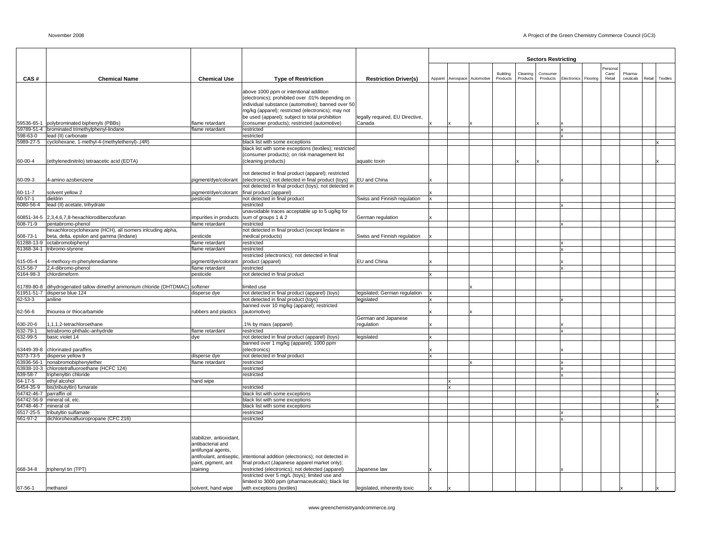|                            |                                                                      |                              |                                                                                                    |                                 |    |                              |          |          | <b>Sectors Restricting</b> |              |          |                   |           |        |          |
|----------------------------|----------------------------------------------------------------------|------------------------------|----------------------------------------------------------------------------------------------------|---------------------------------|----|------------------------------|----------|----------|----------------------------|--------------|----------|-------------------|-----------|--------|----------|
|                            |                                                                      |                              |                                                                                                    |                                 |    |                              | Building | Cleaning | Consume                    |              |          | Personal<br>Care/ | Pharma-   |        |          |
| CAS#                       | <b>Chemical Name</b>                                                 | <b>Chemical Use</b>          | <b>Type of Restriction</b>                                                                         | <b>Restriction Driver(s)</b>    |    | Apparel Aerospace Automotive | Products | Products | Products                   | Electronics  | Flooring | Retail            | ceuticals | Retail | Textiles |
|                            |                                                                      |                              | above 1000 ppm or intentional addition                                                             |                                 |    |                              |          |          |                            |              |          |                   |           |        |          |
|                            |                                                                      |                              | (electronics); prohibited over .01% depending on                                                   |                                 |    |                              |          |          |                            |              |          |                   |           |        |          |
|                            |                                                                      |                              | individual substance (automotive); banned over 50                                                  |                                 |    |                              |          |          |                            |              |          |                   |           |        |          |
|                            |                                                                      |                              | mg/kg (apparel); restricted (electronics); may not                                                 |                                 |    |                              |          |          |                            |              |          |                   |           |        |          |
|                            |                                                                      |                              | be used (apparel); subject to total prohibition                                                    | legally required, EU Directive, |    |                              |          |          |                            |              |          |                   |           |        |          |
|                            | 59536-65-1 polybrominated biphenyls (PBBs)                           | lame retardant               | (consumer products); restricted (automotive)                                                       | Canada                          |    |                              |          |          |                            |              |          |                   |           |        |          |
|                            | 59789-51-4 brominated trimethylphenyl-lindane                        | flame retardant              | restricted                                                                                         |                                 |    |                              |          |          |                            | $\mathbf{x}$ |          |                   |           |        |          |
| 598-63-0<br>5989-27-5      | lead (II) carbonate<br>cyclohexane, 1-methyl-4-(methylethenyl)-,(4R) |                              | restricted<br>black list with some exceptions                                                      |                                 |    |                              |          |          |                            |              |          |                   |           |        |          |
|                            |                                                                      |                              | black list with some exceptions (textiles); restricted                                             |                                 |    |                              |          |          |                            |              |          |                   |           |        |          |
|                            |                                                                      |                              | (consumer products); on risk management list                                                       |                                 |    |                              |          |          |                            |              |          |                   |           |        |          |
| 60-00-4                    | (ethylenedinitrilo) tetraacetic acid (EDTA)                          |                              | (cleaning products)                                                                                | aquatic toxin                   |    |                              |          |          |                            |              |          |                   |           |        |          |
|                            |                                                                      |                              |                                                                                                    |                                 |    |                              |          |          |                            |              |          |                   |           |        |          |
|                            |                                                                      |                              | not detected in final product (apparel); restricted                                                |                                 |    |                              |          |          |                            |              |          |                   |           |        |          |
| 60-09-3                    | 4-amino azobenzene                                                   | pigment/dye/colorant         | (electronics); not detected in final product (toys)                                                | EU and China                    |    |                              |          |          |                            |              |          |                   |           |        |          |
|                            |                                                                      |                              | not detected in final product (toys); not detected in                                              |                                 |    |                              |          |          |                            |              |          |                   |           |        |          |
| $60 - 11 - 7$              | solvent yellow 2                                                     | bigment/dye/colorant         | final product (apparel)                                                                            |                                 |    |                              |          |          |                            |              |          |                   |           |        |          |
| $60 - 57 - 1$<br>6080-56-4 | dieldrin<br>lead (II) acetate, trihydrate                            | pesticide                    | not detected in final product<br>restricted                                                        | Swiss and Finnish regulation    | Ιx |                              |          |          |                            |              |          |                   |           |        |          |
|                            |                                                                      |                              | unavoidable traces acceptable up to 5 ug/kg for                                                    |                                 |    |                              |          |          |                            |              |          |                   |           |        |          |
|                            | 60851-34-5 2,3,4,6,7,8-hexachlorodibenzofuran                        | impurities in products       | sum of groups 1 & 2                                                                                | German regulation               |    |                              |          |          |                            |              |          |                   |           |        |          |
| 608-71-9                   | pentabromo-phenol                                                    | flame retardant              | restricted                                                                                         |                                 |    |                              |          |          |                            |              |          |                   |           |        |          |
|                            | hexachlorocyclohexane (HCH), all isomers inlcuding alpha,            |                              | not detected in final product (except lindane in                                                   |                                 |    |                              |          |          |                            |              |          |                   |           |        |          |
| 608-73-1                   | beta, delta, epsilon and gamma (lindane)                             | pesticide                    | medical products)                                                                                  | Swiss and Finnish regulation    |    |                              |          |          |                            |              |          |                   |           |        |          |
| 61288-13-9                 | octabromobiphenyl                                                    | lame retardant               | restricted                                                                                         |                                 |    |                              |          |          |                            |              |          |                   |           |        |          |
|                            | 61368-34-1 tribromo-styrene                                          | lame retardant               | restricted                                                                                         |                                 |    |                              |          |          |                            | $\mathbf{x}$ |          |                   |           |        |          |
|                            |                                                                      |                              | restricted (electronics); not detected in final                                                    |                                 |    |                              |          |          |                            |              |          |                   |           |        |          |
| 15-05-4                    | 4-methoxy-m-phenylenediamine                                         | bigment/dye/colorant         | product (apparel)                                                                                  | EU and China                    |    |                              |          |          |                            |              |          |                   |           |        |          |
| 615-58-7<br>6164-98-3      | 2,4-dibromo-phenol<br>chlordimeform                                  | flame retardant<br>pesticide | restricted<br>not detected in final product                                                        |                                 | lx |                              |          |          |                            | $\mathbf{x}$ |          |                   |           |        |          |
|                            |                                                                      |                              |                                                                                                    |                                 |    |                              |          |          |                            |              |          |                   |           |        |          |
| 61789-80-8                 | dihydrogenated tallow dimethyl ammonium chloride (DHTDMAC)           | softener                     | limited use                                                                                        |                                 |    |                              |          |          |                            |              |          |                   |           |        |          |
|                            | 61951-51-7 disperse blue 124                                         | disperse dye                 | not detected in final product (apparel) (toys)                                                     | legislated; German regulation   |    |                              |          |          |                            |              |          |                   |           |        |          |
| 62-53-3                    | aniline                                                              |                              | not detected in final product (toys)                                                               | legislated                      | ΙX |                              |          |          |                            |              |          |                   |           |        |          |
|                            |                                                                      |                              | banned over 10 mg/kg (apparel); restricted                                                         |                                 |    |                              |          |          |                            |              |          |                   |           |        |          |
| 62-56-6                    | thiourea or thiocarbamide                                            | rubbers and plastics         | (automotive)                                                                                       |                                 |    |                              |          |          |                            |              |          |                   |           |        |          |
|                            |                                                                      |                              |                                                                                                    | German and Japanese             |    |                              |          |          |                            |              |          |                   |           |        |          |
| 630-20-6                   | 1,1,1,2-tetrachloroethane                                            |                              | 1% by mass (apparel)                                                                               | regulation                      |    |                              |          |          |                            |              |          |                   |           |        |          |
| 632-79-1                   | tetrabromo phthalic-anhydride                                        | flame retardant              | restricted                                                                                         |                                 |    |                              |          |          |                            | x            |          |                   |           |        |          |
| 632-99-5                   | basic violet 14                                                      | dye                          | not detected in final product (apparel) (toys)<br>banned over 1 mg/kg (apparel); 1000 ppm          | legislated                      |    |                              |          |          |                            |              |          |                   |           |        |          |
|                            | 63449-39-8 chlorinated paraffins                                     |                              | (electronics)                                                                                      |                                 |    |                              |          |          |                            |              |          |                   |           |        |          |
| 6373-73-5                  | disperse yellow 9                                                    | disperse dye                 | not detected in final product                                                                      |                                 | Ιx |                              |          |          |                            |              |          |                   |           |        |          |
| 63936-56-1                 | nonabromobiphenylether                                               | lame retardant               | restricted                                                                                         |                                 |    |                              |          |          |                            |              |          |                   |           |        |          |
|                            | 63938-10-3 chlorotetrafluoroethane (HCFC 124)                        |                              | restricted                                                                                         |                                 |    |                              |          |          |                            | $\mathbf{x}$ |          |                   |           |        |          |
| 639-58-7                   | triphenyltin chloride                                                |                              | restricted                                                                                         |                                 |    |                              |          |          |                            |              |          |                   |           |        |          |
| 64-17-5                    | ethyl alcohol                                                        | hand wipe                    |                                                                                                    |                                 |    |                              |          |          |                            |              |          |                   |           |        |          |
| 6454-35-9                  | bis(tributyltin) fumarate                                            |                              | restricted                                                                                         |                                 |    |                              |          |          |                            |              |          |                   |           |        |          |
| 64742-46-7 parraffin oil   |                                                                      |                              | black list with some exceptions                                                                    |                                 |    |                              |          |          |                            |              |          |                   |           |        |          |
| 64748-46-7                 | 64742-56-9 mineral oil, etc.<br>mineral oil                          |                              | black list with some exceptions<br>black list with some exceptions                                 |                                 |    |                              |          |          |                            |              |          |                   |           |        |          |
| 6517-25-5                  | tributyltin sulfamate                                                |                              | restricted                                                                                         |                                 |    |                              |          |          |                            | $\mathbf{x}$ |          |                   |           |        |          |
| 661-97-2                   | dichlorohexafluoropropane (CFC 216)                                  |                              | restricted                                                                                         |                                 |    |                              |          |          |                            | $\mathbf{x}$ |          |                   |           |        |          |
|                            |                                                                      |                              |                                                                                                    |                                 |    |                              |          |          |                            |              |          |                   |           |        |          |
|                            |                                                                      |                              |                                                                                                    |                                 |    |                              |          |          |                            |              |          |                   |           |        |          |
|                            |                                                                      | stabilizer, antioxidant,     |                                                                                                    |                                 |    |                              |          |          |                            |              |          |                   |           |        |          |
|                            |                                                                      | antibacterial and            |                                                                                                    |                                 |    |                              |          |          |                            |              |          |                   |           |        |          |
|                            |                                                                      | antifungal agents,           |                                                                                                    |                                 |    |                              |          |          |                            |              |          |                   |           |        |          |
|                            |                                                                      | antifoulant, antiseptic,     | intentional addition (electronics); not detected in                                                |                                 |    |                              |          |          |                            |              |          |                   |           |        |          |
|                            |                                                                      | paint, pigment, ant          | final product (Japanese apparel market only);                                                      |                                 |    |                              |          |          |                            |              |          |                   |           |        |          |
| 668-34-8                   | triphenyl tin (TPT)                                                  | staining                     | restricted (electronics); not detected (apparel)<br>restricted over 5 mg/L (toys); limited use and | Japanese law                    |    |                              |          |          |                            |              |          |                   |           |        |          |
|                            |                                                                      |                              | limited to 3000 ppm (pharmaceuticals); black list                                                  |                                 |    |                              |          |          |                            |              |          |                   |           |        |          |
| 67-56-1                    | methanol                                                             | solvent, hand wipe           | with exceptions (textiles)                                                                         | legislated, inherently toxic    | Ιx |                              |          |          |                            |              |          |                   |           |        |          |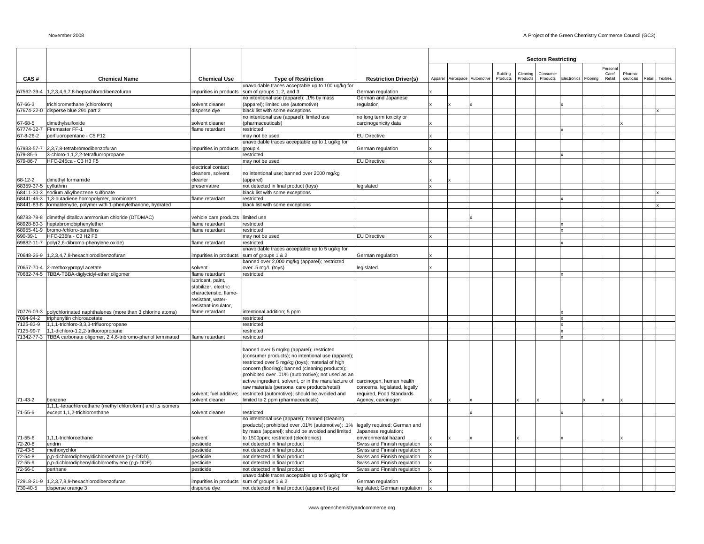|                        |                                                                                  |                                   |                                                                                                                                 |                                                      |         |                      |          |          | <b>Sectors Restricting</b> |             |          |                  |           |        |          |
|------------------------|----------------------------------------------------------------------------------|-----------------------------------|---------------------------------------------------------------------------------------------------------------------------------|------------------------------------------------------|---------|----------------------|----------|----------|----------------------------|-------------|----------|------------------|-----------|--------|----------|
|                        |                                                                                  |                                   |                                                                                                                                 |                                                      |         |                      |          |          |                            |             |          |                  |           |        |          |
|                        |                                                                                  |                                   |                                                                                                                                 |                                                      |         |                      | Building | Cleaning | Consumer                   |             |          | Persona<br>Care/ | Pharma-   |        |          |
| CAS#                   | <b>Chemical Name</b>                                                             | <b>Chemical Use</b>               | <b>Type of Restriction</b>                                                                                                      | <b>Restriction Driver(s)</b>                         | Apparel | Aerospace Automotive | Products | Products | Products                   | Electronics | Flooring | Retail           | ceuticals | Retail | Textiles |
|                        |                                                                                  |                                   | unavoidable traces acceptable up to 100 ug/kg for                                                                               |                                                      |         |                      |          |          |                            |             |          |                  |           |        |          |
| 67562-39-4             | 1,2,3,4,6,7,8-heptachlorodibenzofuran                                            | impurities in products            | sum of groups 1, 2, and 3<br>no intentional use (apparel); .1% by mass                                                          | German regulation<br>German and Japanese             |         |                      |          |          |                            |             |          |                  |           |        |          |
| 67-66-3                | trichloromethane (chloroform)                                                    | solvent cleaner                   | (apparel); limited use (automotive)                                                                                             | regulation                                           |         |                      |          |          |                            |             |          |                  |           |        |          |
|                        | 67674-22-0 disperse blue 291 part 2                                              | disperse dye                      | black list with some exceptions                                                                                                 |                                                      |         |                      |          |          |                            |             |          |                  |           |        |          |
|                        |                                                                                  |                                   | no intentional use (apparel); limited use                                                                                       | no long term toxicity or                             |         |                      |          |          |                            |             |          |                  |           |        |          |
| 67-68-5                | dimethylsulfoxide                                                                | solvent cleaner                   | (pharmaceuticals)                                                                                                               | carcinogenicity data                                 |         |                      |          |          |                            |             |          |                  |           |        |          |
| 67774-32-7             | Firemaster FF-1                                                                  | flame retardant                   | restricted                                                                                                                      |                                                      |         |                      |          |          |                            |             |          |                  |           |        |          |
| 67-8-26-2              | perfluoropentane - C5 F12                                                        |                                   | may not be used                                                                                                                 | <b>EU Directive</b>                                  |         |                      |          |          |                            |             |          |                  |           |        |          |
|                        |                                                                                  |                                   | unavoidable traces acceptable up to 1 ug/kg for                                                                                 |                                                      |         |                      |          |          |                            |             |          |                  |           |        |          |
| 679-85-6               | 67933-57-7 2,3,7,8-tetrabromodibenzofuran<br>3-chloro-1,1,2,2-tetrafluoropropane | impurities in products            | group 4<br>restricted                                                                                                           | German regulation                                    |         |                      |          |          |                            |             |          |                  |           |        |          |
| 679-86-7               | HFC-245ca - C3 H3 F5                                                             |                                   | may not be used                                                                                                                 | <b>EU Directive</b>                                  |         |                      |          |          |                            |             |          |                  |           |        |          |
|                        |                                                                                  | electrical contact                |                                                                                                                                 |                                                      |         |                      |          |          |                            |             |          |                  |           |        |          |
|                        |                                                                                  | cleaners, solvent                 | no intentional use; banned over 2000 mg/kg                                                                                      |                                                      |         |                      |          |          |                            |             |          |                  |           |        |          |
| 68-12-2                | dimethyl formamide                                                               | cleaner                           | (apparel)                                                                                                                       |                                                      |         |                      |          |          |                            |             |          |                  |           |        |          |
| 68359-37-5 cyfluthrin  |                                                                                  | preservative                      | not detected in final product (toys)                                                                                            | legislated                                           |         |                      |          |          |                            |             |          |                  |           |        |          |
|                        | 68411-30-3 sodium alkylbenzene sulfonate                                         |                                   | black list with some exceptions                                                                                                 |                                                      |         |                      |          |          |                            |             |          |                  |           |        |          |
|                        | 68441-46-3 1,3-butadiene homopolymer, brominated                                 | flame retardant                   | restricted                                                                                                                      |                                                      |         |                      |          |          |                            |             |          |                  |           |        |          |
|                        | 68441-83-8 formaldehyde, polymer with 1-phenylethanone, hydrated                 |                                   | black list with some exceptions                                                                                                 |                                                      |         |                      |          |          |                            |             |          |                  |           |        |          |
|                        | 68783-78-8 dimethyl ditallow ammonium chloride (DTDMAC)                          | vehicle care products limited use |                                                                                                                                 |                                                      |         |                      |          |          |                            |             |          |                  |           |        |          |
|                        | 68928-80-3 heptabromobiphenylether                                               | flame retardant                   | restricted                                                                                                                      |                                                      |         |                      |          |          |                            |             |          |                  |           |        |          |
|                        | 68955-41-9 bromo-/chloro-paraffins                                               | flame retardant                   | restricted                                                                                                                      |                                                      |         |                      |          |          |                            |             |          |                  |           |        |          |
| 690-39-1               | HFC-236fa - C3 H2 F6                                                             |                                   | may not be used                                                                                                                 | <b>EU Directive</b>                                  |         |                      |          |          |                            |             |          |                  |           |        |          |
|                        | 69882-11-7 poly(2,6-dibromo-phenylene oxide)                                     | flame retardant                   | restricted                                                                                                                      |                                                      |         |                      |          |          |                            |             |          |                  |           |        |          |
|                        |                                                                                  |                                   | unavoidable traces acceptable up to 5 ug/kg for                                                                                 |                                                      |         |                      |          |          |                            |             |          |                  |           |        |          |
| 70648-26-9             | 1,2,3,4,7,8-hexachlorodibenzofuran                                               | impurities in products            | sum of groups 1 & 2                                                                                                             | German regulation                                    |         |                      |          |          |                            |             |          |                  |           |        |          |
|                        |                                                                                  |                                   | banned over 2,000 mg/kg (apparel); restricted                                                                                   |                                                      |         |                      |          |          |                            |             |          |                  |           |        |          |
| 70657-70-4             | 2-methoxypropyl acetate<br>70682-74-5 TBBA-TBBA-diglycidyl-ether oligomer        | solvent<br>flame retardant        | over .5 mg/L (toys)<br>restricted                                                                                               | legislated                                           |         |                      |          |          |                            |             |          |                  |           |        |          |
|                        |                                                                                  | lubricant, paint,                 |                                                                                                                                 |                                                      |         |                      |          |          |                            |             |          |                  |           |        |          |
|                        |                                                                                  | stabilizer, electric              |                                                                                                                                 |                                                      |         |                      |          |          |                            |             |          |                  |           |        |          |
|                        |                                                                                  | characteristic, flame-            |                                                                                                                                 |                                                      |         |                      |          |          |                            |             |          |                  |           |        |          |
|                        |                                                                                  | resistant, water-                 |                                                                                                                                 |                                                      |         |                      |          |          |                            |             |          |                  |           |        |          |
|                        |                                                                                  | resistant insulator,              |                                                                                                                                 |                                                      |         |                      |          |          |                            |             |          |                  |           |        |          |
|                        | 70776-03-3 polychlorinated naphthalenes (more than 3 chlorine atoms)             | flame retardant                   | intentional addition; 5 ppm                                                                                                     |                                                      |         |                      |          |          |                            |             |          |                  |           |        |          |
| 7094-94-2              | triphenyltin chloroacetate                                                       |                                   | restricted                                                                                                                      |                                                      |         |                      |          |          |                            |             |          |                  |           |        |          |
| 7125-83-9<br>7125-99-7 | 1,1,1-trichloro-3,3,3-trifluoropropane<br>1,1-dichloro-1,2,2-trifluoropropane    |                                   | restricted<br>restricted                                                                                                        |                                                      |         |                      |          |          |                            |             |          |                  |           |        |          |
|                        | 71342-77-3 TBBA carbonate oligomer, 2,4,6-tribromo-phenol terminated             | flame retardant                   | restricted                                                                                                                      |                                                      |         |                      |          |          |                            |             |          |                  |           |        |          |
|                        |                                                                                  |                                   |                                                                                                                                 |                                                      |         |                      |          |          |                            |             |          |                  |           |        |          |
|                        |                                                                                  |                                   | banned over 5 mg/kg (apparel); restricted                                                                                       |                                                      |         |                      |          |          |                            |             |          |                  |           |        |          |
|                        |                                                                                  |                                   | (consumer products); no intentional use (apparel);                                                                              |                                                      |         |                      |          |          |                            |             |          |                  |           |        |          |
|                        |                                                                                  |                                   | restricted over 5 mg/kg (toys); material of high                                                                                |                                                      |         |                      |          |          |                            |             |          |                  |           |        |          |
|                        |                                                                                  |                                   | concern (flooring); banned (cleaning products);                                                                                 |                                                      |         |                      |          |          |                            |             |          |                  |           |        |          |
|                        |                                                                                  |                                   | prohibited over .01% (automotive); not used as an                                                                               |                                                      |         |                      |          |          |                            |             |          |                  |           |        |          |
|                        |                                                                                  |                                   | active ingredient, solvent, or in the manufacture of carcinogen, human health<br>raw materials (personal care products/retail); | concerns, legislated, legally                        |         |                      |          |          |                            |             |          |                  |           |        |          |
|                        |                                                                                  | solvent; fuel additive;           | restricted (automotive); should be avoided and                                                                                  | required, Food Standards                             |         |                      |          |          |                            |             |          |                  |           |        |          |
| 71-43-2                | benzene                                                                          | solvent cleaner                   | limited to 2 ppm (pharmaceuticals)                                                                                              | Agency, carcinogen                                   |         |                      |          |          |                            |             |          |                  |           |        |          |
|                        | 1,1,1,-tetrachloroethane (methyl chloroform) and its isomers                     |                                   |                                                                                                                                 |                                                      |         |                      |          |          |                            |             |          |                  |           |        |          |
| 71-55-6                | except 1,1,2-trichloroethane                                                     | solvent cleaner                   | restricted                                                                                                                      |                                                      |         |                      |          |          |                            |             |          |                  |           |        |          |
|                        |                                                                                  |                                   | no intentional use (apparel); banned (cleaning                                                                                  |                                                      |         |                      |          |          |                            |             |          |                  |           |        |          |
|                        |                                                                                  |                                   | products); prohibited over .01% (automotive); .1%                                                                               | legally required; German and                         |         |                      |          |          |                            |             |          |                  |           |        |          |
|                        |                                                                                  |                                   | by mass (apparel); should be avoided and limited                                                                                | Japanese regulation;                                 |         |                      |          |          |                            |             |          |                  |           |        |          |
| 71-55-6<br>72-20-8     | 1,1,1-trichloroethane<br>endrin                                                  | solvent<br>pesticide              | to 1500ppm; restricted (electronics)<br>not detected in final product                                                           | environmental hazard<br>Swiss and Finnish regulation |         |                      |          |          |                            |             |          |                  |           |        |          |
| 72-43-5                | methoxychlor                                                                     | pesticide                         | not detected in final product                                                                                                   | Swiss and Finnish regulation                         |         |                      |          |          |                            |             |          |                  |           |        |          |
| 72-54-8                | p,p-dichlorodiphenyldichloroethane (p-p-DDD)                                     | pesticide                         | not detected in final product                                                                                                   | Swiss and Finnish regulation                         |         |                      |          |          |                            |             |          |                  |           |        |          |
| 72-55-9                | p,p-dichlorodiphenyldichloroethylene (p,p-DDE)                                   | pesticide                         | not detected in final product                                                                                                   | Swiss and Finnish regulation                         |         |                      |          |          |                            |             |          |                  |           |        |          |
| 72-56-0                | perthane                                                                         | pesticide                         | not detected in final product                                                                                                   | Swiss and Finnish regulation                         |         |                      |          |          |                            |             |          |                  |           |        |          |
|                        |                                                                                  |                                   | unavoidable traces acceptable up to 5 ug/kg for                                                                                 |                                                      |         |                      |          |          |                            |             |          |                  |           |        |          |
|                        | 72918-21-9 1.2.3.7.8.9-hexachlorodibenzofuran                                    | impurities in products            | sum of groups 1 & 2                                                                                                             | German regulation                                    |         |                      |          |          |                            |             |          |                  |           |        |          |
| 730-40-5               | disperse orange 3                                                                | disperse dye                      | not detected in final product (apparel) (toys)                                                                                  | legislated; German regulation                        |         |                      |          |          |                            |             |          |                  |           |        |          |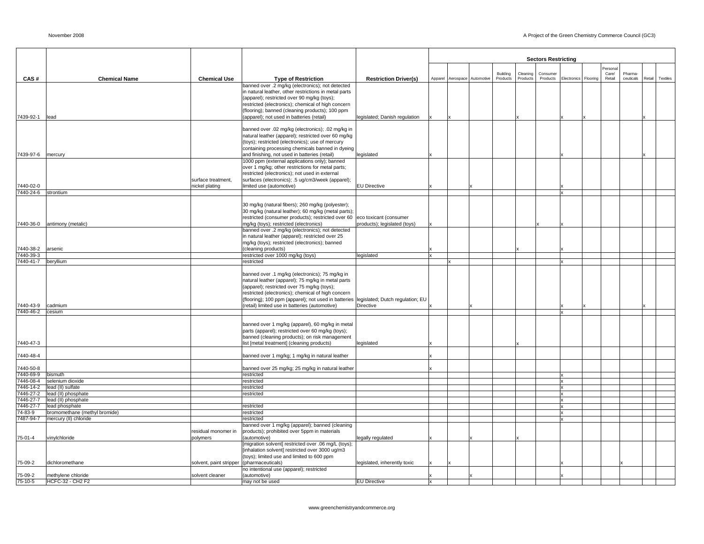|                        |                               |                         |                                                                                                                                              |                               |  |                              |          |                 | <b>Sectors Restricting</b> |                      |         |           |        |          |
|------------------------|-------------------------------|-------------------------|----------------------------------------------------------------------------------------------------------------------------------------------|-------------------------------|--|------------------------------|----------|-----------------|----------------------------|----------------------|---------|-----------|--------|----------|
|                        |                               |                         |                                                                                                                                              |                               |  |                              |          |                 |                            |                      | Persona |           |        |          |
|                        |                               |                         |                                                                                                                                              |                               |  |                              | Building | Cleaning        | Consumer                   |                      | Care/   | Pharma    |        |          |
| CAS#                   | <b>Chemical Name</b>          | <b>Chemical Use</b>     | <b>Type of Restriction</b>                                                                                                                   | <b>Restriction Driver(s)</b>  |  | Apparel Aerospace Automotive | Products | <b>Products</b> | Products                   | Electronics Flooring | Retail  | ceuticals | Retail | Textiles |
|                        |                               |                         | banned over .2 mg/kg (electronics); not detected                                                                                             |                               |  |                              |          |                 |                            |                      |         |           |        |          |
|                        |                               |                         | in natural leather, other restrictions in metal parts<br>(apparel); restricted over 90 mg/kg (toys);                                         |                               |  |                              |          |                 |                            |                      |         |           |        |          |
|                        |                               |                         | restricted (electronics); chemical of high concern                                                                                           |                               |  |                              |          |                 |                            |                      |         |           |        |          |
|                        |                               |                         | (flooring); banned (cleaning products); 100 ppm                                                                                              |                               |  |                              |          |                 |                            |                      |         |           |        |          |
| 7439-92-1              | lead                          |                         | (apparel); not used in batteries (retail)                                                                                                    | legislated; Danish regulation |  |                              |          |                 |                            |                      |         |           |        |          |
|                        |                               |                         |                                                                                                                                              |                               |  |                              |          |                 |                            |                      |         |           |        |          |
|                        |                               |                         | banned over .02 mg/kg (electronics); .02 mg/kg in                                                                                            |                               |  |                              |          |                 |                            |                      |         |           |        |          |
|                        |                               |                         | natural leather (apparel); restricted over 60 mg/kg                                                                                          |                               |  |                              |          |                 |                            |                      |         |           |        |          |
|                        |                               |                         | (toys); restricted (electronics); use of mercury                                                                                             |                               |  |                              |          |                 |                            |                      |         |           |        |          |
| 7439-97-6              | mercury                       |                         | containing processing chemicals banned in dyeing<br>and finishing, not used in batteries (retail)                                            | legislated                    |  |                              |          |                 |                            |                      |         |           |        |          |
|                        |                               |                         | 1000 ppm (external applications only); banned                                                                                                |                               |  |                              |          |                 |                            |                      |         |           |        |          |
|                        |                               |                         | over 1 mg/kg; other restrictions for metal parts;                                                                                            |                               |  |                              |          |                 |                            |                      |         |           |        |          |
|                        |                               |                         | restricted (electronics); not used in external                                                                                               |                               |  |                              |          |                 |                            |                      |         |           |        |          |
|                        |                               | surface treatment,      | surfaces (electronics); .5 ug/cm3/week (apparel);                                                                                            |                               |  |                              |          |                 |                            |                      |         |           |        |          |
| 7440-02-0              |                               | nickel plating          | limited use (automotive)                                                                                                                     | <b>EU Directive</b>           |  |                              |          |                 |                            |                      |         |           |        |          |
| 7440-24-6              | strontium                     |                         |                                                                                                                                              |                               |  |                              |          |                 |                            |                      |         |           |        |          |
|                        |                               |                         | 30 mg/kg (natural fibers); 260 mg/kg (polyester);                                                                                            |                               |  |                              |          |                 |                            |                      |         |           |        |          |
|                        |                               |                         | 30 mg/kg (natural leather); 60 mg/kg (metal parts);                                                                                          |                               |  |                              |          |                 |                            |                      |         |           |        |          |
|                        |                               |                         | restricted (consumer products); restricted over 60                                                                                           | eco toxicant (consumer        |  |                              |          |                 |                            |                      |         |           |        |          |
| 7440-36-0              | antimony (metalic)            |                         | mg/kg (toys); restricted (electronics)                                                                                                       | products); legislated (toys)  |  |                              |          |                 |                            |                      |         |           |        |          |
|                        |                               |                         | banned over .2 mg/kg (electronics); not detected                                                                                             |                               |  |                              |          |                 |                            |                      |         |           |        |          |
|                        |                               |                         | in natural leather (apparel); restricted over 25                                                                                             |                               |  |                              |          |                 |                            |                      |         |           |        |          |
|                        |                               |                         | mg/kg (toys); restricted (electronics); banned                                                                                               |                               |  |                              |          |                 |                            |                      |         |           |        |          |
| 7440-38-2<br>7440-39-3 | arsenic                       |                         | (cleaning products)<br>restricted over 1000 mg/kg (toys)                                                                                     | legislated                    |  |                              |          |                 |                            |                      |         |           |        |          |
| 7440-41-7              | beryllium                     |                         | restricted                                                                                                                                   |                               |  |                              |          |                 |                            |                      |         |           |        |          |
|                        |                               |                         |                                                                                                                                              |                               |  |                              |          |                 |                            |                      |         |           |        |          |
|                        |                               |                         | banned over .1 mg/kg (electronics); 75 mg/kg in                                                                                              |                               |  |                              |          |                 |                            |                      |         |           |        |          |
|                        |                               |                         | natural leather (apparel); 75 mg/kg in metal parts                                                                                           |                               |  |                              |          |                 |                            |                      |         |           |        |          |
|                        |                               |                         | (apparel); restricted over 75 mg/kg (toys);                                                                                                  |                               |  |                              |          |                 |                            |                      |         |           |        |          |
|                        |                               |                         | restricted (electronics); chemical of high concern<br>(flooring); 100 ppm (apparel); not used in batteries  legislated; Dutch regulation; EU |                               |  |                              |          |                 |                            |                      |         |           |        |          |
| 7440-43-9              | cadmium                       |                         | (retail) limited use in batteries (automotive)                                                                                               | Directive                     |  |                              |          |                 |                            |                      |         |           |        |          |
| 7440-46-2              | cesium                        |                         |                                                                                                                                              |                               |  |                              |          |                 |                            |                      |         |           |        |          |
|                        |                               |                         |                                                                                                                                              |                               |  |                              |          |                 |                            |                      |         |           |        |          |
|                        |                               |                         | banned over 1 mg/kg (apparel), 60 mg/kg in metal                                                                                             |                               |  |                              |          |                 |                            |                      |         |           |        |          |
|                        |                               |                         | parts (apparel); restricted over 60 mg/kg (toys);                                                                                            |                               |  |                              |          |                 |                            |                      |         |           |        |          |
| 7440-47-3              |                               |                         | banned (cleaning products); on risk management<br>list [metal treatment] (cleaning products)                                                 | legislated                    |  |                              |          |                 |                            |                      |         |           |        |          |
|                        |                               |                         |                                                                                                                                              |                               |  |                              |          |                 |                            |                      |         |           |        |          |
| 7440-48-4              |                               |                         | banned over 1 mg/kg; 1 mg/kg in natural leather                                                                                              |                               |  |                              |          |                 |                            |                      |         |           |        |          |
|                        |                               |                         |                                                                                                                                              |                               |  |                              |          |                 |                            |                      |         |           |        |          |
| 7440-50-8              |                               |                         | banned over 25 mg/kg; 25 mg/kg in natural leather                                                                                            |                               |  |                              |          |                 |                            |                      |         |           |        |          |
| 7440-69-9<br>7446-08-4 | bismuth<br>selenium dioxide   |                         | restricted<br>restricted                                                                                                                     |                               |  |                              |          |                 |                            |                      |         |           |        |          |
| 7446-14-2              | lead (II) sulfate             |                         | restricted                                                                                                                                   |                               |  |                              |          |                 |                            |                      |         |           |        |          |
| 7446-27-2              | lead (II) phosphate           |                         | restricted                                                                                                                                   |                               |  |                              |          |                 |                            |                      |         |           |        |          |
| 7446-27-7              | lead (II) phosphate           |                         |                                                                                                                                              |                               |  |                              |          |                 |                            |                      |         |           |        |          |
| 7446-27-7              | lead phosphate                |                         | restricted                                                                                                                                   |                               |  |                              |          |                 |                            |                      |         |           |        |          |
| 74-83-9                | bromomethane (methyl bromide) |                         | restricted                                                                                                                                   |                               |  |                              |          |                 |                            |                      |         |           |        |          |
| 7487-94-7              | mercury (II) chloride         |                         | restricted                                                                                                                                   |                               |  |                              |          |                 |                            |                      |         |           |        |          |
|                        |                               | residual monomer in     | banned over 1 mg/kg (apparel); banned (cleaning<br>products); prohibited over 5ppm in materials                                              |                               |  |                              |          |                 |                            |                      |         |           |        |          |
| 75-01-4                | vinylchloride                 | polymers                | (automotive)                                                                                                                                 | egally regulated              |  |                              |          |                 |                            |                      |         |           |        |          |
|                        |                               |                         | [migration solvent] restricted over .06 mg/L (toys);                                                                                         |                               |  |                              |          |                 |                            |                      |         |           |        |          |
|                        |                               |                         | [inhalation solvent] restricted over 3000 ug/m3                                                                                              |                               |  |                              |          |                 |                            |                      |         |           |        |          |
|                        |                               |                         | (toys); limited use and limited to 600 ppm                                                                                                   |                               |  |                              |          |                 |                            |                      |         |           |        |          |
| 75-09-2                | dichloromethane               | solvent, paint stripper | (pharmaceuticals)                                                                                                                            | legislated, inherently toxic  |  |                              |          |                 |                            |                      |         |           |        |          |
| 75-09-2                | methylene chloride            | solvent cleaner         | no intentional use (apparel); restricted<br>(automotive)                                                                                     |                               |  |                              |          |                 |                            |                      |         |           |        |          |
| $75-10-5$              | <b>HCFC-32 - CH2 F2</b>       |                         | may not be used                                                                                                                              | <b>EU Directive</b>           |  |                              |          |                 |                            |                      |         |           |        |          |
|                        |                               |                         |                                                                                                                                              |                               |  |                              |          |                 |                            |                      |         |           |        |          |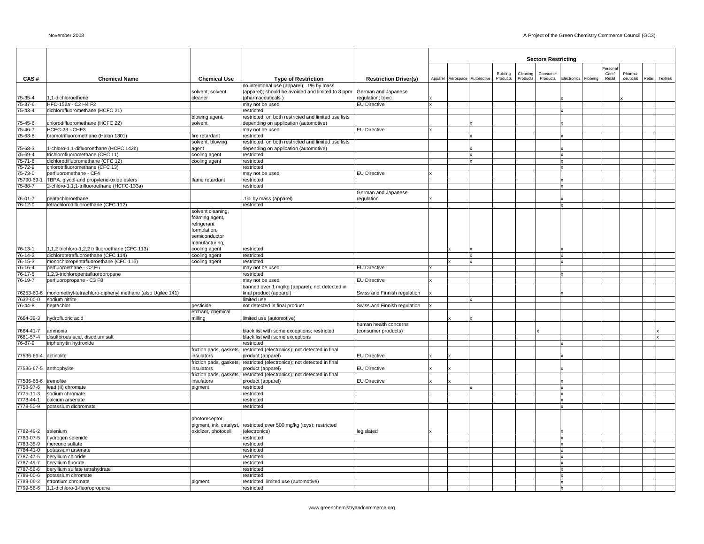|                               |                                                                              |                                       |                                                                                               |                              |  |                              |                      |                      | <b>Sectors Restricting</b> |                      |                 |                      |        |          |
|-------------------------------|------------------------------------------------------------------------------|---------------------------------------|-----------------------------------------------------------------------------------------------|------------------------------|--|------------------------------|----------------------|----------------------|----------------------------|----------------------|-----------------|----------------------|--------|----------|
|                               |                                                                              |                                       |                                                                                               |                              |  |                              |                      |                      |                            |                      | Persona         |                      |        |          |
| CAS#                          | <b>Chemical Name</b>                                                         | <b>Chemical Use</b>                   | <b>Type of Restriction</b>                                                                    | <b>Restriction Driver(s)</b> |  | Apparel Aerospace Automotive | Building<br>Products | Cleaning<br>Products | Consumer<br>Products       | Electronics Flooring | Care/<br>Retail | Pharma-<br>ceuticals | Retail | Textiles |
|                               |                                                                              |                                       | no intentional use (apparel); .1% by mass                                                     |                              |  |                              |                      |                      |                            |                      |                 |                      |        |          |
|                               |                                                                              | solvent, solvent                      | (apparel); should be avoided and limited to 8 ppm                                             | German and Japanese          |  |                              |                      |                      |                            |                      |                 |                      |        |          |
| 75-35-4                       | 1,1-dichloroethene                                                           | cleaner                               | (pharmaceuticals)                                                                             | regulation; toxic            |  |                              |                      |                      |                            |                      |                 |                      |        |          |
| $5 - 37 - 6$<br>$75 - 43 - 4$ | HFC-152a - C2 H4 F2<br>dichlorofluoromethane (HCFC 21)                       |                                       | may not be used<br>restricted                                                                 | <b>EU Directive</b>          |  |                              |                      |                      |                            |                      |                 |                      |        |          |
|                               |                                                                              | blowing agent,                        | restricted; on both restricted and limited use lists                                          |                              |  |                              |                      |                      |                            |                      |                 |                      |        |          |
| $5 - 45 - 6$                  | chlorodifluoromethane (HCFC 22)                                              | solvent                               | depending on application (automotive)                                                         |                              |  |                              |                      |                      |                            |                      |                 |                      |        |          |
| $7-46-7$                      | HCFC-23 - CHF3                                                               |                                       | may not be used                                                                               | <b>EU Directive</b>          |  |                              |                      |                      |                            |                      |                 |                      |        |          |
| $5 - 63 - 8$                  | bromotrifluoromethane (Halon 1301)                                           | fire retardant                        | restricted                                                                                    |                              |  |                              |                      |                      |                            |                      |                 |                      |        |          |
| $5 - 68 - 3$                  | 1-chloro-1,1-difluoroethane (HCFC 142b)                                      | solvent, blowing<br>agent             | restricted; on both restricted and limited use lists<br>depending on application (automotive) |                              |  |                              |                      |                      |                            |                      |                 |                      |        |          |
| 5-69-4                        | trichlorofluoromethane (CFC 11)                                              | cooling agent                         | restricted                                                                                    |                              |  |                              |                      |                      |                            |                      |                 |                      |        |          |
| $5 - 71 - 8$                  | dichlorodifluoromethane (CFC 12)                                             | cooling agent                         | restricted                                                                                    |                              |  |                              |                      |                      |                            |                      |                 |                      |        |          |
| 5-72-9                        | chlorotrifluoromethane (CFC 13)                                              |                                       | restricted                                                                                    |                              |  |                              |                      |                      |                            |                      |                 |                      |        |          |
| $75 - 73 - 0$                 | perfluoromethane - CF4<br>TBPA, glycol-and propylene-oxide esters            |                                       | may not be used                                                                               | <b>EU Directive</b>          |  |                              |                      |                      |                            |                      |                 |                      |        |          |
| '5790-69-1<br>$5 - 88 - 7$    | 2-chloro-1,1,1-trifluoroethane (HCFC-133a)                                   | flame retardant                       | restricted<br>restricted                                                                      |                              |  |                              |                      |                      |                            |                      |                 |                      |        |          |
|                               |                                                                              |                                       |                                                                                               | German and Japanese          |  |                              |                      |                      |                            |                      |                 |                      |        |          |
| $76 - 01 - 7$                 | pentachloroethane                                                            |                                       | 1% by mass (apparel)                                                                          | regulation                   |  |                              |                      |                      |                            |                      |                 |                      |        |          |
| 6-12-0                        | tetrachlorodifluoroethane (CFC 112)                                          |                                       | restricted                                                                                    |                              |  |                              |                      |                      |                            |                      |                 |                      |        |          |
|                               |                                                                              | solvent cleaning,                     |                                                                                               |                              |  |                              |                      |                      |                            |                      |                 |                      |        |          |
|                               |                                                                              | foaming agent,<br>refrigerant         |                                                                                               |                              |  |                              |                      |                      |                            |                      |                 |                      |        |          |
|                               |                                                                              | formulation,                          |                                                                                               |                              |  |                              |                      |                      |                            |                      |                 |                      |        |          |
|                               |                                                                              | semiconductor                         |                                                                                               |                              |  |                              |                      |                      |                            |                      |                 |                      |        |          |
|                               |                                                                              | manufacturing,                        |                                                                                               |                              |  |                              |                      |                      |                            |                      |                 |                      |        |          |
| 76-13-1                       | 1,1,2 trichloro-1,2,2 trifluoroethane (CFC 113)                              | cooling agent                         | restricted                                                                                    |                              |  |                              |                      |                      |                            |                      |                 |                      |        |          |
| $76 - 14 - 2$<br>$6 - 15 - 3$ | dichlorotetrafluoroethane (CFC 114)<br>monochloropentafluoroethane (CFC 115) | cooling agent                         | restricted<br>restricted                                                                      |                              |  |                              |                      |                      |                            |                      |                 |                      |        |          |
| $6 - 16 - 4$                  | perfluoroethane - C2 F6                                                      | cooling agent                         | may not be used                                                                               | <b>EU Directive</b>          |  |                              |                      |                      |                            |                      |                 |                      |        |          |
| $6 - 17 - 5$                  | 1,2,3-trichloropentafluoropropane                                            |                                       | restricted                                                                                    |                              |  |                              |                      |                      |                            |                      |                 |                      |        |          |
| $76 - 19 - 7$                 | perfluoropropane - C3 F8                                                     |                                       | may not be used                                                                               | <b>EU Directive</b>          |  |                              |                      |                      |                            |                      |                 |                      |        |          |
|                               |                                                                              |                                       | banned over 1 mg/kg (apparel); not detected in                                                |                              |  |                              |                      |                      |                            |                      |                 |                      |        |          |
| 6253-60-6                     | monomethyl-tetrachloro-diphenyl methane (also Ugilec 141)                    |                                       | final product (apparel)                                                                       | Swiss and Finnish regulation |  |                              |                      |                      |                            |                      |                 |                      |        |          |
| 7632-00-0<br>$6 - 44 - 8$     | sodium nitrite<br>heptachlor                                                 | pesticide                             | limited use<br>not detected in final product                                                  | Swiss and Finnish regulation |  |                              |                      |                      |                            |                      |                 |                      |        |          |
|                               |                                                                              | etchant, chemical                     |                                                                                               |                              |  |                              |                      |                      |                            |                      |                 |                      |        |          |
| 7664-39-3                     | hydrofluoric acid                                                            | milling                               | limited use (automotive)                                                                      |                              |  |                              |                      |                      |                            |                      |                 |                      |        |          |
|                               |                                                                              |                                       |                                                                                               | human health concerns        |  |                              |                      |                      |                            |                      |                 |                      |        |          |
| '664-41-7<br>681-57-4         | ammonia<br>disulforous acid, disodium salt                                   |                                       | black list with some exceptions; restricted<br>black list with some exceptions                | (consumer products)          |  |                              |                      |                      |                            |                      |                 |                      |        |          |
| 76-87-9                       | triphenyltin hydroxide                                                       |                                       | restricted                                                                                    |                              |  |                              |                      |                      |                            |                      |                 |                      |        |          |
|                               |                                                                              |                                       | friction pads, gaskets, restricted (electronics); not detected in final                       |                              |  |                              |                      |                      |                            |                      |                 |                      |        |          |
| 77536-66-4 actinolite         |                                                                              | insulators                            | product (apparel)                                                                             | <b>EU Directive</b>          |  |                              |                      |                      |                            |                      |                 |                      |        |          |
|                               |                                                                              | friction pads, gaskets,               | restricted (electronics); not detected in final                                               |                              |  |                              |                      |                      |                            |                      |                 |                      |        |          |
|                               | 77536-67-5 anthophylite                                                      | insulators<br>friction pads, gaskets, | product (apparel)<br>restricted (electronics); not detected in final                          | <b>EU Directive</b>          |  |                              |                      |                      |                            |                      |                 |                      |        |          |
| 7536-68-6 tremolite           |                                                                              | insulators                            | product (apparel)                                                                             | <b>EU Directive</b>          |  |                              |                      |                      |                            |                      |                 |                      |        |          |
|                               | 758-97-6  lead (II) chromate                                                 | pigment                               | restricted                                                                                    |                              |  |                              |                      |                      |                            |                      |                 |                      |        |          |
| 7775-11-3                     | sodium chromate                                                              |                                       | restricted                                                                                    |                              |  |                              |                      |                      |                            |                      |                 |                      |        |          |
| 778-44-1                      | calcium arsenate                                                             |                                       | restricted                                                                                    |                              |  |                              |                      |                      |                            |                      |                 |                      |        |          |
| 7778-50-9                     | potassium dichromate                                                         |                                       | restricted                                                                                    |                              |  |                              |                      |                      |                            |                      |                 |                      |        |          |
|                               |                                                                              | photoreceptor,                        |                                                                                               |                              |  |                              |                      |                      |                            |                      |                 |                      |        |          |
|                               |                                                                              | pigment, ink, catalyst,               | restricted over 500 mg/kg (toys); restricted                                                  |                              |  |                              |                      |                      |                            |                      |                 |                      |        |          |
| 7782-49-2                     | selenium                                                                     | oxidizer, photocell                   | (electronics)                                                                                 | legislated                   |  |                              |                      |                      |                            |                      |                 |                      |        |          |
| 7783-07-5                     | hydrogen selenide                                                            |                                       | restricted                                                                                    |                              |  |                              |                      |                      |                            |                      |                 |                      |        |          |
| 7783-35-9                     | mercuric sulfate<br>7784-41-0 potassium arsenate                             |                                       | restricted<br>restricted                                                                      |                              |  |                              |                      |                      |                            |                      |                 |                      |        |          |
| 7787-47-5                     | beryllium chloride                                                           |                                       | restricted                                                                                    |                              |  |                              |                      |                      |                            |                      |                 |                      |        |          |
| 787-49-7                      | beryllium fluoride                                                           |                                       | restricted                                                                                    |                              |  |                              |                      |                      |                            |                      |                 |                      |        |          |
| 787-56-6                      | beryllium sulfate tetrahydrate                                               |                                       | restricted                                                                                    |                              |  |                              |                      |                      |                            |                      |                 |                      |        |          |
| 789-00-6                      | potassium chromate                                                           |                                       | restricted                                                                                    |                              |  |                              |                      |                      |                            |                      |                 |                      |        |          |
|                               | 789-06-2 strontium chromate<br>7799-56-6 1,1-dichloro-1-fluoropropane        | pigment                               | restricted; limited use (automotive)<br>restricted                                            |                              |  |                              |                      |                      |                            |                      |                 |                      |        |          |
|                               |                                                                              |                                       |                                                                                               |                              |  |                              |                      |                      |                            |                      |                 |                      |        |          |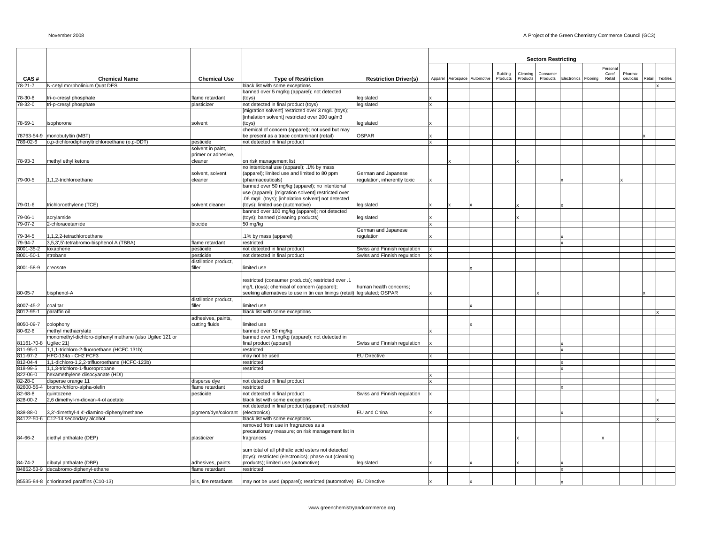|                       |                                                                   |                                          |                                                                                                      |                                   |         |                      |          |          | <b>Sectors Restricting</b> |                      |         |           |        |          |
|-----------------------|-------------------------------------------------------------------|------------------------------------------|------------------------------------------------------------------------------------------------------|-----------------------------------|---------|----------------------|----------|----------|----------------------------|----------------------|---------|-----------|--------|----------|
|                       |                                                                   |                                          |                                                                                                      |                                   |         |                      |          |          |                            |                      | Persona |           |        |          |
|                       |                                                                   |                                          |                                                                                                      |                                   |         |                      | Building | Cleaning | Consumer                   |                      | Care/   | Pharma    |        |          |
| CAS#<br>78-21-7       | <b>Chemical Name</b><br>N-cetyl morpholinium Quat DES             | <b>Chemical Use</b>                      | <b>Type of Restriction</b><br>black list with some exceptions                                        | <b>Restriction Driver(s)</b>      | Apparel | Aerospace Automotive | Products | Products | Products                   | Electronics Flooring | Retail  | ceuticals | Retail | Textiles |
|                       |                                                                   |                                          | banned over 5 mg/kg (apparel); not detected                                                          |                                   |         |                      |          |          |                            |                      |         |           |        |          |
| 78-30-8               | tri-o-cresyl phosphate                                            | flame retardant                          | (toys)                                                                                               | legislated                        |         |                      |          |          |                            |                      |         |           |        |          |
| 78-32-0               | tri-p-cresyl phosphate                                            | plasticizer                              | not detected in final product (toys)                                                                 | legislated                        |         |                      |          |          |                            |                      |         |           |        |          |
|                       |                                                                   |                                          | [migration solvent] restricted over 3 mg/L (toys);<br>[inhalation solvent] restricted over 200 ug/m3 |                                   |         |                      |          |          |                            |                      |         |           |        |          |
| 78-59-1               | isophorone                                                        | solvent                                  | toys)                                                                                                | egislated                         |         |                      |          |          |                            |                      |         |           |        |          |
|                       |                                                                   |                                          | chemical of concern (apparel); not used but may                                                      |                                   |         |                      |          |          |                            |                      |         |           |        |          |
| 78763-54-9            | monobutyltin (MBT)                                                |                                          | be present as a trace contaminant (retail)                                                           | OSPAR                             |         |                      |          |          |                            |                      |         |           |        |          |
| 789-02-6              | o,p-dichlorodiphenyltrichloroethane (o,p-DDT)                     | pesticide                                | not detected in final product                                                                        |                                   |         |                      |          |          |                            |                      |         |           |        |          |
|                       |                                                                   | solvent in paint,<br>primer or adhesive, |                                                                                                      |                                   |         |                      |          |          |                            |                      |         |           |        |          |
| 78-93-3               | methyl ethyl ketone                                               | cleaner                                  | on risk management list                                                                              |                                   |         |                      |          |          |                            |                      |         |           |        |          |
|                       |                                                                   |                                          | no intentional use (apparel); .1% by mass                                                            |                                   |         |                      |          |          |                            |                      |         |           |        |          |
|                       |                                                                   | solvent, solvent                         | (apparel); limited use and limited to 80 ppm                                                         | German and Japanese               |         |                      |          |          |                            |                      |         |           |        |          |
| 79-00-5               | 1,1,2-trichloroethane                                             | cleaner                                  | (pharmaceuticals)                                                                                    | regulation, inherently toxic      |         |                      |          |          |                            |                      |         |           |        |          |
|                       |                                                                   |                                          | banned over 50 mg/kg (apparel); no intentional<br>use (apparel); [migration solvent] restricted over |                                   |         |                      |          |          |                            |                      |         |           |        |          |
|                       |                                                                   |                                          | .06 mg/L (toys); [inhalation solvent] not detected                                                   |                                   |         |                      |          |          |                            |                      |         |           |        |          |
| 79-01-6               | trichloroethylene (TCE)                                           | solvent cleaner                          | (toys); limited use (automotive)                                                                     | legislated                        |         |                      |          |          |                            |                      |         |           |        |          |
|                       |                                                                   |                                          | banned over 100 mg/kg (apparel); not detected                                                        |                                   |         |                      |          |          |                            |                      |         |           |        |          |
| 79-06-1               | acrylamide                                                        |                                          | (toys); banned (cleaning products)                                                                   | legislated                        |         |                      |          |          |                            |                      |         |           |        |          |
| 79-07-2               | 2-chloracetamide                                                  | biocide                                  | 50 mg/kg                                                                                             |                                   |         |                      |          |          |                            |                      |         |           |        |          |
| 79-34-5               | 1,1,2,2-tetrachloroethane                                         |                                          | 1% by mass (apparel)                                                                                 | German and Japanese<br>regulation |         |                      |          |          |                            |                      |         |           |        |          |
| 79-94-7               | 3,5,3',5'-tetrabromo-bisphenol A (TBBA)                           | flame retardant                          | restricted                                                                                           |                                   |         |                      |          |          |                            |                      |         |           |        |          |
| 8001-35-2             | toxaphene                                                         | pesticide                                | not detected in final product                                                                        | Swiss and Finnish regulation      |         |                      |          |          |                            |                      |         |           |        |          |
| 8001-50-1             | strobane                                                          | pesticide                                | not detected in final product                                                                        | Swiss and Finnish regulation      |         |                      |          |          |                            |                      |         |           |        |          |
|                       |                                                                   | distillation product,                    |                                                                                                      |                                   |         |                      |          |          |                            |                      |         |           |        |          |
| 8001-58-9             | creosote                                                          | filler                                   | limited use                                                                                          |                                   |         |                      |          |          |                            |                      |         |           |        |          |
|                       |                                                                   |                                          | restricted (consumer products); restricted over .1                                                   |                                   |         |                      |          |          |                            |                      |         |           |        |          |
|                       |                                                                   |                                          | mg/L (toys); chemical of concern (apparel);                                                          | human health concerns:            |         |                      |          |          |                            |                      |         |           |        |          |
| 80-05-7               | bisphenol-A                                                       |                                          | seeking alternatives to use in tin can linings (retail) legislated; OSPAR                            |                                   |         |                      |          |          |                            |                      |         |           |        |          |
|                       |                                                                   | distillation product,                    |                                                                                                      |                                   |         |                      |          |          |                            |                      |         |           |        |          |
| 8007-45-2             | coal tar                                                          | filler                                   | limited use                                                                                          |                                   |         |                      |          |          |                            |                      |         |           |        |          |
| 8012-95-1             | paraffin oil                                                      | adhesives, paints,                       | black list with some exceptions                                                                      |                                   |         |                      |          |          |                            |                      |         |           |        |          |
| 8050-09-7             | colophony                                                         | cutting fluids                           | limited use                                                                                          |                                   |         |                      |          |          |                            |                      |         |           |        |          |
| $80 - 62 - 6$         | methyl methacrylate                                               |                                          | banned over 50 mg/kg                                                                                 |                                   |         |                      |          |          |                            |                      |         |           |        |          |
|                       | monomethyl-dichloro-diphenyl methane (also Ugilec 121 or          |                                          | banned over 1 mg/kg (apparel); not detected in                                                       |                                   |         |                      |          |          |                            |                      |         |           |        |          |
| 81161-70-8            | Ugilec 21)                                                        |                                          | final product (apparel)                                                                              | Swiss and Finnish regulation      |         |                      |          |          |                            |                      |         |           |        |          |
| 811-95-0<br>811-97-2  | 1,1,1-trichloro-2-fluoroethane (HCFC 131b)<br>HFC-134a - CH2 FCF3 |                                          | restricted<br>may not be used                                                                        | <b>EU Directive</b>               |         |                      |          |          |                            |                      |         |           |        |          |
| 812-04-4              | 1,1-dichloro-1,2,2-trifluoroethane (HCFC-123b)                    |                                          | restricted                                                                                           |                                   |         |                      |          |          |                            |                      |         |           |        |          |
| 818-99-5              | 1,1,3-trichloro-1-fluoropropane                                   |                                          | restricted                                                                                           |                                   |         |                      |          |          |                            |                      |         |           |        |          |
| 822-06-0              | hexamethylene diisocyanate (HDI)                                  |                                          |                                                                                                      |                                   |         |                      |          |          |                            |                      |         |           |        |          |
| 82-28-0               | disperse orange 11                                                | disperse dye                             | not detected in final product                                                                        |                                   |         |                      |          |          |                            |                      |         |           |        |          |
| 82600-56-4<br>82-68-8 | bromo-/chloro-alpha-olefin<br>quintozene                          | flame retardant<br>pesticide             | restricted<br>not detected in final product                                                          | Swiss and Finnish regulation      |         |                      |          |          |                            |                      |         |           |        |          |
| 828-00-2              | 2,6 dimethyl-m-dioxan-4-ol acetate                                |                                          | black list with some exceptions                                                                      |                                   |         |                      |          |          |                            |                      |         |           |        |          |
|                       |                                                                   |                                          | not detected in final product (apparel); restricted                                                  |                                   |         |                      |          |          |                            |                      |         |           |        |          |
| 838-88-0              | 3,3'-dimethyl-4,4'-diamino-diphenylmethane                        | pigment/dye/colorant                     | (electronics)                                                                                        | EU and China                      |         |                      |          |          |                            |                      |         |           |        |          |
|                       | 84122-50-6 C12-14 secondary alcohol                               |                                          | black list with some exceptions                                                                      |                                   |         |                      |          |          |                            |                      |         |           |        |          |
|                       |                                                                   |                                          | removed from use in fragrances as a<br>precautionary measure; on risk management list in             |                                   |         |                      |          |          |                            |                      |         |           |        |          |
| 84-66-2               | diethyl phthalate (DEP)                                           | plasticizer                              | fragrances                                                                                           |                                   |         |                      |          |          |                            |                      |         |           |        |          |
|                       |                                                                   |                                          |                                                                                                      |                                   |         |                      |          |          |                            |                      |         |           |        |          |
|                       |                                                                   |                                          | sum total of all phthalic acid esters not detected                                                   |                                   |         |                      |          |          |                            |                      |         |           |        |          |
|                       |                                                                   |                                          | (toys); restricted (electronics); phase out (cleaning                                                |                                   |         |                      |          |          |                            |                      |         |           |        |          |
| 84-74-2               | dibutyl phthalate (DBP)<br>84852-53-9 decabromo-diphenyl-ethane   | adhesives, paints<br>flame retardant     | products); limited use (automotive)<br>restricted                                                    | legislated                        |         |                      |          |          |                            |                      |         |           |        |          |
|                       |                                                                   |                                          |                                                                                                      |                                   |         |                      |          |          |                            |                      |         |           |        |          |
|                       | 85535-84-8 chlorinated paraffins (C10-13)                         | oils, fire retardants                    | may not be used (apparel); restricted (automotive) EU Directive                                      |                                   |         |                      |          |          |                            |                      |         |           |        |          |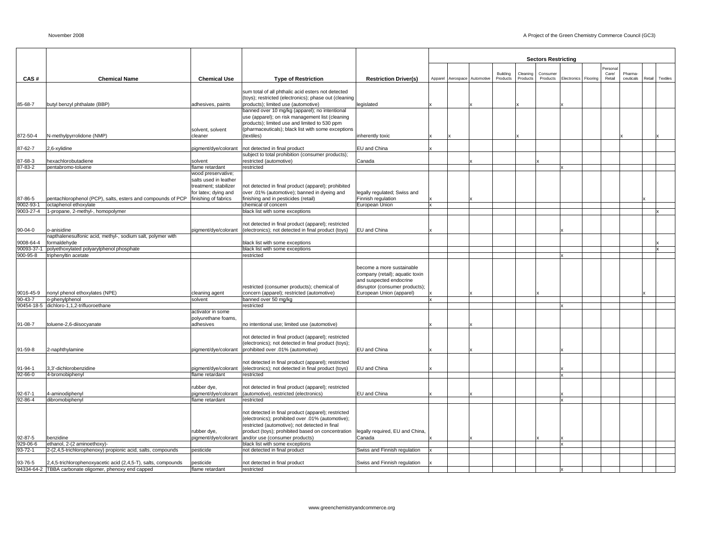|                           |                                                                                            |                                         |                                                                                                                                                                                                                                                   |                                                                                                                                                       |                   |            |          |          | <b>Sectors Restricting</b> |             |          |         |           |        |          |
|---------------------------|--------------------------------------------------------------------------------------------|-----------------------------------------|---------------------------------------------------------------------------------------------------------------------------------------------------------------------------------------------------------------------------------------------------|-------------------------------------------------------------------------------------------------------------------------------------------------------|-------------------|------------|----------|----------|----------------------------|-------------|----------|---------|-----------|--------|----------|
|                           |                                                                                            |                                         |                                                                                                                                                                                                                                                   |                                                                                                                                                       |                   |            |          |          |                            |             |          | Persona |           |        |          |
|                           |                                                                                            |                                         |                                                                                                                                                                                                                                                   |                                                                                                                                                       |                   |            | Building | Cleaning | Consumer                   |             |          | Care/   | Pharma-   |        |          |
| CAS#                      | <b>Chemical Name</b>                                                                       | <b>Chemical Use</b>                     | <b>Type of Restriction</b>                                                                                                                                                                                                                        | <b>Restriction Driver(s)</b>                                                                                                                          | Apparel Aerospace | Automotive | Products | Products | Products                   | Electronics | Flooring | Retail  | ceuticals | Retail | Textiles |
|                           |                                                                                            |                                         | sum total of all phthalic acid esters not detected                                                                                                                                                                                                |                                                                                                                                                       |                   |            |          |          |                            |             |          |         |           |        |          |
|                           |                                                                                            |                                         | (toys); restricted (electronics); phase out (cleaning                                                                                                                                                                                             |                                                                                                                                                       |                   |            |          |          |                            |             |          |         |           |        |          |
| 85-68-7                   | butyl benzyl phthalate (BBP)                                                               | adhesives, paints                       | products); limited use (automotive)                                                                                                                                                                                                               | legislated                                                                                                                                            |                   |            |          |          |                            |             |          |         |           |        |          |
|                           |                                                                                            |                                         | banned over 10 mg/kg (apparel); no intentional                                                                                                                                                                                                    |                                                                                                                                                       |                   |            |          |          |                            |             |          |         |           |        |          |
|                           |                                                                                            |                                         | use (apparel); on risk management list (cleaning                                                                                                                                                                                                  |                                                                                                                                                       |                   |            |          |          |                            |             |          |         |           |        |          |
|                           |                                                                                            | solvent, solvent                        | products); limited use and limited to 530 ppm<br>(pharmaceuticals); black list with some exceptions                                                                                                                                               |                                                                                                                                                       |                   |            |          |          |                            |             |          |         |           |        |          |
| 872-50-4                  | N-methylpyrrolidone (NMP)                                                                  | cleaner                                 | (textiles)                                                                                                                                                                                                                                        | inherently toxic                                                                                                                                      |                   |            |          |          |                            |             |          |         |           |        |          |
|                           |                                                                                            |                                         |                                                                                                                                                                                                                                                   |                                                                                                                                                       |                   |            |          |          |                            |             |          |         |           |        |          |
| 87-62-7                   | 2,6-xylidine                                                                               | pigment/dye/colorant                    | not detected in final product                                                                                                                                                                                                                     | EU and China                                                                                                                                          |                   |            |          |          |                            |             |          |         |           |        |          |
|                           |                                                                                            |                                         | subject to total prohibition (consumer products);                                                                                                                                                                                                 |                                                                                                                                                       |                   |            |          |          |                            |             |          |         |           |        |          |
| 87-68-3<br>87-83-2        | hexachlorobutadiene<br>pentabromo-toluene                                                  | solvent<br>flame retardant              | restricted (automotive)<br>restricted                                                                                                                                                                                                             | Canada                                                                                                                                                |                   |            |          |          |                            |             |          |         |           |        |          |
|                           |                                                                                            | wood preservative;                      |                                                                                                                                                                                                                                                   |                                                                                                                                                       |                   |            |          |          |                            |             |          |         |           |        |          |
|                           |                                                                                            | salts used in leather                   |                                                                                                                                                                                                                                                   |                                                                                                                                                       |                   |            |          |          |                            |             |          |         |           |        |          |
|                           |                                                                                            | treatment; stabilizer                   | not detected in final product (apparel); prohibited                                                                                                                                                                                               |                                                                                                                                                       |                   |            |          |          |                            |             |          |         |           |        |          |
|                           |                                                                                            | for latex; dying and                    | over .01% (automotive); banned in dyeing and                                                                                                                                                                                                      | legally regulated; Swiss and                                                                                                                          |                   |            |          |          |                            |             |          |         |           |        |          |
| 87-86-5<br>9002-93-1      | pentachlorophenol (PCP), salts, esters and compounds of PCP<br>octaphenol ethoxylate       | finishing of fabrics                    | finishing and in pesticides (retail)<br>chemical of concern                                                                                                                                                                                       | Finnish regulation<br>European Union                                                                                                                  |                   |            |          |          |                            |             |          |         |           |        |          |
| 9003-27-4                 | 1-propane, 2-methyl-, homopolymer                                                          |                                         | black list with some exceptions                                                                                                                                                                                                                   |                                                                                                                                                       |                   |            |          |          |                            |             |          |         |           |        |          |
|                           |                                                                                            |                                         |                                                                                                                                                                                                                                                   |                                                                                                                                                       |                   |            |          |          |                            |             |          |         |           |        |          |
|                           |                                                                                            |                                         | not detected in final product (apparel); restricted                                                                                                                                                                                               |                                                                                                                                                       |                   |            |          |          |                            |             |          |         |           |        |          |
| 90-04-0                   | o-anisidine                                                                                | pigment/dye/colorant                    | (electronics); not detected in final product (toys)                                                                                                                                                                                               | <b>EU</b> and China                                                                                                                                   |                   |            |          |          |                            |             |          |         |           |        |          |
| 9008-64-4                 | napthalenesulfonic acid, methyl-, sodium salt, polymer with<br>formaldehyde                |                                         | black list with some exceptions                                                                                                                                                                                                                   |                                                                                                                                                       |                   |            |          |          |                            |             |          |         |           |        |          |
| 90093-37-1                | polyethoxylated polyarylphenol phosphate                                                   |                                         | black list with some exceptions                                                                                                                                                                                                                   |                                                                                                                                                       |                   |            |          |          |                            |             |          |         |           |        |          |
| 900-95-8                  | triphenyltin acetate                                                                       |                                         | restricted                                                                                                                                                                                                                                        |                                                                                                                                                       |                   |            |          |          |                            |             |          |         |           |        |          |
| 9016-45-9                 | nonyl phenol ethoxylates (NPE)                                                             | cleaning agent                          | restricted (consumer products); chemical of<br>concern (apparel); restricted (automotive)                                                                                                                                                         | become a more sustainable<br>company (retail); aquatic toxin<br>and suspected endocrine<br>disruptor (consumer products);<br>European Union (apparel) |                   |            |          |          |                            |             |          |         |           |        |          |
| $90 - 43 - 7$             | o-phenylphenol                                                                             | solvent                                 | banned over 50 mg/kg                                                                                                                                                                                                                              |                                                                                                                                                       |                   |            |          |          |                            |             |          |         |           |        |          |
|                           | 90454-18-5 dichloro-1,1,2-trifluoroethane                                                  | activator in some                       | restricted                                                                                                                                                                                                                                        |                                                                                                                                                       |                   |            |          |          |                            |             |          |         |           |        |          |
|                           |                                                                                            | polyurethane foams,                     |                                                                                                                                                                                                                                                   |                                                                                                                                                       |                   |            |          |          |                            |             |          |         |           |        |          |
| 91-08-7                   | toluene-2,6-diisocyanate                                                                   | adhesives                               | no intentional use; limited use (automotive)                                                                                                                                                                                                      |                                                                                                                                                       |                   |            |          |          |                            |             |          |         |           |        |          |
| 91-59-8                   | 2-naphthylamine                                                                            | pigment/dye/colorant                    | not detected in final product (apparel); restricted<br>(electronics); not detected in final product (toys);<br>prohibited over .01% (automotive)                                                                                                  | EU and China                                                                                                                                          |                   |            |          |          |                            |             |          |         |           |        |          |
|                           |                                                                                            |                                         |                                                                                                                                                                                                                                                   |                                                                                                                                                       |                   |            |          |          |                            |             |          |         |           |        |          |
|                           | 3.3'-dichlorobenzidine                                                                     |                                         | not detected in final product (apparel); restricted                                                                                                                                                                                               |                                                                                                                                                       |                   |            |          |          |                            |             |          |         |           |        |          |
| 91-94-1<br>92-66-0        | 4-bromobiphenyl                                                                            | pigment/dye/colorant<br>flame retardant | (electronics); not detected in final product (toys)<br>restricted                                                                                                                                                                                 | EU and China                                                                                                                                          |                   |            |          |          |                            |             |          |         |           |        |          |
|                           |                                                                                            |                                         |                                                                                                                                                                                                                                                   |                                                                                                                                                       |                   |            |          |          |                            |             |          |         |           |        |          |
|                           |                                                                                            | rubber dye,                             | not detected in final product (apparel); restricted                                                                                                                                                                                               |                                                                                                                                                       |                   |            |          |          |                            |             |          |         |           |        |          |
| 92-67-1                   | 4-aminodiphenyl                                                                            | pigment/dye/colorant                    | (automotive), restricted (electronics)                                                                                                                                                                                                            | EU and China                                                                                                                                          |                   |            |          |          |                            |             |          |         |           |        |          |
| $92 - 86 - 4$             | dibromobiphenyl                                                                            | flame retardant                         | restricted                                                                                                                                                                                                                                        |                                                                                                                                                       |                   |            |          |          |                            |             |          |         |           |        |          |
| 92-87-5                   | benzidine                                                                                  | rubber dye,<br>pigment/dye/colorant     | not detected in final product (apparel); restricted<br>(electronics); prohibited over .01% (automotive);<br>restricted (automotive); not detected in final<br>product (toys); prohibited based on concentration<br>and/or use (consumer products) | legally required, EU and China,<br>Canada                                                                                                             |                   |            |          |          |                            |             |          |         |           |        |          |
| 929-06-6<br>$93 - 72 - 1$ | ethanol, 2-(2 aminoethoxy)-<br>2-(2,4,5-trichlorophenoxy) propionic acid, salts, compounds | pesticide                               | black list with some exceptions<br>not detected in final product                                                                                                                                                                                  | Swiss and Finnish regulation                                                                                                                          |                   |            |          |          |                            |             |          |         |           |        |          |
|                           |                                                                                            |                                         |                                                                                                                                                                                                                                                   |                                                                                                                                                       |                   |            |          |          |                            |             |          |         |           |        |          |
| 93-76-5                   | 2,4,5-trichlorophenoxyacetic acid (2,4,5-T), salts, compounds                              | pesticide                               | not detected in final product                                                                                                                                                                                                                     | Swiss and Finnish regulation                                                                                                                          |                   |            |          |          |                            |             |          |         |           |        |          |
|                           | 94334-64-2 TBBA carbonate oligomer, phenoxy end capped                                     | flame retardant                         | restricted                                                                                                                                                                                                                                        |                                                                                                                                                       |                   |            |          |          |                            |             |          |         |           |        |          |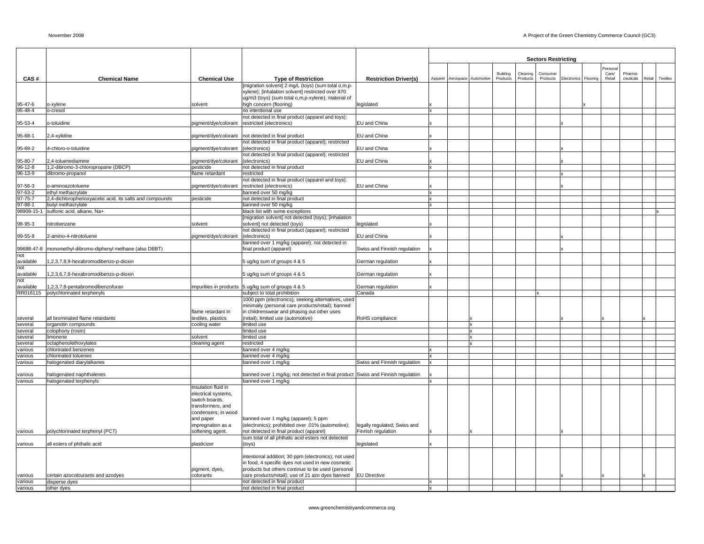|                    |                                                                         |                                   |                                                                                           |                              |              |                              |                      |                      | <b>Sectors Restricting</b> |                      |                 |                      |        |          |
|--------------------|-------------------------------------------------------------------------|-----------------------------------|-------------------------------------------------------------------------------------------|------------------------------|--------------|------------------------------|----------------------|----------------------|----------------------------|----------------------|-----------------|----------------------|--------|----------|
|                    |                                                                         |                                   |                                                                                           |                              |              |                              |                      |                      |                            |                      | Personal        |                      |        |          |
|                    | <b>Chemical Name</b>                                                    | <b>Chemical Use</b>               |                                                                                           |                              |              |                              | Building<br>Products | Cleaning<br>Products | Consumer<br>Products       | Electronics Flooring | Care/<br>Retail | Pharma-<br>ceuticals | Retail | Textiles |
| CAS#               |                                                                         |                                   | <b>Type of Restriction</b><br>[migration solvent] 2 mg/L (toys) (sum total o,m,p-         | <b>Restriction Driver(s)</b> |              | Apparel Aerospace Automotive |                      |                      |                            |                      |                 |                      |        |          |
|                    |                                                                         |                                   | xylene); [inhalation solvent] restricted over 870                                         |                              |              |                              |                      |                      |                            |                      |                 |                      |        |          |
|                    |                                                                         |                                   | ug/m3 (toys) (sum total o,m,p-xylene); material of                                        |                              |              |                              |                      |                      |                            |                      |                 |                      |        |          |
| 95-47-6            | o-xylene                                                                | solvent                           | high concern (flooring)                                                                   | legislated                   |              |                              |                      |                      |                            |                      |                 |                      |        |          |
| $95 - 48 - 4$      | o-cresol                                                                |                                   | no intentional use<br>not detected in final product (apparel and toys);                   |                              | x            |                              |                      |                      |                            |                      |                 |                      |        |          |
| 95-53-4            | o-toluidine                                                             | pigment/dye/colorant              | restricted (electronics)                                                                  | EU and China                 |              |                              |                      |                      |                            |                      |                 |                      |        |          |
|                    |                                                                         |                                   |                                                                                           |                              |              |                              |                      |                      |                            |                      |                 |                      |        |          |
| 95-68-1            | 2,4-xylidine                                                            | pigment/dye/colorant              | not detected in final product                                                             | EU and China                 |              |                              |                      |                      |                            |                      |                 |                      |        |          |
|                    |                                                                         |                                   | not detected in final product (apparel); restricted                                       |                              |              |                              |                      |                      |                            |                      |                 |                      |        |          |
| 95-69-2            | 4-chloro-o-toluidine                                                    | pigment/dye/colorant              | (electronics)                                                                             | EU and China                 |              |                              |                      |                      |                            |                      |                 |                      |        |          |
| 95-80-7            | 2,4-toluenediamine                                                      |                                   | not detected in final product (apparel); restricted<br>(electronics)                      | EU and China                 |              |                              |                      |                      |                            |                      |                 |                      |        |          |
| 96-12-8            | 1,2-dibromo-3-chloropropane (DBCP)                                      | pigment/dye/colorant<br>pesticide | not detected in final product                                                             |                              | $\mathbf{x}$ |                              |                      |                      |                            |                      |                 |                      |        |          |
| 96-13-9            | dibromo-propanol                                                        | flame retardant                   | restricted                                                                                |                              |              |                              |                      |                      |                            |                      |                 |                      |        |          |
|                    |                                                                         |                                   | not detected in final product (apparel and toys);                                         |                              |              |                              |                      |                      |                            |                      |                 |                      |        |          |
| 97-56-3            | o-aminoazotoluene                                                       | pigment/dye/colorant              | restricted (electronics)                                                                  | EU and China                 |              |                              |                      |                      |                            |                      |                 |                      |        |          |
| $97-63-2$          | ethyl methacrylate                                                      |                                   | banned over 50 mg/kg                                                                      |                              |              |                              |                      |                      |                            |                      |                 |                      |        |          |
| $97 - 75 - 7$      | 2,4-dichlorophenoxyacetic acid, its salts and compounds                 | pesticide                         | not detected in final product                                                             |                              |              |                              |                      |                      |                            |                      |                 |                      |        |          |
| 97-88-1            | butyl methacrylate                                                      |                                   | banned over 50 mg/kg                                                                      |                              |              |                              |                      |                      |                            |                      |                 |                      |        |          |
|                    | 98908-15-1 sulfonic acid, alkane, Na+                                   |                                   | black list with some exceptions                                                           |                              |              |                              |                      |                      |                            |                      |                 |                      |        |          |
| 98-95-3            | nitrobenzene                                                            | solvent                           | [migration solvent] not detected (toys); [inhalation<br>solvent] not detected (toys)      | legislated                   |              |                              |                      |                      |                            |                      |                 |                      |        |          |
|                    |                                                                         |                                   | not detected in final product (apparel); restricted                                       |                              |              |                              |                      |                      |                            |                      |                 |                      |        |          |
| 99-55-8            | 2-amino-4-nitrotoluene                                                  | pigment/dye/colorant              | (electronics)                                                                             | EU and China                 |              |                              |                      |                      |                            |                      |                 |                      |        |          |
|                    |                                                                         |                                   | banned over 1 mg/kg (apparel); not detected in                                            |                              |              |                              |                      |                      |                            |                      |                 |                      |        |          |
| 99688-47-8         | monomethyl-dibromo-diphenyl methane (also DBBT)                         |                                   | final product (apparel)                                                                   | Swiss and Finnish regulation |              |                              |                      |                      |                            |                      |                 |                      |        |          |
| not                |                                                                         |                                   |                                                                                           |                              |              |                              |                      |                      |                            |                      |                 |                      |        |          |
| available          | 1,2,3,7,8,9-hexabromodibenzo-p-dioxin                                   |                                   | 5 ug/kg sum of groups 4 & 5                                                               | German regulation            |              |                              |                      |                      |                            |                      |                 |                      |        |          |
| not                |                                                                         |                                   |                                                                                           |                              |              |                              |                      |                      |                            |                      |                 |                      |        |          |
| available          | 1,2,3,6,7,8-hexabromodibenzo-p-dioxin                                   |                                   | 5 ug/kg sum of groups 4 & 5                                                               | German regulation            |              |                              |                      |                      |                            |                      |                 |                      |        |          |
| not                |                                                                         |                                   |                                                                                           |                              |              |                              |                      |                      |                            |                      |                 |                      |        |          |
| available          | 1,2,3,7,8-pentabromodibenzofuran<br>RR016115 polychlorinated terphenyls | impurities in products            | 5 ug/kg sum of groups 4 & 5<br>subject to total prohibition                               | German regulation<br>Canada  |              |                              |                      |                      |                            |                      |                 |                      |        |          |
|                    |                                                                         |                                   | 1000 ppm (electronics); seeking alternatives, used                                        |                              |              |                              |                      |                      |                            |                      |                 |                      |        |          |
|                    |                                                                         |                                   | minimally (personal care products/retail); banned                                         |                              |              |                              |                      |                      |                            |                      |                 |                      |        |          |
|                    |                                                                         | flame retardant in                | in childrenswear and phasing out other uses                                               |                              |              |                              |                      |                      |                            |                      |                 |                      |        |          |
| several            | all brominated flame retardants                                         | textiles, plastics                | (retail); limited use (automotive)                                                        | RoHS compliance              |              |                              |                      |                      |                            |                      |                 |                      |        |          |
| several            | organotin compounds                                                     | cooling water                     | limited use                                                                               |                              |              | Ιx                           |                      |                      |                            |                      |                 |                      |        |          |
| several            | colophony (rosin)                                                       |                                   | limited use                                                                               |                              |              | Ιx                           |                      |                      |                            |                      |                 |                      |        |          |
| several            | limonene                                                                | solvent                           | limited use                                                                               |                              |              | Ιx                           |                      |                      |                            |                      |                 |                      |        |          |
| several            | octaphenolethoxylates                                                   | cleaning agent                    | restricted                                                                                |                              |              |                              |                      |                      |                            |                      |                 |                      |        |          |
| various<br>various | chlorinated benzenes<br>chlorinated toluenes                            |                                   | banned over 4 mg/kg<br>banned over 4 mg/kg                                                |                              |              |                              |                      |                      |                            |                      |                 |                      |        |          |
| various            | halogenated diarylalkanes                                               |                                   | banned over 1 mg/kg                                                                       | Swiss and Finnish regulation | $\mathbf{x}$ |                              |                      |                      |                            |                      |                 |                      |        |          |
|                    |                                                                         |                                   |                                                                                           |                              |              |                              |                      |                      |                            |                      |                 |                      |        |          |
| various            | halogenated naphthalenes                                                |                                   | banned over 1 mg/kg; not detected in final product Swiss and Finnish regulation           |                              |              |                              |                      |                      |                            |                      |                 |                      |        |          |
| various            | halogenated terphenyls                                                  |                                   | banned over 1 mg/kg                                                                       |                              |              |                              |                      |                      |                            |                      |                 |                      |        |          |
|                    |                                                                         | insulation fluid in               |                                                                                           |                              |              |                              |                      |                      |                            |                      |                 |                      |        |          |
|                    |                                                                         | electrical systems,               |                                                                                           |                              |              |                              |                      |                      |                            |                      |                 |                      |        |          |
|                    |                                                                         | switch boards,                    |                                                                                           |                              |              |                              |                      |                      |                            |                      |                 |                      |        |          |
|                    |                                                                         | transformers, and                 |                                                                                           |                              |              |                              |                      |                      |                            |                      |                 |                      |        |          |
|                    |                                                                         | condensers; in wood               |                                                                                           |                              |              |                              |                      |                      |                            |                      |                 |                      |        |          |
|                    |                                                                         | and paper<br>impregnation as a    | banned over 1 mg/kg (apparel); 5 ppm<br>(electronics); prohibited over .01% (automotive); | legally regulated; Swiss and |              |                              |                      |                      |                            |                      |                 |                      |        |          |
| various            | polychlorinated terphenyl (PCT)                                         | softening agent.                  | not detected in final product (apparel)                                                   | Finnish regulation           |              |                              |                      |                      |                            |                      |                 |                      |        |          |
|                    |                                                                         |                                   | sum total of all phthalic acid esters not detected                                        |                              |              |                              |                      |                      |                            |                      |                 |                      |        |          |
| various            | all esters of phthalic acid                                             | plasticizer                       | (toys)                                                                                    | legislated                   |              |                              |                      |                      |                            |                      |                 |                      |        |          |
|                    |                                                                         |                                   |                                                                                           |                              |              |                              |                      |                      |                            |                      |                 |                      |        |          |
|                    |                                                                         |                                   | intentional addition; 30 ppm (electronics); not used                                      |                              |              |                              |                      |                      |                            |                      |                 |                      |        |          |
|                    |                                                                         |                                   | in food, 4 specific dyes not used in new cosmetic                                         |                              |              |                              |                      |                      |                            |                      |                 |                      |        |          |
|                    |                                                                         | pigment, dyes,                    | products but others continue to be used (personal                                         |                              |              |                              |                      |                      |                            |                      |                 |                      |        |          |
| various            | certain azocolourants and azodyes                                       | colorants                         | care products/retail); use of 21 azo dyes banned                                          | <b>EU Directive</b>          |              |                              |                      |                      |                            |                      |                 |                      |        |          |
| various            | disperse dyes                                                           |                                   | not detected in final product<br>not detected in final product                            |                              | lx           |                              |                      |                      |                            |                      |                 |                      |        |          |
| various            | other dyes                                                              |                                   |                                                                                           |                              |              |                              |                      |                      |                            |                      |                 |                      |        |          |

www.greenchemistryandcommerce.org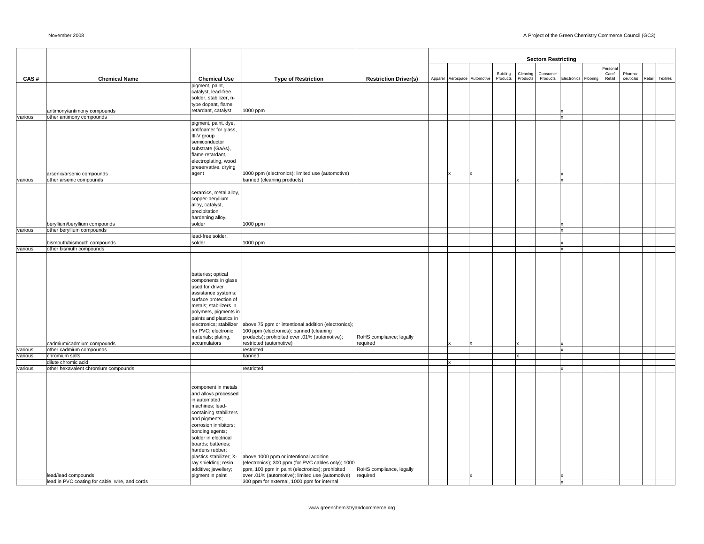|         |                                                            |                                                 |                                                                                                       |                                      |  |                              |          |          | <b>Sectors Restricting</b> |                      |          |           |        |          |
|---------|------------------------------------------------------------|-------------------------------------------------|-------------------------------------------------------------------------------------------------------|--------------------------------------|--|------------------------------|----------|----------|----------------------------|----------------------|----------|-----------|--------|----------|
|         |                                                            |                                                 |                                                                                                       |                                      |  |                              |          |          |                            |                      | Personal |           |        |          |
|         |                                                            |                                                 |                                                                                                       |                                      |  |                              | Building | Cleaning | Consumer                   |                      | Care/    | Pharma-   |        |          |
| CAS#    | <b>Chemical Name</b>                                       | <b>Chemical Use</b>                             | <b>Type of Restriction</b>                                                                            | <b>Restriction Driver(s)</b>         |  | Apparel Aerospace Automotive | Products | Products | Products                   | Electronics Flooring | Retail   | ceuticals | Retail | Textiles |
|         |                                                            | pigment, paint,<br>catalyst, lead-free          |                                                                                                       |                                      |  |                              |          |          |                            |                      |          |           |        |          |
|         |                                                            | solder, stabilizer, n-                          |                                                                                                       |                                      |  |                              |          |          |                            |                      |          |           |        |          |
|         |                                                            | type dopant, flame                              |                                                                                                       |                                      |  |                              |          |          |                            |                      |          |           |        |          |
|         | antimony/antimony compounds                                | retardant, catalyst                             | 1000 ppm                                                                                              |                                      |  |                              |          |          |                            |                      |          |           |        |          |
| various | other antimony compounds                                   | pigment, paint, dye,                            |                                                                                                       |                                      |  |                              |          |          |                            | x                    |          |           |        |          |
|         |                                                            | antifoamer for glass,                           |                                                                                                       |                                      |  |                              |          |          |                            |                      |          |           |        |          |
|         |                                                            | III-V group                                     |                                                                                                       |                                      |  |                              |          |          |                            |                      |          |           |        |          |
|         |                                                            | semiconductor                                   |                                                                                                       |                                      |  |                              |          |          |                            |                      |          |           |        |          |
|         |                                                            | substrate (GaAs),<br>flame retardant,           |                                                                                                       |                                      |  |                              |          |          |                            |                      |          |           |        |          |
|         |                                                            | electroplating, wood                            |                                                                                                       |                                      |  |                              |          |          |                            |                      |          |           |        |          |
|         |                                                            | preservative, drying                            |                                                                                                       |                                      |  |                              |          |          |                            |                      |          |           |        |          |
|         | arsenic/arsenic compounds                                  | agent                                           | 1000 ppm (electronics); limited use (automotive)                                                      |                                      |  |                              |          |          |                            |                      |          |           |        |          |
| various | other arsenic compounds                                    |                                                 | banned (cleaning products)                                                                            |                                      |  |                              |          | Ιx       |                            | $\mathbf{x}$         |          |           |        |          |
|         |                                                            | ceramics, metal alloy,                          |                                                                                                       |                                      |  |                              |          |          |                            |                      |          |           |        |          |
|         |                                                            | copper-beryllium                                |                                                                                                       |                                      |  |                              |          |          |                            |                      |          |           |        |          |
|         |                                                            | alloy, catalyst,                                |                                                                                                       |                                      |  |                              |          |          |                            |                      |          |           |        |          |
|         |                                                            | precipitation<br>hardening alloy,               |                                                                                                       |                                      |  |                              |          |          |                            |                      |          |           |        |          |
|         | beryllium/beryllium compounds                              | solder                                          | 1000 ppm                                                                                              |                                      |  |                              |          |          |                            |                      |          |           |        |          |
| various | other beryllium compounds                                  |                                                 |                                                                                                       |                                      |  |                              |          |          |                            | x                    |          |           |        |          |
|         |                                                            | lead-free solder,                               |                                                                                                       |                                      |  |                              |          |          |                            |                      |          |           |        |          |
| various | bismouth/bismouth compounds<br>other bismuth compounds     | solder                                          | 1000 ppm                                                                                              |                                      |  |                              |          |          |                            |                      |          |           |        |          |
|         |                                                            |                                                 |                                                                                                       |                                      |  |                              |          |          |                            |                      |          |           |        |          |
|         |                                                            |                                                 |                                                                                                       |                                      |  |                              |          |          |                            |                      |          |           |        |          |
|         |                                                            |                                                 |                                                                                                       |                                      |  |                              |          |          |                            |                      |          |           |        |          |
|         |                                                            | batteries; optical<br>components in glass       |                                                                                                       |                                      |  |                              |          |          |                            |                      |          |           |        |          |
|         |                                                            | used for driver                                 |                                                                                                       |                                      |  |                              |          |          |                            |                      |          |           |        |          |
|         |                                                            | assistance systems;                             |                                                                                                       |                                      |  |                              |          |          |                            |                      |          |           |        |          |
|         |                                                            | surface protection of                           |                                                                                                       |                                      |  |                              |          |          |                            |                      |          |           |        |          |
|         |                                                            | metals; stabilizers in<br>polymers, pigments in |                                                                                                       |                                      |  |                              |          |          |                            |                      |          |           |        |          |
|         |                                                            | paints and plastics in                          |                                                                                                       |                                      |  |                              |          |          |                            |                      |          |           |        |          |
|         |                                                            | electronics; stabilizer                         | above 75 ppm or intentional addition (electronics);                                                   |                                      |  |                              |          |          |                            |                      |          |           |        |          |
|         |                                                            | for PVC; electronic                             | 100 ppm (electronics); banned (cleaning                                                               |                                      |  |                              |          |          |                            |                      |          |           |        |          |
|         | cadmium/cadmium compounds                                  | materials; plating,<br>accumulators             | products); prohibited over .01% (automotive);<br>restricted (automotive)                              | RoHS compliance; legally<br>required |  |                              |          |          |                            |                      |          |           |        |          |
| various | other cadmium compounds                                    |                                                 | restricted                                                                                            |                                      |  |                              |          |          |                            | $\mathbf{x}$         |          |           |        |          |
| various | chromium salts                                             |                                                 | banned                                                                                                |                                      |  |                              |          | lx       |                            |                      |          |           |        |          |
| various | dilute chromic acid<br>other hexavalent chromium compounds |                                                 | restricted                                                                                            |                                      |  |                              |          |          |                            |                      |          |           |        |          |
|         |                                                            |                                                 |                                                                                                       |                                      |  |                              |          |          |                            |                      |          |           |        |          |
|         |                                                            |                                                 |                                                                                                       |                                      |  |                              |          |          |                            |                      |          |           |        |          |
|         |                                                            | component in metals                             |                                                                                                       |                                      |  |                              |          |          |                            |                      |          |           |        |          |
|         |                                                            | and alloys processed<br>in automated            |                                                                                                       |                                      |  |                              |          |          |                            |                      |          |           |        |          |
|         |                                                            | machines; lead-                                 |                                                                                                       |                                      |  |                              |          |          |                            |                      |          |           |        |          |
|         |                                                            | containing stabilizers                          |                                                                                                       |                                      |  |                              |          |          |                            |                      |          |           |        |          |
|         |                                                            | and pigments;                                   |                                                                                                       |                                      |  |                              |          |          |                            |                      |          |           |        |          |
|         |                                                            | corrosion inhibitors;                           |                                                                                                       |                                      |  |                              |          |          |                            |                      |          |           |        |          |
|         |                                                            | bonding agents;<br>solder in electrical         |                                                                                                       |                                      |  |                              |          |          |                            |                      |          |           |        |          |
|         |                                                            | boards; batteries;                              |                                                                                                       |                                      |  |                              |          |          |                            |                      |          |           |        |          |
|         |                                                            | hardens rubber;                                 |                                                                                                       |                                      |  |                              |          |          |                            |                      |          |           |        |          |
|         |                                                            | plastics stabilizer; X-                         | above 1000 ppm or intentional addition                                                                |                                      |  |                              |          |          |                            |                      |          |           |        |          |
|         |                                                            | ray shielding; resin<br>additive; jewellery;    | (electronics); 300 ppm (for PVC cables only); 1000<br>ppm, 100 ppm in paint (electronics); prohibited | RoHS compliance, legally             |  |                              |          |          |                            |                      |          |           |        |          |
|         | lead/lead compounds                                        | pigment in paint                                | over .01% (automotive); limited use (automotive)                                                      | required                             |  |                              |          |          |                            |                      |          |           |        |          |
|         | lead in PVC coating for cable, wire, and cords             |                                                 | 300 ppm for external, 1000 ppm for internal                                                           |                                      |  |                              |          |          |                            |                      |          |           |        |          |

www.greenchemistryandcommerce.org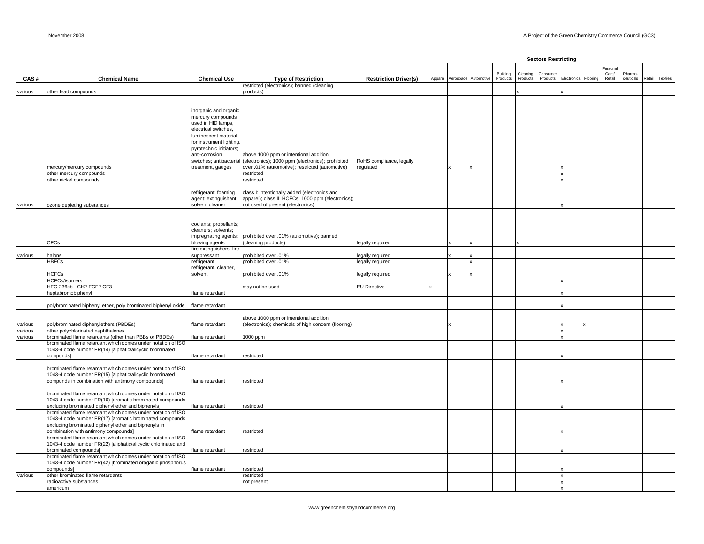| <b>Sectors Restricting</b><br>ersona<br>Building<br>Care/<br>Pharma-<br>Cleaning<br>Consumer<br>CAS#<br><b>Chemical Name</b><br><b>Chemical Use</b><br><b>Type of Restriction</b><br><b>Restriction Driver(s)</b><br>Apparel Aerospace Automotive<br>Products<br>Products<br>Retail<br>Products<br>Electronics<br>Flooring<br>restricted (electronics); banned (cleaning<br>other lead compounds<br>products)<br>various<br>inorganic and organic<br>mercury compounds<br>used in HID lamps,<br>electrical switches,<br>luminescent material<br>for instrument lighting,<br>pyrotechnic initiators;<br>anti-corrosion<br>above 1000 ppm or intentional addition | Textiles<br>ceuticals<br>Retail |
|-----------------------------------------------------------------------------------------------------------------------------------------------------------------------------------------------------------------------------------------------------------------------------------------------------------------------------------------------------------------------------------------------------------------------------------------------------------------------------------------------------------------------------------------------------------------------------------------------------------------------------------------------------------------|---------------------------------|
|                                                                                                                                                                                                                                                                                                                                                                                                                                                                                                                                                                                                                                                                 |                                 |
|                                                                                                                                                                                                                                                                                                                                                                                                                                                                                                                                                                                                                                                                 |                                 |
|                                                                                                                                                                                                                                                                                                                                                                                                                                                                                                                                                                                                                                                                 |                                 |
|                                                                                                                                                                                                                                                                                                                                                                                                                                                                                                                                                                                                                                                                 |                                 |
|                                                                                                                                                                                                                                                                                                                                                                                                                                                                                                                                                                                                                                                                 |                                 |
|                                                                                                                                                                                                                                                                                                                                                                                                                                                                                                                                                                                                                                                                 |                                 |
|                                                                                                                                                                                                                                                                                                                                                                                                                                                                                                                                                                                                                                                                 |                                 |
|                                                                                                                                                                                                                                                                                                                                                                                                                                                                                                                                                                                                                                                                 |                                 |
|                                                                                                                                                                                                                                                                                                                                                                                                                                                                                                                                                                                                                                                                 |                                 |
|                                                                                                                                                                                                                                                                                                                                                                                                                                                                                                                                                                                                                                                                 |                                 |
| switches; antibacterial<br>(electronics); 1000 ppm (electronics); prohibited<br>RoHS compliance, legally<br>mercury/mercury compounds<br>treatment, gauges<br>over .01% (automotive); restricted (automotive)<br>regulated                                                                                                                                                                                                                                                                                                                                                                                                                                      |                                 |
| other mercury compounds<br>restricted<br>x                                                                                                                                                                                                                                                                                                                                                                                                                                                                                                                                                                                                                      |                                 |
| other nickel compounds<br>restricted<br>x                                                                                                                                                                                                                                                                                                                                                                                                                                                                                                                                                                                                                       |                                 |
| class I: intentionally added (electronics and<br>refrigerant; foaming                                                                                                                                                                                                                                                                                                                                                                                                                                                                                                                                                                                           |                                 |
| apparel); class II: HCFCs: 1000 ppm (electronics);<br>agent; extinguishant;<br>solvent cleaner<br>not used of present (electronics)                                                                                                                                                                                                                                                                                                                                                                                                                                                                                                                             |                                 |
| ozone depleting substances<br>various                                                                                                                                                                                                                                                                                                                                                                                                                                                                                                                                                                                                                           |                                 |
| coolants; propellants;                                                                                                                                                                                                                                                                                                                                                                                                                                                                                                                                                                                                                                          |                                 |
| cleaners; solvents;                                                                                                                                                                                                                                                                                                                                                                                                                                                                                                                                                                                                                                             |                                 |
| impregnating agents;<br>prohibited over .01% (automotive); banned<br>CFCs<br>blowing agents<br>(cleaning products)<br>legally required                                                                                                                                                                                                                                                                                                                                                                                                                                                                                                                          |                                 |
| fire extinguishers, fire                                                                                                                                                                                                                                                                                                                                                                                                                                                                                                                                                                                                                                        |                                 |
| suppressant<br>halons<br>prohibited over .01%<br>legally required<br>various<br><b>HBFCs</b><br>refrigerant<br>prohibited over .01%<br>legally required                                                                                                                                                                                                                                                                                                                                                                                                                                                                                                         |                                 |
| refrigerant, cleaner,                                                                                                                                                                                                                                                                                                                                                                                                                                                                                                                                                                                                                                           |                                 |
| <b>HCFCs</b><br>solvent<br>prohibited over .01%<br>legally required<br><b>HCFCs/isomers</b><br>X                                                                                                                                                                                                                                                                                                                                                                                                                                                                                                                                                                |                                 |
| HFC-236cb - CH2 FCF2 CF3<br><b>EU Directive</b><br>may not be used<br>$\mathbf{x}$                                                                                                                                                                                                                                                                                                                                                                                                                                                                                                                                                                              |                                 |
| heptabromobiphenyl<br>flame retardant                                                                                                                                                                                                                                                                                                                                                                                                                                                                                                                                                                                                                           |                                 |
| polybrominated biphenyl ether, poly brominated biphenyl oxide<br>flame retardant                                                                                                                                                                                                                                                                                                                                                                                                                                                                                                                                                                                |                                 |
| above 1000 ppm or intentional addition                                                                                                                                                                                                                                                                                                                                                                                                                                                                                                                                                                                                                          |                                 |
| (electronics); chemicals of high concern (flooring)<br>various<br>polybrominated diphenylethers (PBDEs)<br>flame retardant                                                                                                                                                                                                                                                                                                                                                                                                                                                                                                                                      |                                 |
| various<br>other polychlorinated naphthalenes<br>x<br>flame retardant<br>various<br>brominated flame retardants (other than PBBs or PBDEs)<br>1000 ppm                                                                                                                                                                                                                                                                                                                                                                                                                                                                                                          |                                 |
| brominated flame retardant which comes under notation of ISO                                                                                                                                                                                                                                                                                                                                                                                                                                                                                                                                                                                                    |                                 |
| 1043-4 code number FR(14) [alphatic/alicyclic brominated<br>compunds]<br>flame retardant<br>restricted                                                                                                                                                                                                                                                                                                                                                                                                                                                                                                                                                          |                                 |
|                                                                                                                                                                                                                                                                                                                                                                                                                                                                                                                                                                                                                                                                 |                                 |
| brominated flame retardant which comes under notation of ISO<br>1043-4 code number FR(15) [alphatic/alicyclic brominated                                                                                                                                                                                                                                                                                                                                                                                                                                                                                                                                        |                                 |
| compunds in combination with antimony compounds]<br>flame retardant<br>restricted                                                                                                                                                                                                                                                                                                                                                                                                                                                                                                                                                                               |                                 |
| brominated flame retardant which comes under notation of ISO                                                                                                                                                                                                                                                                                                                                                                                                                                                                                                                                                                                                    |                                 |
| 1043-4 code number FR(16) [aromatic brominated compounds<br>excluding brominated diphenyl ether and biphenyls]<br>flame retardant<br>restricted                                                                                                                                                                                                                                                                                                                                                                                                                                                                                                                 |                                 |
| brominated flame retardant which comes under notation of ISO                                                                                                                                                                                                                                                                                                                                                                                                                                                                                                                                                                                                    |                                 |
| 1043-4 code number FR(17) [aromatic brominated compounds                                                                                                                                                                                                                                                                                                                                                                                                                                                                                                                                                                                                        |                                 |
| excluding brominated diphenyl ether and biphenyls in<br>combination with antimony compounds]<br>flame retardant<br>restricted                                                                                                                                                                                                                                                                                                                                                                                                                                                                                                                                   |                                 |
| brominated flame retardant which comes under notation of ISO<br>1043-4 code number FR(22) [aliphatic/alicyclic chlorinated and                                                                                                                                                                                                                                                                                                                                                                                                                                                                                                                                  |                                 |
| brominated compounds]<br>flame retardant<br>restricted                                                                                                                                                                                                                                                                                                                                                                                                                                                                                                                                                                                                          |                                 |
| brominated flame retardant which comes under notation of ISO<br>1043-4 code number FR(42) [brominated oraganic phosphorus                                                                                                                                                                                                                                                                                                                                                                                                                                                                                                                                       |                                 |
| compounds]<br>flame retardant<br>restricted                                                                                                                                                                                                                                                                                                                                                                                                                                                                                                                                                                                                                     |                                 |
| various<br>other brominated flame retardants<br>restricted<br>$\mathbf{x}$<br>radioactive substances<br>not present                                                                                                                                                                                                                                                                                                                                                                                                                                                                                                                                             |                                 |
| lamericum                                                                                                                                                                                                                                                                                                                                                                                                                                                                                                                                                                                                                                                       |                                 |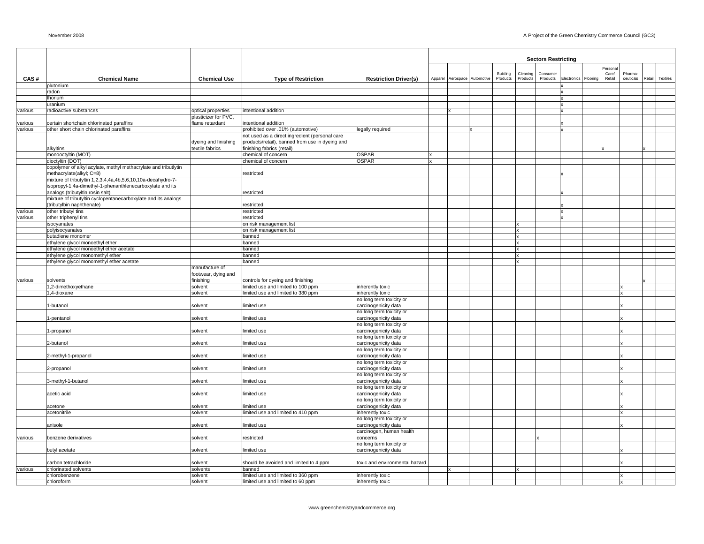|         |                                                                                               |                      |                                                                                     |                                                  |                   |            |          |          | <b>Sectors Restricting</b> |             |          |         |           |        |          |
|---------|-----------------------------------------------------------------------------------------------|----------------------|-------------------------------------------------------------------------------------|--------------------------------------------------|-------------------|------------|----------|----------|----------------------------|-------------|----------|---------|-----------|--------|----------|
|         |                                                                                               |                      |                                                                                     |                                                  |                   |            |          |          |                            |             |          | Persona |           |        |          |
|         |                                                                                               |                      |                                                                                     |                                                  |                   |            | Building | Cleaning | Consumer                   |             |          | Care/   | Pharma    |        |          |
| CAS#    | <b>Chemical Name</b><br>plutonium                                                             | <b>Chemical Use</b>  | <b>Type of Restriction</b>                                                          | <b>Restriction Driver(s)</b>                     | Apparel Aerospace | Automotive | Products | Products | Products                   | Electronics | Flooring | Retail  | ceuticals | Retail | Textiles |
|         | radon                                                                                         |                      |                                                                                     |                                                  |                   |            |          |          |                            |             |          |         |           |        |          |
|         | thorium                                                                                       |                      |                                                                                     |                                                  |                   |            |          |          |                            |             |          |         |           |        |          |
|         | uranium                                                                                       |                      |                                                                                     |                                                  |                   |            |          |          |                            |             |          |         |           |        |          |
| various | radioactive substances                                                                        | optical properties   | intentional addition                                                                |                                                  |                   |            |          |          |                            |             |          |         |           |        |          |
|         |                                                                                               | plasticizer for PVC, |                                                                                     |                                                  |                   |            |          |          |                            |             |          |         |           |        |          |
| various | certain shortchain chlorinated paraffins                                                      | flame retardant      | intentional addition                                                                |                                                  |                   |            |          |          |                            |             |          |         |           |        |          |
| various | other short chain chlorinated paraffins                                                       |                      | prohibited over .01% (automotive)<br>not used as a direct ingredient (personal care | legally required                                 |                   |            |          |          |                            |             |          |         |           |        |          |
|         |                                                                                               | dyeing and finishing | products/retail), banned from use in dyeing and                                     |                                                  |                   |            |          |          |                            |             |          |         |           |        |          |
|         | alkyltins                                                                                     | textile fabrics      | finishing fabrics (retail)                                                          |                                                  |                   |            |          |          |                            |             |          |         |           |        |          |
|         | monooctyltin (MOT)                                                                            |                      | chemical of concern                                                                 | <b>OSPAR</b>                                     |                   |            |          |          |                            |             |          |         |           |        |          |
|         | dioctyltin (DOT)                                                                              |                      | chemical of concern                                                                 | <b>OSPAR</b>                                     |                   |            |          |          |                            |             |          |         |           |        |          |
|         | copolymer of alkyl acylate, methyl methacrylate and tributlytin<br>methacrylate(alkyl; C=8)   |                      | restricted                                                                          |                                                  |                   |            |          |          |                            |             |          |         |           |        |          |
|         | mixture of tributyltin 1,2,3,4,4a,4b,5,6,10,10a-decahydro-7-                                  |                      |                                                                                     |                                                  |                   |            |          |          |                            |             |          |         |           |        |          |
|         | isopropyl-1,4a-dimethyl-1-phenanthlenecarboxylate and its<br>analogs (tributyltin rosin salt) |                      | restricted                                                                          |                                                  |                   |            |          |          |                            |             |          |         |           |        |          |
|         | mixture of tributyltin cyclopentanecarboxylate and its analogs                                |                      |                                                                                     |                                                  |                   |            |          |          |                            |             |          |         |           |        |          |
|         | (tributylbin naphthenate)                                                                     |                      | restricted                                                                          |                                                  |                   |            |          |          |                            |             |          |         |           |        |          |
| various | other tributyl tins                                                                           |                      | restricted                                                                          |                                                  |                   |            |          |          |                            |             |          |         |           |        |          |
| various | other triphenyl tins                                                                          |                      | restricted                                                                          |                                                  |                   |            |          |          |                            |             |          |         |           |        |          |
|         | isocyanates<br>polyisocyanates                                                                |                      | on risk management list<br>on risk management list                                  |                                                  |                   |            |          |          |                            |             |          |         |           |        |          |
|         | butadiene monomer                                                                             |                      | banned                                                                              |                                                  |                   |            |          |          |                            |             |          |         |           |        |          |
|         | ethylene glycol monoethyl ether                                                               |                      | banned                                                                              |                                                  |                   |            |          |          |                            |             |          |         |           |        |          |
|         | ethylene glycol monoethyl ether acetate                                                       |                      | banned                                                                              |                                                  |                   |            |          |          |                            |             |          |         |           |        |          |
|         | ethylene glycol monomethyl ether                                                              |                      | banned                                                                              |                                                  |                   |            |          |          |                            |             |          |         |           |        |          |
|         | ethylene glycol monomethyl ether acetate                                                      |                      | banned                                                                              |                                                  |                   |            |          |          |                            |             |          |         |           |        |          |
|         |                                                                                               | manufacture of       |                                                                                     |                                                  |                   |            |          |          |                            |             |          |         |           |        |          |
|         |                                                                                               | footwear, dying and  |                                                                                     |                                                  |                   |            |          |          |                            |             |          |         |           |        |          |
| various | solvents                                                                                      | finishing            | controls for dyeing and finishing                                                   |                                                  |                   |            |          |          |                            |             |          |         |           |        |          |
|         | 1,2-dimethoxyethane<br>1,4-dioxane                                                            | solvent<br>solvent   | limited use and limited to 100 ppm<br>limited use and limited to 380 ppm            | inherently toxic<br>inherently toxic             |                   |            |          |          |                            |             |          |         |           |        |          |
|         |                                                                                               |                      |                                                                                     | no long term toxicity or                         |                   |            |          |          |                            |             |          |         |           |        |          |
|         | 1-butanol                                                                                     | solvent              | limited use                                                                         | carcinogenicity data                             |                   |            |          |          |                            |             |          |         |           |        |          |
|         |                                                                                               |                      |                                                                                     | no long term toxicity or                         |                   |            |          |          |                            |             |          |         |           |        |          |
|         | -pentanol                                                                                     | solvent              | limited use                                                                         | carcinogenicity data                             |                   |            |          |          |                            |             |          |         |           |        |          |
|         |                                                                                               |                      |                                                                                     | no long term toxicity or                         |                   |            |          |          |                            |             |          |         |           |        |          |
|         | 1-propanol                                                                                    | solvent              | limited use                                                                         | carcinogenicity data                             |                   |            |          |          |                            |             |          |         |           |        |          |
|         |                                                                                               |                      |                                                                                     | no long term toxicity or                         |                   |            |          |          |                            |             |          |         |           |        |          |
|         | 2-butanol                                                                                     | solvent              | limited use                                                                         | carcinogenicity data                             |                   |            |          |          |                            |             |          |         |           |        |          |
|         | 2-methyl-1-propanol                                                                           | solvent              | limited use                                                                         | no long term toxicity or<br>carcinogenicity data |                   |            |          |          |                            |             |          |         |           |        |          |
|         |                                                                                               |                      |                                                                                     | no long term toxicity or                         |                   |            |          |          |                            |             |          |         |           |        |          |
|         | 2-propanol                                                                                    | solvent              | limited use                                                                         | carcinogenicity data                             |                   |            |          |          |                            |             |          |         |           |        |          |
|         |                                                                                               |                      |                                                                                     | no long term toxicity or                         |                   |            |          |          |                            |             |          |         |           |        |          |
|         | 3-methyl-1-butanol                                                                            | solvent              | limited use                                                                         | carcinogenicity data                             |                   |            |          |          |                            |             |          |         |           |        |          |
|         |                                                                                               |                      |                                                                                     | no long term toxicity or                         |                   |            |          |          |                            |             |          |         |           |        |          |
|         | acetic acid                                                                                   | solvent              | limited use                                                                         | carcinogenicity data                             |                   |            |          |          |                            |             |          |         |           |        |          |
|         |                                                                                               |                      | limited use                                                                         | no long term toxicity or                         |                   |            |          |          |                            |             |          |         |           |        |          |
|         | acetone<br>acetonitrile                                                                       | solvent<br>solvent   | limited use and limited to 410 ppm                                                  | carcinogenicity data<br>inherently toxic         |                   |            |          |          |                            |             |          |         |           |        |          |
|         |                                                                                               |                      |                                                                                     | no long term toxicity or                         |                   |            |          |          |                            |             |          |         |           |        |          |
|         | anisole                                                                                       | solvent              | limited use                                                                         | carcinogenicity data                             |                   |            |          |          |                            |             |          |         |           |        |          |
|         |                                                                                               |                      |                                                                                     | carcinogen, human health                         |                   |            |          |          |                            |             |          |         |           |        |          |
| various | benzene derivatives                                                                           | solvent              | restricted                                                                          | concerns                                         |                   |            |          |          |                            |             |          |         |           |        |          |
|         |                                                                                               |                      |                                                                                     | no long term toxicity or                         |                   |            |          |          |                            |             |          |         |           |        |          |
|         | butyl acetate                                                                                 | solvent              | limited use                                                                         | carcinogenicity data                             |                   |            |          |          |                            |             |          |         |           |        |          |
|         |                                                                                               |                      |                                                                                     | toxic and environmental hazard                   |                   |            |          |          |                            |             |          |         |           |        |          |
| various | carbon tetrachloride<br>chlorinated solvents                                                  | solvent<br>solvents  | should be avoided and limited to 4 ppm<br>banned                                    |                                                  | lx                |            |          |          |                            |             |          |         |           |        |          |
|         | chlorobenzene                                                                                 | solvent              | limited use and limited to 360 ppm                                                  | inherently toxic                                 |                   |            |          |          |                            |             |          |         |           |        |          |
|         | chloroform                                                                                    | solvent              | limited use and limited to 60 ppm                                                   | inherently toxic                                 |                   |            |          |          |                            |             |          |         |           |        |          |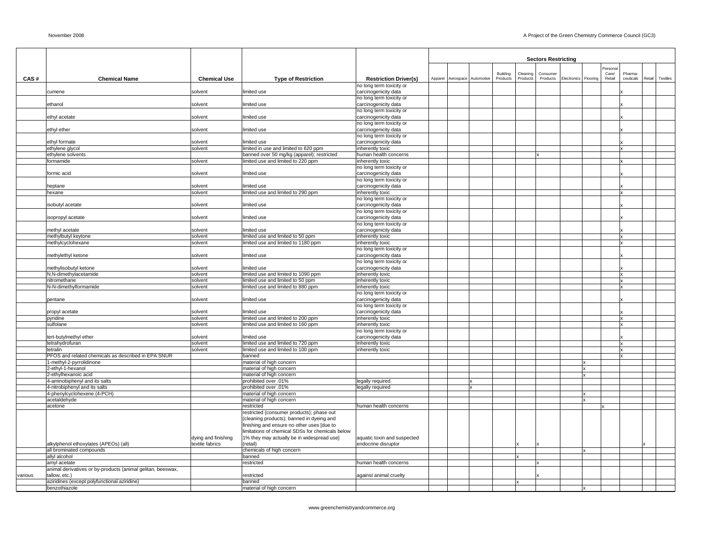|         |                                                                             |                     |                                                                                                |                                                  |                              |          |          | <b>Sectors Restricting</b> |                      |              |          |                              |        |          |
|---------|-----------------------------------------------------------------------------|---------------------|------------------------------------------------------------------------------------------------|--------------------------------------------------|------------------------------|----------|----------|----------------------------|----------------------|--------------|----------|------------------------------|--------|----------|
|         |                                                                             |                     |                                                                                                |                                                  |                              |          |          |                            |                      |              | Personal |                              |        |          |
|         |                                                                             |                     |                                                                                                |                                                  |                              | Building | Cleaning | Consumer                   |                      |              | Care/    | Pharma                       |        |          |
| CAS#    | <b>Chemical Name</b>                                                        | <b>Chemical Use</b> | <b>Type of Restriction</b>                                                                     | <b>Restriction Driver(s)</b>                     | Apparel Aerospace Automotive | Products | Products | Products                   | Electronics Flooring |              | Retail   | ceuticals                    | Retail | Textiles |
|         | cumene                                                                      | solvent             | limited use                                                                                    | no long term toxicity or<br>carcinogenicity data |                              |          |          |                            |                      |              |          |                              |        |          |
|         |                                                                             |                     |                                                                                                | no long term toxicity or                         |                              |          |          |                            |                      |              |          |                              |        |          |
|         | ethanol                                                                     | solvent             | limited use                                                                                    | carcinogenicity data                             |                              |          |          |                            |                      |              |          |                              |        |          |
|         |                                                                             |                     |                                                                                                | no long term toxicity or                         |                              |          |          |                            |                      |              |          |                              |        |          |
|         | ethyl acetate                                                               | solvent             | limited use                                                                                    | carcinogenicity data<br>no long term toxicity or |                              |          |          |                            |                      |              |          |                              |        |          |
|         | ethyl ether                                                                 | solvent             | limited use                                                                                    | carcinogenicity data                             |                              |          |          |                            |                      |              |          |                              |        |          |
|         |                                                                             |                     |                                                                                                | no long term toxicity or                         |                              |          |          |                            |                      |              |          |                              |        |          |
|         | ethyl formate                                                               | solvent             | limited use                                                                                    | carcinogenicity data                             |                              |          |          |                            |                      |              |          |                              |        |          |
|         | ethylene glycol<br>ethylene solvents                                        | solvent             | limited in use and limited to 620 ppm<br>banned over 50 mg/kg (apparel); restricted            | inherently toxic<br>human health concerns        |                              |          |          |                            |                      |              |          | Ιx                           |        |          |
|         | formamide                                                                   | solvent             | limited use and limited to 220 ppm                                                             | inherently toxic                                 |                              |          |          |                            |                      |              |          | Ιx                           |        |          |
|         |                                                                             |                     |                                                                                                | no long term toxicity or                         |                              |          |          |                            |                      |              |          |                              |        |          |
|         | formic acid                                                                 | solvent             | limited use                                                                                    | carcinogenicity data                             |                              |          |          |                            |                      |              |          |                              |        |          |
|         |                                                                             |                     |                                                                                                | no long term toxicity or                         |                              |          |          |                            |                      |              |          |                              |        |          |
|         | heptane                                                                     | solvent<br>solvent  | limited use<br>limited use and limited to 290 ppm                                              | carcinogenicity data                             |                              |          |          |                            |                      |              |          | Ιx                           |        |          |
|         | hexane                                                                      |                     |                                                                                                | inherently toxic<br>no long term toxicity or     |                              |          |          |                            |                      |              |          |                              |        |          |
|         | isobutyl acetate                                                            | solvent             | limited use                                                                                    | carcinogenicity data                             |                              |          |          |                            |                      |              |          |                              |        |          |
|         |                                                                             |                     |                                                                                                | no long term toxicity or                         |                              |          |          |                            |                      |              |          |                              |        |          |
|         | isopropyl acetate                                                           | solvent             | limited use                                                                                    | carcinogenicity data                             |                              |          |          |                            |                      |              |          |                              |        |          |
|         |                                                                             |                     |                                                                                                | no long term toxicity or                         |                              |          |          |                            |                      |              |          |                              |        |          |
|         | methyl acetate<br>methylbutyl keytone                                       | solvent<br>solvent  | limited use<br>limited use and limited to 50 ppm                                               | carcinogenicity data<br>inherently toxic         |                              |          |          |                            |                      |              |          | Ιx                           |        |          |
|         | methylcyclohexane                                                           | solvent             | limited use and limited to 1180 ppm                                                            | inherently toxic                                 |                              |          |          |                            |                      |              |          | $\vert x \vert$              |        |          |
|         |                                                                             |                     |                                                                                                | no long term toxicity or                         |                              |          |          |                            |                      |              |          |                              |        |          |
|         | methylethyl ketone                                                          | solvent             | limited use                                                                                    | carcinogenicity data                             |                              |          |          |                            |                      |              |          |                              |        |          |
|         |                                                                             |                     |                                                                                                | no long term toxicity or                         |                              |          |          |                            |                      |              |          |                              |        |          |
|         | methylisobutyl ketone<br>N,N-dimethylacetamide                              | solvent<br>solvent  | limited use<br>limited use and limited to 1090 ppm                                             | carcinogenicity data<br>inherently toxic         |                              |          |          |                            |                      |              |          | $\mathbf x$                  |        |          |
|         | nitromethane                                                                | solvent             | limited use and limited to 50 ppm                                                              | inherently toxic                                 |                              |          |          |                            |                      |              |          | Ιx                           |        |          |
|         | N-N-dimethylformamide                                                       | solvent             | limited use and limited to 880 ppm                                                             | inherently toxic                                 |                              |          |          |                            |                      |              |          |                              |        |          |
|         |                                                                             |                     |                                                                                                | no long term toxicity or                         |                              |          |          |                            |                      |              |          |                              |        |          |
|         | pentane                                                                     | solvent             | limited use                                                                                    | carcinogenicity data                             |                              |          |          |                            |                      |              |          |                              |        |          |
|         |                                                                             | solvent             | limited use                                                                                    | no long term toxicity or<br>carcinogenicity data |                              |          |          |                            |                      |              |          |                              |        |          |
|         | propyl acetate<br>pyridine                                                  | solvent             | limited use and limited to 200 ppm                                                             | inherently toxic                                 |                              |          |          |                            |                      |              |          | $\vert x \vert$              |        |          |
|         | sulfolane                                                                   | solvent             | limited use and limited to 160 ppm                                                             | inherently toxic                                 |                              |          |          |                            |                      |              |          | lx                           |        |          |
|         |                                                                             |                     |                                                                                                | no long term toxicity or                         |                              |          |          |                            |                      |              |          |                              |        |          |
|         | tert-butylmethyl ether                                                      | solvent             | limited use                                                                                    | carcinogenicity data                             |                              |          |          |                            |                      |              |          |                              |        |          |
|         | tetrahydrofuran<br>tetralin                                                 | solvent<br>solvent  | limited use and limited to 720 ppm<br>limited use and limited to 100 ppm                       | inherently toxic<br>inherently toxic             |                              |          |          |                            |                      |              |          | <b>Ix</b><br>$\vert x \vert$ |        |          |
|         | PFOS and related chemicals as described in EPA SNUR                         |                     | banned                                                                                         |                                                  |                              |          |          |                            |                      |              |          | $\boldsymbol{\mathsf{x}}$    |        |          |
|         | 1-methyl-2-pyrrolidinone                                                    |                     | material of high concern                                                                       |                                                  |                              |          |          |                            |                      |              |          |                              |        |          |
|         | 2-ethyl-1-hexanol                                                           |                     | material of high concern                                                                       |                                                  |                              |          |          |                            |                      | x            |          |                              |        |          |
|         | 2-ethylhexanoic acid                                                        |                     | material of high concern                                                                       |                                                  |                              |          |          |                            |                      |              |          |                              |        |          |
|         | 4-aminobiphenyl and its salts<br>4-nitrobiphenyl and its salts              |                     | prohibited over .01%<br>prohibited over .01%                                                   | legally required                                 | $\mathbf{x}$                 |          |          |                            |                      |              |          |                              |        |          |
|         | 4-phenylcyclohexene (4-PCH)                                                 |                     | material of high concern                                                                       | legally required                                 |                              |          |          |                            |                      |              |          |                              |        |          |
|         | acetaldehyde                                                                |                     | material of high concern                                                                       |                                                  |                              |          |          |                            |                      |              |          |                              |        |          |
|         | acetone                                                                     |                     | restricted                                                                                     | human health concerns                            |                              |          |          |                            |                      |              |          |                              |        |          |
|         |                                                                             |                     | restricted (consumer products); phase out                                                      |                                                  |                              |          |          |                            |                      |              |          |                              |        |          |
|         |                                                                             |                     | (cleaning products); banned in dyeing and                                                      |                                                  |                              |          |          |                            |                      |              |          |                              |        |          |
|         |                                                                             |                     | finishing and ensure no other uses [due to<br>limitations of chemical SDSs for chemicals below |                                                  |                              |          |          |                            |                      |              |          |                              |        |          |
|         |                                                                             | dying and finishing | 1% they may actually be in widespread use]                                                     | aquatic toxin and suspected                      |                              |          |          |                            |                      |              |          |                              |        |          |
|         | alkylphenol ethoxylates (APEOs) (all)                                       | textile fabrics     | (retail)                                                                                       | endocrine disruptor                              |                              |          |          |                            |                      |              |          |                              |        |          |
|         | all brominated compounds                                                    |                     | chemicals of high concern                                                                      |                                                  |                              |          |          |                            |                      | $\mathbf{x}$ |          |                              |        |          |
|         | allyl alcohol                                                               |                     | banned                                                                                         |                                                  |                              |          |          |                            |                      |              |          |                              |        |          |
|         | amyl acetate<br>animal derivatives or by-products (animal gelitan, beeswax, |                     | restricted                                                                                     | human health concerns                            |                              |          |          |                            |                      |              |          |                              |        |          |
| various | tallow, etc.)                                                               |                     | restricted                                                                                     | against animal cruelty                           |                              |          |          |                            |                      |              |          |                              |        |          |
|         | aziridines (except polyfunctional aziridine)                                |                     | banned                                                                                         |                                                  |                              |          |          |                            |                      |              |          |                              |        |          |
|         | benzothiazole                                                               |                     | material of high concern                                                                       |                                                  |                              |          |          |                            |                      | x            |          |                              |        |          |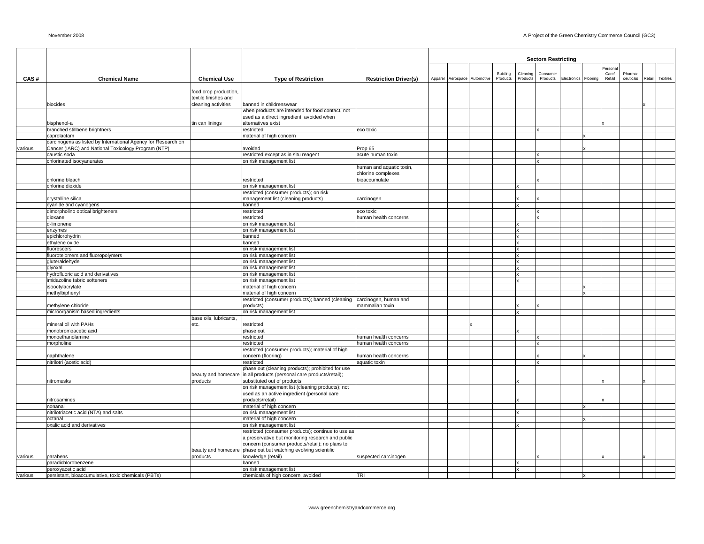| ersona<br>Building<br>Cleaning<br>Consumer<br>Care/<br>Pharma-<br>CAS#<br><b>Chemical Name</b><br><b>Chemical Use</b><br><b>Type of Restriction</b><br><b>Restriction Driver(s)</b><br>Apparel Aerospace Automotive<br>Products<br>Products<br>Products<br>Electronics Flooring<br>ceuticals<br>Retail<br>Textiles<br>Retail<br>food crop production,<br>textile finishes and<br>cleaning activities<br>banned in childrenswear<br>biocides<br>when products are intended for food contact, not<br>used as a direct ingredient, avoided when<br>tin can linings<br>alternatives exist<br>bisphenol-a<br>branched stillbene brightners<br>restricted<br>eco toxic<br>caprolactam<br>material of high concern<br>carcinogens as listed by International Agency for Research on<br>Cancer (IARC) and National Toxicology Program (NTP)<br>avoided<br>Prop 65<br>various<br>caustic soda<br>restricted except as in situ reagent<br>acute human toxin<br>on risk management list<br>chlorinated isocyanurates<br>human and aquatic toxin,<br>chlorine complexes<br>chlorine bleach<br>restricted<br>bioaccumulate<br>on risk management list<br>chlorine dioxide<br>restricted (consumer products); on risk<br>crystalline silica<br>management list (cleaning products)<br>carcinogen<br>cyanide and cyanogens<br>banned<br>x<br>dimorpholino optical brighteners<br>restricted<br>eco toxic<br>dioxane<br>restricted<br>human health concerns<br>d-limonene<br>on risk management list<br>x<br>on risk management list<br>enzymes<br>epichlorohydrin<br>banned<br>v<br>ethylene oxide<br>banned<br>×<br>on risk management list<br>fluorescers<br>on risk management list<br>fluorotelomers and fluoropolymers<br>x<br>on risk management list<br>gluteraldehyde<br>x<br>on risk management list<br>glyoxal<br>x<br>hydrofluoric acid and derivatives<br>on risk management list<br>x<br>imidazoline fabric softeners<br>on risk management list<br>isooctylacrylate<br>material of high concern<br>material of high concern<br>methylbiphenyl<br>restricted (consumer products); banned (cleaning<br>carcinogen, human and<br>methylene chloride<br>products)<br>mammalian toxin<br>on risk management list<br>microorganism based ingredients<br>$\mathbf{x}$<br>base oils, lubricants,<br>mineral oil with PAHs<br>etc.<br>restricted<br>monobromoacetic acid<br>phase out<br>monoethanolamine<br>restricted<br>human health concerns<br>morpholine<br>restricted<br>human health concerns<br>restricted (consumer products); material of high<br>concern (flooring)<br>naphthalene<br>human health concerns<br>nitrilotri (acetic acid)<br>restricted<br>aquatic toxin<br>phase out (cleaning products); prohibited for use<br>beauty and homecare in all products (personal care products/retail);<br>substituted out of products<br>nitromusks<br>products<br>on risk management list (cleaning products); not<br>used as an active ingredient (personal care<br>nitrosamines<br>products/retail)<br>material of high concern<br>nonanal<br>nitrilotriacetic acid (NTA) and salts<br>on risk management list<br>material of high concern<br>octanal<br>oxalic acid and derivatives<br>on risk management list<br>restricted (consumer products); continue to use as<br>a preservative but monitoring research and public<br>concern (consumer products/retail); no plans to<br>beauty and homecare phase out but watching evolving scientific<br>knowledge (retail)<br>products<br>suspected carcinogen<br>various<br>parabens<br>paradichlorobenzene<br>banned<br>x<br>on risk management list<br>peroxyacetic acid |         |                                                     |                                    |            |  |  | <b>Sectors Restricting</b> |  |  |  |
|--------------------------------------------------------------------------------------------------------------------------------------------------------------------------------------------------------------------------------------------------------------------------------------------------------------------------------------------------------------------------------------------------------------------------------------------------------------------------------------------------------------------------------------------------------------------------------------------------------------------------------------------------------------------------------------------------------------------------------------------------------------------------------------------------------------------------------------------------------------------------------------------------------------------------------------------------------------------------------------------------------------------------------------------------------------------------------------------------------------------------------------------------------------------------------------------------------------------------------------------------------------------------------------------------------------------------------------------------------------------------------------------------------------------------------------------------------------------------------------------------------------------------------------------------------------------------------------------------------------------------------------------------------------------------------------------------------------------------------------------------------------------------------------------------------------------------------------------------------------------------------------------------------------------------------------------------------------------------------------------------------------------------------------------------------------------------------------------------------------------------------------------------------------------------------------------------------------------------------------------------------------------------------------------------------------------------------------------------------------------------------------------------------------------------------------------------------------------------------------------------------------------------------------------------------------------------------------------------------------------------------------------------------------------------------------------------------------------------------------------------------------------------------------------------------------------------------------------------------------------------------------------------------------------------------------------------------------------------------------------------------------------------------------------------------------------------------------------------------------------------------------------------------------------------------------------------------------------------------------------------------------------------------------------------------------------------------------------------------------------------------------------------------------------------------------------------------------------------------------------------------------------------------------------------------------------------------------------------------------------------|---------|-----------------------------------------------------|------------------------------------|------------|--|--|----------------------------|--|--|--|
|                                                                                                                                                                                                                                                                                                                                                                                                                                                                                                                                                                                                                                                                                                                                                                                                                                                                                                                                                                                                                                                                                                                                                                                                                                                                                                                                                                                                                                                                                                                                                                                                                                                                                                                                                                                                                                                                                                                                                                                                                                                                                                                                                                                                                                                                                                                                                                                                                                                                                                                                                                                                                                                                                                                                                                                                                                                                                                                                                                                                                                                                                                                                                                                                                                                                                                                                                                                                                                                                                                                                                                                                                          |         |                                                     |                                    |            |  |  |                            |  |  |  |
|                                                                                                                                                                                                                                                                                                                                                                                                                                                                                                                                                                                                                                                                                                                                                                                                                                                                                                                                                                                                                                                                                                                                                                                                                                                                                                                                                                                                                                                                                                                                                                                                                                                                                                                                                                                                                                                                                                                                                                                                                                                                                                                                                                                                                                                                                                                                                                                                                                                                                                                                                                                                                                                                                                                                                                                                                                                                                                                                                                                                                                                                                                                                                                                                                                                                                                                                                                                                                                                                                                                                                                                                                          |         |                                                     |                                    |            |  |  |                            |  |  |  |
|                                                                                                                                                                                                                                                                                                                                                                                                                                                                                                                                                                                                                                                                                                                                                                                                                                                                                                                                                                                                                                                                                                                                                                                                                                                                                                                                                                                                                                                                                                                                                                                                                                                                                                                                                                                                                                                                                                                                                                                                                                                                                                                                                                                                                                                                                                                                                                                                                                                                                                                                                                                                                                                                                                                                                                                                                                                                                                                                                                                                                                                                                                                                                                                                                                                                                                                                                                                                                                                                                                                                                                                                                          |         |                                                     |                                    |            |  |  |                            |  |  |  |
|                                                                                                                                                                                                                                                                                                                                                                                                                                                                                                                                                                                                                                                                                                                                                                                                                                                                                                                                                                                                                                                                                                                                                                                                                                                                                                                                                                                                                                                                                                                                                                                                                                                                                                                                                                                                                                                                                                                                                                                                                                                                                                                                                                                                                                                                                                                                                                                                                                                                                                                                                                                                                                                                                                                                                                                                                                                                                                                                                                                                                                                                                                                                                                                                                                                                                                                                                                                                                                                                                                                                                                                                                          |         |                                                     |                                    |            |  |  |                            |  |  |  |
|                                                                                                                                                                                                                                                                                                                                                                                                                                                                                                                                                                                                                                                                                                                                                                                                                                                                                                                                                                                                                                                                                                                                                                                                                                                                                                                                                                                                                                                                                                                                                                                                                                                                                                                                                                                                                                                                                                                                                                                                                                                                                                                                                                                                                                                                                                                                                                                                                                                                                                                                                                                                                                                                                                                                                                                                                                                                                                                                                                                                                                                                                                                                                                                                                                                                                                                                                                                                                                                                                                                                                                                                                          |         |                                                     |                                    |            |  |  |                            |  |  |  |
|                                                                                                                                                                                                                                                                                                                                                                                                                                                                                                                                                                                                                                                                                                                                                                                                                                                                                                                                                                                                                                                                                                                                                                                                                                                                                                                                                                                                                                                                                                                                                                                                                                                                                                                                                                                                                                                                                                                                                                                                                                                                                                                                                                                                                                                                                                                                                                                                                                                                                                                                                                                                                                                                                                                                                                                                                                                                                                                                                                                                                                                                                                                                                                                                                                                                                                                                                                                                                                                                                                                                                                                                                          |         |                                                     |                                    |            |  |  |                            |  |  |  |
|                                                                                                                                                                                                                                                                                                                                                                                                                                                                                                                                                                                                                                                                                                                                                                                                                                                                                                                                                                                                                                                                                                                                                                                                                                                                                                                                                                                                                                                                                                                                                                                                                                                                                                                                                                                                                                                                                                                                                                                                                                                                                                                                                                                                                                                                                                                                                                                                                                                                                                                                                                                                                                                                                                                                                                                                                                                                                                                                                                                                                                                                                                                                                                                                                                                                                                                                                                                                                                                                                                                                                                                                                          |         |                                                     |                                    |            |  |  |                            |  |  |  |
|                                                                                                                                                                                                                                                                                                                                                                                                                                                                                                                                                                                                                                                                                                                                                                                                                                                                                                                                                                                                                                                                                                                                                                                                                                                                                                                                                                                                                                                                                                                                                                                                                                                                                                                                                                                                                                                                                                                                                                                                                                                                                                                                                                                                                                                                                                                                                                                                                                                                                                                                                                                                                                                                                                                                                                                                                                                                                                                                                                                                                                                                                                                                                                                                                                                                                                                                                                                                                                                                                                                                                                                                                          |         |                                                     |                                    |            |  |  |                            |  |  |  |
|                                                                                                                                                                                                                                                                                                                                                                                                                                                                                                                                                                                                                                                                                                                                                                                                                                                                                                                                                                                                                                                                                                                                                                                                                                                                                                                                                                                                                                                                                                                                                                                                                                                                                                                                                                                                                                                                                                                                                                                                                                                                                                                                                                                                                                                                                                                                                                                                                                                                                                                                                                                                                                                                                                                                                                                                                                                                                                                                                                                                                                                                                                                                                                                                                                                                                                                                                                                                                                                                                                                                                                                                                          |         |                                                     |                                    |            |  |  |                            |  |  |  |
|                                                                                                                                                                                                                                                                                                                                                                                                                                                                                                                                                                                                                                                                                                                                                                                                                                                                                                                                                                                                                                                                                                                                                                                                                                                                                                                                                                                                                                                                                                                                                                                                                                                                                                                                                                                                                                                                                                                                                                                                                                                                                                                                                                                                                                                                                                                                                                                                                                                                                                                                                                                                                                                                                                                                                                                                                                                                                                                                                                                                                                                                                                                                                                                                                                                                                                                                                                                                                                                                                                                                                                                                                          |         |                                                     |                                    |            |  |  |                            |  |  |  |
|                                                                                                                                                                                                                                                                                                                                                                                                                                                                                                                                                                                                                                                                                                                                                                                                                                                                                                                                                                                                                                                                                                                                                                                                                                                                                                                                                                                                                                                                                                                                                                                                                                                                                                                                                                                                                                                                                                                                                                                                                                                                                                                                                                                                                                                                                                                                                                                                                                                                                                                                                                                                                                                                                                                                                                                                                                                                                                                                                                                                                                                                                                                                                                                                                                                                                                                                                                                                                                                                                                                                                                                                                          |         |                                                     |                                    |            |  |  |                            |  |  |  |
|                                                                                                                                                                                                                                                                                                                                                                                                                                                                                                                                                                                                                                                                                                                                                                                                                                                                                                                                                                                                                                                                                                                                                                                                                                                                                                                                                                                                                                                                                                                                                                                                                                                                                                                                                                                                                                                                                                                                                                                                                                                                                                                                                                                                                                                                                                                                                                                                                                                                                                                                                                                                                                                                                                                                                                                                                                                                                                                                                                                                                                                                                                                                                                                                                                                                                                                                                                                                                                                                                                                                                                                                                          |         |                                                     |                                    |            |  |  |                            |  |  |  |
|                                                                                                                                                                                                                                                                                                                                                                                                                                                                                                                                                                                                                                                                                                                                                                                                                                                                                                                                                                                                                                                                                                                                                                                                                                                                                                                                                                                                                                                                                                                                                                                                                                                                                                                                                                                                                                                                                                                                                                                                                                                                                                                                                                                                                                                                                                                                                                                                                                                                                                                                                                                                                                                                                                                                                                                                                                                                                                                                                                                                                                                                                                                                                                                                                                                                                                                                                                                                                                                                                                                                                                                                                          |         |                                                     |                                    |            |  |  |                            |  |  |  |
|                                                                                                                                                                                                                                                                                                                                                                                                                                                                                                                                                                                                                                                                                                                                                                                                                                                                                                                                                                                                                                                                                                                                                                                                                                                                                                                                                                                                                                                                                                                                                                                                                                                                                                                                                                                                                                                                                                                                                                                                                                                                                                                                                                                                                                                                                                                                                                                                                                                                                                                                                                                                                                                                                                                                                                                                                                                                                                                                                                                                                                                                                                                                                                                                                                                                                                                                                                                                                                                                                                                                                                                                                          |         |                                                     |                                    |            |  |  |                            |  |  |  |
|                                                                                                                                                                                                                                                                                                                                                                                                                                                                                                                                                                                                                                                                                                                                                                                                                                                                                                                                                                                                                                                                                                                                                                                                                                                                                                                                                                                                                                                                                                                                                                                                                                                                                                                                                                                                                                                                                                                                                                                                                                                                                                                                                                                                                                                                                                                                                                                                                                                                                                                                                                                                                                                                                                                                                                                                                                                                                                                                                                                                                                                                                                                                                                                                                                                                                                                                                                                                                                                                                                                                                                                                                          |         |                                                     |                                    |            |  |  |                            |  |  |  |
|                                                                                                                                                                                                                                                                                                                                                                                                                                                                                                                                                                                                                                                                                                                                                                                                                                                                                                                                                                                                                                                                                                                                                                                                                                                                                                                                                                                                                                                                                                                                                                                                                                                                                                                                                                                                                                                                                                                                                                                                                                                                                                                                                                                                                                                                                                                                                                                                                                                                                                                                                                                                                                                                                                                                                                                                                                                                                                                                                                                                                                                                                                                                                                                                                                                                                                                                                                                                                                                                                                                                                                                                                          |         |                                                     |                                    |            |  |  |                            |  |  |  |
|                                                                                                                                                                                                                                                                                                                                                                                                                                                                                                                                                                                                                                                                                                                                                                                                                                                                                                                                                                                                                                                                                                                                                                                                                                                                                                                                                                                                                                                                                                                                                                                                                                                                                                                                                                                                                                                                                                                                                                                                                                                                                                                                                                                                                                                                                                                                                                                                                                                                                                                                                                                                                                                                                                                                                                                                                                                                                                                                                                                                                                                                                                                                                                                                                                                                                                                                                                                                                                                                                                                                                                                                                          |         |                                                     |                                    |            |  |  |                            |  |  |  |
|                                                                                                                                                                                                                                                                                                                                                                                                                                                                                                                                                                                                                                                                                                                                                                                                                                                                                                                                                                                                                                                                                                                                                                                                                                                                                                                                                                                                                                                                                                                                                                                                                                                                                                                                                                                                                                                                                                                                                                                                                                                                                                                                                                                                                                                                                                                                                                                                                                                                                                                                                                                                                                                                                                                                                                                                                                                                                                                                                                                                                                                                                                                                                                                                                                                                                                                                                                                                                                                                                                                                                                                                                          |         |                                                     |                                    |            |  |  |                            |  |  |  |
|                                                                                                                                                                                                                                                                                                                                                                                                                                                                                                                                                                                                                                                                                                                                                                                                                                                                                                                                                                                                                                                                                                                                                                                                                                                                                                                                                                                                                                                                                                                                                                                                                                                                                                                                                                                                                                                                                                                                                                                                                                                                                                                                                                                                                                                                                                                                                                                                                                                                                                                                                                                                                                                                                                                                                                                                                                                                                                                                                                                                                                                                                                                                                                                                                                                                                                                                                                                                                                                                                                                                                                                                                          |         |                                                     |                                    |            |  |  |                            |  |  |  |
|                                                                                                                                                                                                                                                                                                                                                                                                                                                                                                                                                                                                                                                                                                                                                                                                                                                                                                                                                                                                                                                                                                                                                                                                                                                                                                                                                                                                                                                                                                                                                                                                                                                                                                                                                                                                                                                                                                                                                                                                                                                                                                                                                                                                                                                                                                                                                                                                                                                                                                                                                                                                                                                                                                                                                                                                                                                                                                                                                                                                                                                                                                                                                                                                                                                                                                                                                                                                                                                                                                                                                                                                                          |         |                                                     |                                    |            |  |  |                            |  |  |  |
|                                                                                                                                                                                                                                                                                                                                                                                                                                                                                                                                                                                                                                                                                                                                                                                                                                                                                                                                                                                                                                                                                                                                                                                                                                                                                                                                                                                                                                                                                                                                                                                                                                                                                                                                                                                                                                                                                                                                                                                                                                                                                                                                                                                                                                                                                                                                                                                                                                                                                                                                                                                                                                                                                                                                                                                                                                                                                                                                                                                                                                                                                                                                                                                                                                                                                                                                                                                                                                                                                                                                                                                                                          |         |                                                     |                                    |            |  |  |                            |  |  |  |
|                                                                                                                                                                                                                                                                                                                                                                                                                                                                                                                                                                                                                                                                                                                                                                                                                                                                                                                                                                                                                                                                                                                                                                                                                                                                                                                                                                                                                                                                                                                                                                                                                                                                                                                                                                                                                                                                                                                                                                                                                                                                                                                                                                                                                                                                                                                                                                                                                                                                                                                                                                                                                                                                                                                                                                                                                                                                                                                                                                                                                                                                                                                                                                                                                                                                                                                                                                                                                                                                                                                                                                                                                          |         |                                                     |                                    |            |  |  |                            |  |  |  |
|                                                                                                                                                                                                                                                                                                                                                                                                                                                                                                                                                                                                                                                                                                                                                                                                                                                                                                                                                                                                                                                                                                                                                                                                                                                                                                                                                                                                                                                                                                                                                                                                                                                                                                                                                                                                                                                                                                                                                                                                                                                                                                                                                                                                                                                                                                                                                                                                                                                                                                                                                                                                                                                                                                                                                                                                                                                                                                                                                                                                                                                                                                                                                                                                                                                                                                                                                                                                                                                                                                                                                                                                                          |         |                                                     |                                    |            |  |  |                            |  |  |  |
|                                                                                                                                                                                                                                                                                                                                                                                                                                                                                                                                                                                                                                                                                                                                                                                                                                                                                                                                                                                                                                                                                                                                                                                                                                                                                                                                                                                                                                                                                                                                                                                                                                                                                                                                                                                                                                                                                                                                                                                                                                                                                                                                                                                                                                                                                                                                                                                                                                                                                                                                                                                                                                                                                                                                                                                                                                                                                                                                                                                                                                                                                                                                                                                                                                                                                                                                                                                                                                                                                                                                                                                                                          |         |                                                     |                                    |            |  |  |                            |  |  |  |
|                                                                                                                                                                                                                                                                                                                                                                                                                                                                                                                                                                                                                                                                                                                                                                                                                                                                                                                                                                                                                                                                                                                                                                                                                                                                                                                                                                                                                                                                                                                                                                                                                                                                                                                                                                                                                                                                                                                                                                                                                                                                                                                                                                                                                                                                                                                                                                                                                                                                                                                                                                                                                                                                                                                                                                                                                                                                                                                                                                                                                                                                                                                                                                                                                                                                                                                                                                                                                                                                                                                                                                                                                          |         |                                                     |                                    |            |  |  |                            |  |  |  |
|                                                                                                                                                                                                                                                                                                                                                                                                                                                                                                                                                                                                                                                                                                                                                                                                                                                                                                                                                                                                                                                                                                                                                                                                                                                                                                                                                                                                                                                                                                                                                                                                                                                                                                                                                                                                                                                                                                                                                                                                                                                                                                                                                                                                                                                                                                                                                                                                                                                                                                                                                                                                                                                                                                                                                                                                                                                                                                                                                                                                                                                                                                                                                                                                                                                                                                                                                                                                                                                                                                                                                                                                                          |         |                                                     |                                    |            |  |  |                            |  |  |  |
|                                                                                                                                                                                                                                                                                                                                                                                                                                                                                                                                                                                                                                                                                                                                                                                                                                                                                                                                                                                                                                                                                                                                                                                                                                                                                                                                                                                                                                                                                                                                                                                                                                                                                                                                                                                                                                                                                                                                                                                                                                                                                                                                                                                                                                                                                                                                                                                                                                                                                                                                                                                                                                                                                                                                                                                                                                                                                                                                                                                                                                                                                                                                                                                                                                                                                                                                                                                                                                                                                                                                                                                                                          |         |                                                     |                                    |            |  |  |                            |  |  |  |
|                                                                                                                                                                                                                                                                                                                                                                                                                                                                                                                                                                                                                                                                                                                                                                                                                                                                                                                                                                                                                                                                                                                                                                                                                                                                                                                                                                                                                                                                                                                                                                                                                                                                                                                                                                                                                                                                                                                                                                                                                                                                                                                                                                                                                                                                                                                                                                                                                                                                                                                                                                                                                                                                                                                                                                                                                                                                                                                                                                                                                                                                                                                                                                                                                                                                                                                                                                                                                                                                                                                                                                                                                          |         |                                                     |                                    |            |  |  |                            |  |  |  |
|                                                                                                                                                                                                                                                                                                                                                                                                                                                                                                                                                                                                                                                                                                                                                                                                                                                                                                                                                                                                                                                                                                                                                                                                                                                                                                                                                                                                                                                                                                                                                                                                                                                                                                                                                                                                                                                                                                                                                                                                                                                                                                                                                                                                                                                                                                                                                                                                                                                                                                                                                                                                                                                                                                                                                                                                                                                                                                                                                                                                                                                                                                                                                                                                                                                                                                                                                                                                                                                                                                                                                                                                                          |         |                                                     |                                    |            |  |  |                            |  |  |  |
|                                                                                                                                                                                                                                                                                                                                                                                                                                                                                                                                                                                                                                                                                                                                                                                                                                                                                                                                                                                                                                                                                                                                                                                                                                                                                                                                                                                                                                                                                                                                                                                                                                                                                                                                                                                                                                                                                                                                                                                                                                                                                                                                                                                                                                                                                                                                                                                                                                                                                                                                                                                                                                                                                                                                                                                                                                                                                                                                                                                                                                                                                                                                                                                                                                                                                                                                                                                                                                                                                                                                                                                                                          |         |                                                     |                                    |            |  |  |                            |  |  |  |
|                                                                                                                                                                                                                                                                                                                                                                                                                                                                                                                                                                                                                                                                                                                                                                                                                                                                                                                                                                                                                                                                                                                                                                                                                                                                                                                                                                                                                                                                                                                                                                                                                                                                                                                                                                                                                                                                                                                                                                                                                                                                                                                                                                                                                                                                                                                                                                                                                                                                                                                                                                                                                                                                                                                                                                                                                                                                                                                                                                                                                                                                                                                                                                                                                                                                                                                                                                                                                                                                                                                                                                                                                          |         |                                                     |                                    |            |  |  |                            |  |  |  |
|                                                                                                                                                                                                                                                                                                                                                                                                                                                                                                                                                                                                                                                                                                                                                                                                                                                                                                                                                                                                                                                                                                                                                                                                                                                                                                                                                                                                                                                                                                                                                                                                                                                                                                                                                                                                                                                                                                                                                                                                                                                                                                                                                                                                                                                                                                                                                                                                                                                                                                                                                                                                                                                                                                                                                                                                                                                                                                                                                                                                                                                                                                                                                                                                                                                                                                                                                                                                                                                                                                                                                                                                                          |         |                                                     |                                    |            |  |  |                            |  |  |  |
|                                                                                                                                                                                                                                                                                                                                                                                                                                                                                                                                                                                                                                                                                                                                                                                                                                                                                                                                                                                                                                                                                                                                                                                                                                                                                                                                                                                                                                                                                                                                                                                                                                                                                                                                                                                                                                                                                                                                                                                                                                                                                                                                                                                                                                                                                                                                                                                                                                                                                                                                                                                                                                                                                                                                                                                                                                                                                                                                                                                                                                                                                                                                                                                                                                                                                                                                                                                                                                                                                                                                                                                                                          |         |                                                     |                                    |            |  |  |                            |  |  |  |
|                                                                                                                                                                                                                                                                                                                                                                                                                                                                                                                                                                                                                                                                                                                                                                                                                                                                                                                                                                                                                                                                                                                                                                                                                                                                                                                                                                                                                                                                                                                                                                                                                                                                                                                                                                                                                                                                                                                                                                                                                                                                                                                                                                                                                                                                                                                                                                                                                                                                                                                                                                                                                                                                                                                                                                                                                                                                                                                                                                                                                                                                                                                                                                                                                                                                                                                                                                                                                                                                                                                                                                                                                          |         |                                                     |                                    |            |  |  |                            |  |  |  |
|                                                                                                                                                                                                                                                                                                                                                                                                                                                                                                                                                                                                                                                                                                                                                                                                                                                                                                                                                                                                                                                                                                                                                                                                                                                                                                                                                                                                                                                                                                                                                                                                                                                                                                                                                                                                                                                                                                                                                                                                                                                                                                                                                                                                                                                                                                                                                                                                                                                                                                                                                                                                                                                                                                                                                                                                                                                                                                                                                                                                                                                                                                                                                                                                                                                                                                                                                                                                                                                                                                                                                                                                                          |         |                                                     |                                    |            |  |  |                            |  |  |  |
|                                                                                                                                                                                                                                                                                                                                                                                                                                                                                                                                                                                                                                                                                                                                                                                                                                                                                                                                                                                                                                                                                                                                                                                                                                                                                                                                                                                                                                                                                                                                                                                                                                                                                                                                                                                                                                                                                                                                                                                                                                                                                                                                                                                                                                                                                                                                                                                                                                                                                                                                                                                                                                                                                                                                                                                                                                                                                                                                                                                                                                                                                                                                                                                                                                                                                                                                                                                                                                                                                                                                                                                                                          |         |                                                     |                                    |            |  |  |                            |  |  |  |
|                                                                                                                                                                                                                                                                                                                                                                                                                                                                                                                                                                                                                                                                                                                                                                                                                                                                                                                                                                                                                                                                                                                                                                                                                                                                                                                                                                                                                                                                                                                                                                                                                                                                                                                                                                                                                                                                                                                                                                                                                                                                                                                                                                                                                                                                                                                                                                                                                                                                                                                                                                                                                                                                                                                                                                                                                                                                                                                                                                                                                                                                                                                                                                                                                                                                                                                                                                                                                                                                                                                                                                                                                          |         |                                                     |                                    |            |  |  |                            |  |  |  |
|                                                                                                                                                                                                                                                                                                                                                                                                                                                                                                                                                                                                                                                                                                                                                                                                                                                                                                                                                                                                                                                                                                                                                                                                                                                                                                                                                                                                                                                                                                                                                                                                                                                                                                                                                                                                                                                                                                                                                                                                                                                                                                                                                                                                                                                                                                                                                                                                                                                                                                                                                                                                                                                                                                                                                                                                                                                                                                                                                                                                                                                                                                                                                                                                                                                                                                                                                                                                                                                                                                                                                                                                                          |         |                                                     |                                    |            |  |  |                            |  |  |  |
|                                                                                                                                                                                                                                                                                                                                                                                                                                                                                                                                                                                                                                                                                                                                                                                                                                                                                                                                                                                                                                                                                                                                                                                                                                                                                                                                                                                                                                                                                                                                                                                                                                                                                                                                                                                                                                                                                                                                                                                                                                                                                                                                                                                                                                                                                                                                                                                                                                                                                                                                                                                                                                                                                                                                                                                                                                                                                                                                                                                                                                                                                                                                                                                                                                                                                                                                                                                                                                                                                                                                                                                                                          |         |                                                     |                                    |            |  |  |                            |  |  |  |
|                                                                                                                                                                                                                                                                                                                                                                                                                                                                                                                                                                                                                                                                                                                                                                                                                                                                                                                                                                                                                                                                                                                                                                                                                                                                                                                                                                                                                                                                                                                                                                                                                                                                                                                                                                                                                                                                                                                                                                                                                                                                                                                                                                                                                                                                                                                                                                                                                                                                                                                                                                                                                                                                                                                                                                                                                                                                                                                                                                                                                                                                                                                                                                                                                                                                                                                                                                                                                                                                                                                                                                                                                          |         |                                                     |                                    |            |  |  |                            |  |  |  |
|                                                                                                                                                                                                                                                                                                                                                                                                                                                                                                                                                                                                                                                                                                                                                                                                                                                                                                                                                                                                                                                                                                                                                                                                                                                                                                                                                                                                                                                                                                                                                                                                                                                                                                                                                                                                                                                                                                                                                                                                                                                                                                                                                                                                                                                                                                                                                                                                                                                                                                                                                                                                                                                                                                                                                                                                                                                                                                                                                                                                                                                                                                                                                                                                                                                                                                                                                                                                                                                                                                                                                                                                                          |         |                                                     |                                    |            |  |  |                            |  |  |  |
|                                                                                                                                                                                                                                                                                                                                                                                                                                                                                                                                                                                                                                                                                                                                                                                                                                                                                                                                                                                                                                                                                                                                                                                                                                                                                                                                                                                                                                                                                                                                                                                                                                                                                                                                                                                                                                                                                                                                                                                                                                                                                                                                                                                                                                                                                                                                                                                                                                                                                                                                                                                                                                                                                                                                                                                                                                                                                                                                                                                                                                                                                                                                                                                                                                                                                                                                                                                                                                                                                                                                                                                                                          |         |                                                     |                                    |            |  |  |                            |  |  |  |
|                                                                                                                                                                                                                                                                                                                                                                                                                                                                                                                                                                                                                                                                                                                                                                                                                                                                                                                                                                                                                                                                                                                                                                                                                                                                                                                                                                                                                                                                                                                                                                                                                                                                                                                                                                                                                                                                                                                                                                                                                                                                                                                                                                                                                                                                                                                                                                                                                                                                                                                                                                                                                                                                                                                                                                                                                                                                                                                                                                                                                                                                                                                                                                                                                                                                                                                                                                                                                                                                                                                                                                                                                          |         |                                                     |                                    |            |  |  |                            |  |  |  |
|                                                                                                                                                                                                                                                                                                                                                                                                                                                                                                                                                                                                                                                                                                                                                                                                                                                                                                                                                                                                                                                                                                                                                                                                                                                                                                                                                                                                                                                                                                                                                                                                                                                                                                                                                                                                                                                                                                                                                                                                                                                                                                                                                                                                                                                                                                                                                                                                                                                                                                                                                                                                                                                                                                                                                                                                                                                                                                                                                                                                                                                                                                                                                                                                                                                                                                                                                                                                                                                                                                                                                                                                                          |         |                                                     |                                    |            |  |  |                            |  |  |  |
|                                                                                                                                                                                                                                                                                                                                                                                                                                                                                                                                                                                                                                                                                                                                                                                                                                                                                                                                                                                                                                                                                                                                                                                                                                                                                                                                                                                                                                                                                                                                                                                                                                                                                                                                                                                                                                                                                                                                                                                                                                                                                                                                                                                                                                                                                                                                                                                                                                                                                                                                                                                                                                                                                                                                                                                                                                                                                                                                                                                                                                                                                                                                                                                                                                                                                                                                                                                                                                                                                                                                                                                                                          |         |                                                     |                                    |            |  |  |                            |  |  |  |
|                                                                                                                                                                                                                                                                                                                                                                                                                                                                                                                                                                                                                                                                                                                                                                                                                                                                                                                                                                                                                                                                                                                                                                                                                                                                                                                                                                                                                                                                                                                                                                                                                                                                                                                                                                                                                                                                                                                                                                                                                                                                                                                                                                                                                                                                                                                                                                                                                                                                                                                                                                                                                                                                                                                                                                                                                                                                                                                                                                                                                                                                                                                                                                                                                                                                                                                                                                                                                                                                                                                                                                                                                          |         |                                                     |                                    |            |  |  |                            |  |  |  |
|                                                                                                                                                                                                                                                                                                                                                                                                                                                                                                                                                                                                                                                                                                                                                                                                                                                                                                                                                                                                                                                                                                                                                                                                                                                                                                                                                                                                                                                                                                                                                                                                                                                                                                                                                                                                                                                                                                                                                                                                                                                                                                                                                                                                                                                                                                                                                                                                                                                                                                                                                                                                                                                                                                                                                                                                                                                                                                                                                                                                                                                                                                                                                                                                                                                                                                                                                                                                                                                                                                                                                                                                                          |         |                                                     |                                    |            |  |  |                            |  |  |  |
|                                                                                                                                                                                                                                                                                                                                                                                                                                                                                                                                                                                                                                                                                                                                                                                                                                                                                                                                                                                                                                                                                                                                                                                                                                                                                                                                                                                                                                                                                                                                                                                                                                                                                                                                                                                                                                                                                                                                                                                                                                                                                                                                                                                                                                                                                                                                                                                                                                                                                                                                                                                                                                                                                                                                                                                                                                                                                                                                                                                                                                                                                                                                                                                                                                                                                                                                                                                                                                                                                                                                                                                                                          |         |                                                     |                                    |            |  |  |                            |  |  |  |
|                                                                                                                                                                                                                                                                                                                                                                                                                                                                                                                                                                                                                                                                                                                                                                                                                                                                                                                                                                                                                                                                                                                                                                                                                                                                                                                                                                                                                                                                                                                                                                                                                                                                                                                                                                                                                                                                                                                                                                                                                                                                                                                                                                                                                                                                                                                                                                                                                                                                                                                                                                                                                                                                                                                                                                                                                                                                                                                                                                                                                                                                                                                                                                                                                                                                                                                                                                                                                                                                                                                                                                                                                          |         |                                                     |                                    |            |  |  |                            |  |  |  |
|                                                                                                                                                                                                                                                                                                                                                                                                                                                                                                                                                                                                                                                                                                                                                                                                                                                                                                                                                                                                                                                                                                                                                                                                                                                                                                                                                                                                                                                                                                                                                                                                                                                                                                                                                                                                                                                                                                                                                                                                                                                                                                                                                                                                                                                                                                                                                                                                                                                                                                                                                                                                                                                                                                                                                                                                                                                                                                                                                                                                                                                                                                                                                                                                                                                                                                                                                                                                                                                                                                                                                                                                                          |         |                                                     |                                    |            |  |  |                            |  |  |  |
|                                                                                                                                                                                                                                                                                                                                                                                                                                                                                                                                                                                                                                                                                                                                                                                                                                                                                                                                                                                                                                                                                                                                                                                                                                                                                                                                                                                                                                                                                                                                                                                                                                                                                                                                                                                                                                                                                                                                                                                                                                                                                                                                                                                                                                                                                                                                                                                                                                                                                                                                                                                                                                                                                                                                                                                                                                                                                                                                                                                                                                                                                                                                                                                                                                                                                                                                                                                                                                                                                                                                                                                                                          |         |                                                     |                                    |            |  |  |                            |  |  |  |
|                                                                                                                                                                                                                                                                                                                                                                                                                                                                                                                                                                                                                                                                                                                                                                                                                                                                                                                                                                                                                                                                                                                                                                                                                                                                                                                                                                                                                                                                                                                                                                                                                                                                                                                                                                                                                                                                                                                                                                                                                                                                                                                                                                                                                                                                                                                                                                                                                                                                                                                                                                                                                                                                                                                                                                                                                                                                                                                                                                                                                                                                                                                                                                                                                                                                                                                                                                                                                                                                                                                                                                                                                          |         |                                                     |                                    |            |  |  |                            |  |  |  |
|                                                                                                                                                                                                                                                                                                                                                                                                                                                                                                                                                                                                                                                                                                                                                                                                                                                                                                                                                                                                                                                                                                                                                                                                                                                                                                                                                                                                                                                                                                                                                                                                                                                                                                                                                                                                                                                                                                                                                                                                                                                                                                                                                                                                                                                                                                                                                                                                                                                                                                                                                                                                                                                                                                                                                                                                                                                                                                                                                                                                                                                                                                                                                                                                                                                                                                                                                                                                                                                                                                                                                                                                                          |         |                                                     |                                    |            |  |  |                            |  |  |  |
|                                                                                                                                                                                                                                                                                                                                                                                                                                                                                                                                                                                                                                                                                                                                                                                                                                                                                                                                                                                                                                                                                                                                                                                                                                                                                                                                                                                                                                                                                                                                                                                                                                                                                                                                                                                                                                                                                                                                                                                                                                                                                                                                                                                                                                                                                                                                                                                                                                                                                                                                                                                                                                                                                                                                                                                                                                                                                                                                                                                                                                                                                                                                                                                                                                                                                                                                                                                                                                                                                                                                                                                                                          |         |                                                     |                                    |            |  |  |                            |  |  |  |
|                                                                                                                                                                                                                                                                                                                                                                                                                                                                                                                                                                                                                                                                                                                                                                                                                                                                                                                                                                                                                                                                                                                                                                                                                                                                                                                                                                                                                                                                                                                                                                                                                                                                                                                                                                                                                                                                                                                                                                                                                                                                                                                                                                                                                                                                                                                                                                                                                                                                                                                                                                                                                                                                                                                                                                                                                                                                                                                                                                                                                                                                                                                                                                                                                                                                                                                                                                                                                                                                                                                                                                                                                          |         |                                                     |                                    |            |  |  |                            |  |  |  |
|                                                                                                                                                                                                                                                                                                                                                                                                                                                                                                                                                                                                                                                                                                                                                                                                                                                                                                                                                                                                                                                                                                                                                                                                                                                                                                                                                                                                                                                                                                                                                                                                                                                                                                                                                                                                                                                                                                                                                                                                                                                                                                                                                                                                                                                                                                                                                                                                                                                                                                                                                                                                                                                                                                                                                                                                                                                                                                                                                                                                                                                                                                                                                                                                                                                                                                                                                                                                                                                                                                                                                                                                                          |         |                                                     |                                    |            |  |  |                            |  |  |  |
|                                                                                                                                                                                                                                                                                                                                                                                                                                                                                                                                                                                                                                                                                                                                                                                                                                                                                                                                                                                                                                                                                                                                                                                                                                                                                                                                                                                                                                                                                                                                                                                                                                                                                                                                                                                                                                                                                                                                                                                                                                                                                                                                                                                                                                                                                                                                                                                                                                                                                                                                                                                                                                                                                                                                                                                                                                                                                                                                                                                                                                                                                                                                                                                                                                                                                                                                                                                                                                                                                                                                                                                                                          | various | persistant, bioaccumulative, toxic chemicals (PBTs) | chemicals of high concern, avoided | <b>TRI</b> |  |  |                            |  |  |  |